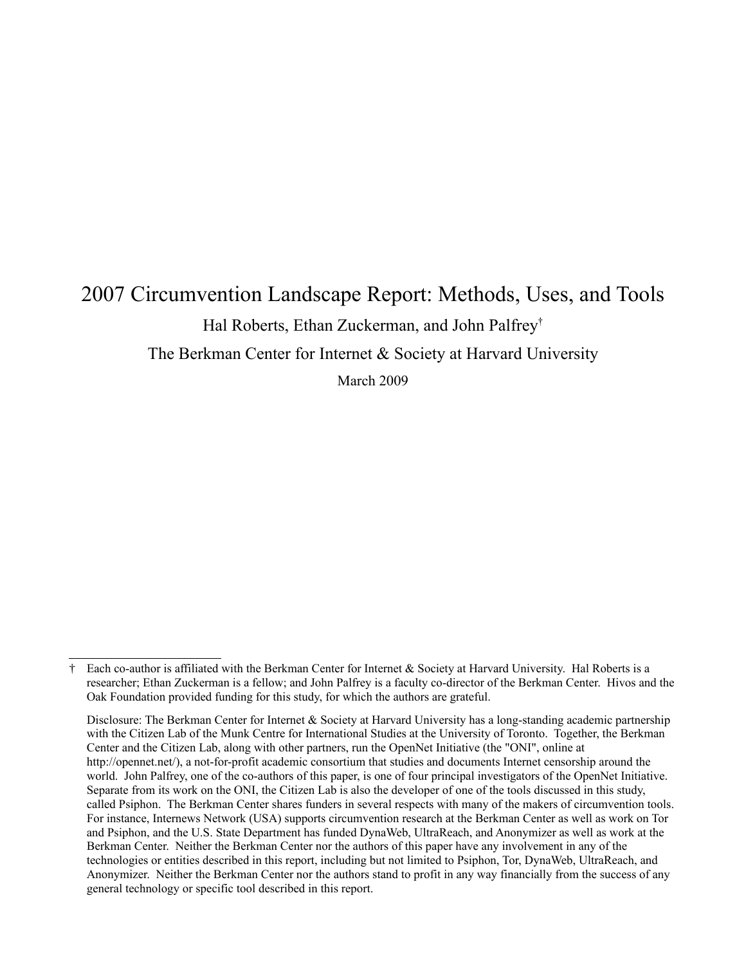# 2007 Circumvention Landscape Report: Methods, Uses, and Tools Hal Roberts, Ethan Zuckerman, and John Palfrey[†](#page-0-0)

The Berkman Center for Internet & Society at Harvard University

March 2009

<span id="page-0-0"></span>Each co-author is affiliated with the Berkman Center for Internet  $\&$  Society at Harvard University. Hal Roberts is a researcher; Ethan Zuckerman is a fellow; and John Palfrey is a faculty co-director of the Berkman Center. Hivos and the Oak Foundation provided funding for this study, for which the authors are grateful.

Disclosure: The Berkman Center for Internet & Society at Harvard University has a long-standing academic partnership with the Citizen Lab of the Munk Centre for International Studies at the University of Toronto. Together, the Berkman Center and the Citizen Lab, along with other partners, run the OpenNet Initiative (the "ONI", online at http://opennet.net/), a not-for-profit academic consortium that studies and documents Internet censorship around the world. John Palfrey, one of the co-authors of this paper, is one of four principal investigators of the OpenNet Initiative. Separate from its work on the ONI, the Citizen Lab is also the developer of one of the tools discussed in this study, called Psiphon. The Berkman Center shares funders in several respects with many of the makers of circumvention tools. For instance, Internews Network (USA) supports circumvention research at the Berkman Center as well as work on Tor and Psiphon, and the U.S. State Department has funded DynaWeb, UltraReach, and Anonymizer as well as work at the Berkman Center. Neither the Berkman Center nor the authors of this paper have any involvement in any of the technologies or entities described in this report, including but not limited to Psiphon, Tor, DynaWeb, UltraReach, and Anonymizer. Neither the Berkman Center nor the authors stand to profit in any way financially from the success of any general technology or specific tool described in this report.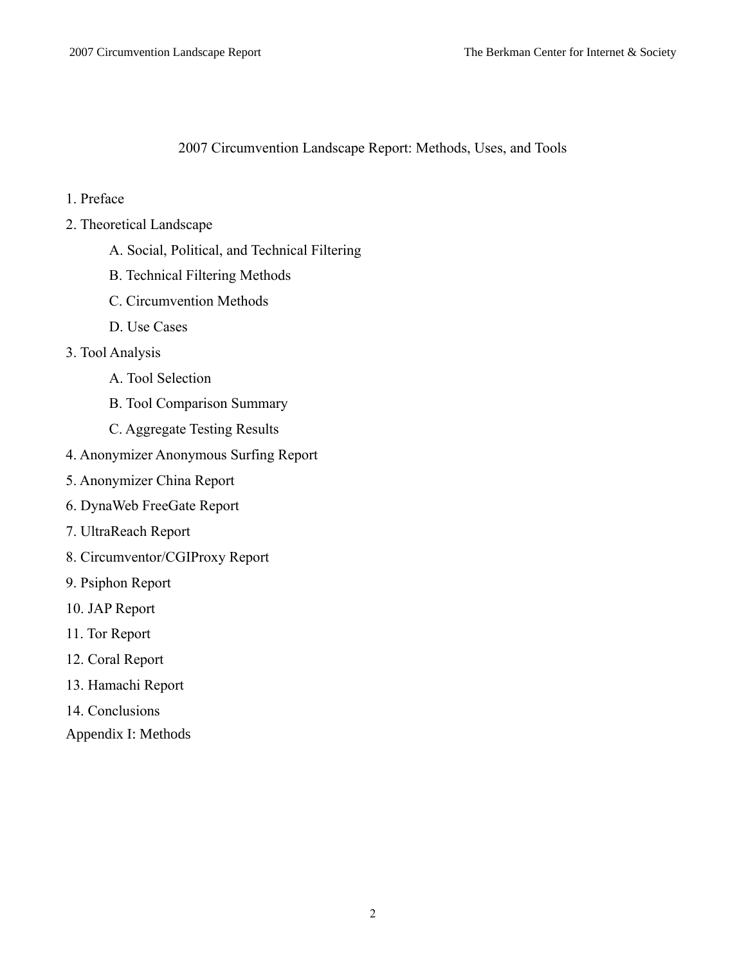2007 Circumvention Landscape Report: Methods, Uses, and Tools

- 1. Preface
- 2. Theoretical Landscape
	- A. Social, Political, and Technical Filtering
	- B. Technical Filtering Methods
	- C. Circumvention Methods
	- D. Use Cases
- 3. Tool Analysis
	- A. Tool Selection
	- B. Tool Comparison Summary
	- C. Aggregate Testing Results
- 4. Anonymizer Anonymous Surfing Report
- 5. Anonymizer China Report
- 6. DynaWeb FreeGate Report
- 7. UltraReach Report
- 8. Circumventor/CGIProxy Report
- 9. Psiphon Report
- 10. JAP Report
- 11. Tor Report
- 12. Coral Report
- 13. Hamachi Report
- 14. Conclusions
- Appendix I: Methods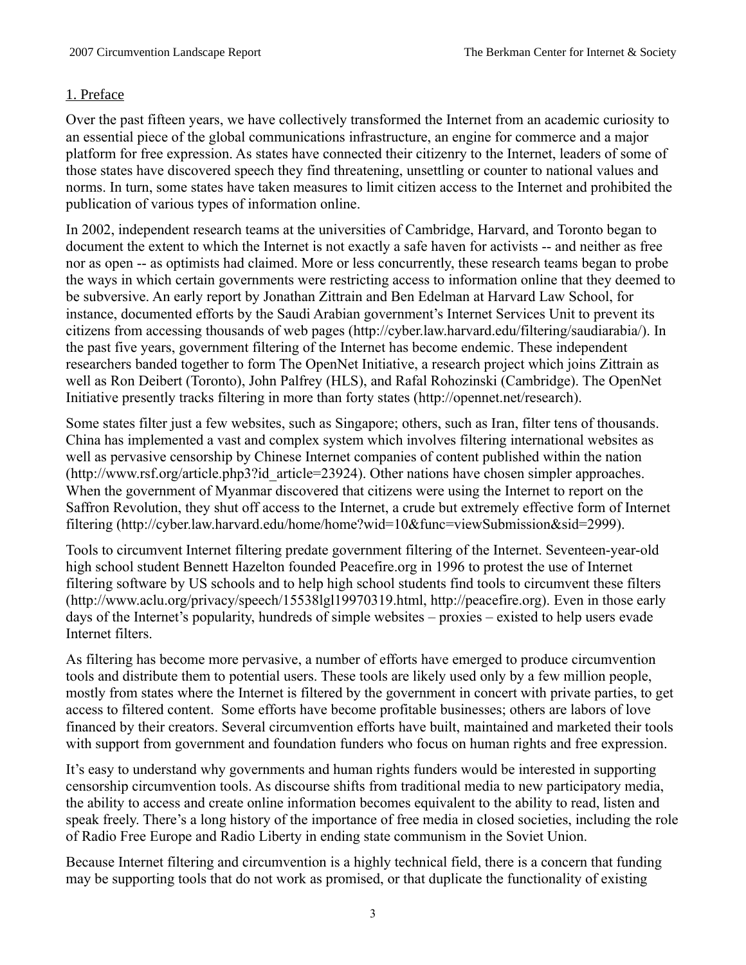#### 1. Preface

Over the past fifteen years, we have collectively transformed the Internet from an academic curiosity to an essential piece of the global communications infrastructure, an engine for commerce and a major platform for free expression. As states have connected their citizenry to the Internet, leaders of some of those states have discovered speech they find threatening, unsettling or counter to national values and norms. In turn, some states have taken measures to limit citizen access to the Internet and prohibited the publication of various types of information online.

In 2002, independent research teams at the universities of Cambridge, Harvard, and Toronto began to document the extent to which the Internet is not exactly a safe haven for activists -- and neither as free nor as open -- as optimists had claimed. More or less concurrently, these research teams began to probe the ways in which certain governments were restricting access to information online that they deemed to be subversive. An early report by Jonathan Zittrain and Ben Edelman at Harvard Law School, for instance, documented efforts by the Saudi Arabian government's Internet Services Unit to prevent its citizens from accessing thousands of web pages (http://cyber.law.harvard.edu/filtering/saudiarabia/). In the past five years, government filtering of the Internet has become endemic. These independent researchers banded together to form The OpenNet Initiative, a research project which joins Zittrain as well as Ron Deibert (Toronto), John Palfrey (HLS), and Rafal Rohozinski (Cambridge). The OpenNet Initiative presently tracks filtering in more than forty states (http://opennet.net/research).

Some states filter just a few websites, such as Singapore; others, such as Iran, filter tens of thousands. China has implemented a vast and complex system which involves filtering international websites as well as pervasive censorship by Chinese Internet companies of content published within the nation (http://www.rsf.org/article.php3?id\_article=23924). Other nations have chosen simpler approaches. When the government of Myanmar discovered that citizens were using the Internet to report on the Saffron Revolution, they shut off access to the Internet, a crude but extremely effective form of Internet filtering (http://cyber.law.harvard.edu/home/home?wid=10&func=viewSubmission&sid=2999).

Tools to circumvent Internet filtering predate government filtering of the Internet. Seventeen-year-old high school student Bennett Hazelton founded Peacefire.org in 1996 to protest the use of Internet filtering software by US schools and to help high school students find tools to circumvent these filters (http://www.aclu.org/privacy/speech/15538lgl19970319.html, http://peacefire.org). Even in those early days of the Internet's popularity, hundreds of simple websites – proxies – existed to help users evade Internet filters.

As filtering has become more pervasive, a number of efforts have emerged to produce circumvention tools and distribute them to potential users. These tools are likely used only by a few million people, mostly from states where the Internet is filtered by the government in concert with private parties, to get access to filtered content. Some efforts have become profitable businesses; others are labors of love financed by their creators. Several circumvention efforts have built, maintained and marketed their tools with support from government and foundation funders who focus on human rights and free expression.

It's easy to understand why governments and human rights funders would be interested in supporting censorship circumvention tools. As discourse shifts from traditional media to new participatory media, the ability to access and create online information becomes equivalent to the ability to read, listen and speak freely. There's a long history of the importance of free media in closed societies, including the role of Radio Free Europe and Radio Liberty in ending state communism in the Soviet Union.

Because Internet filtering and circumvention is a highly technical field, there is a concern that funding may be supporting tools that do not work as promised, or that duplicate the functionality of existing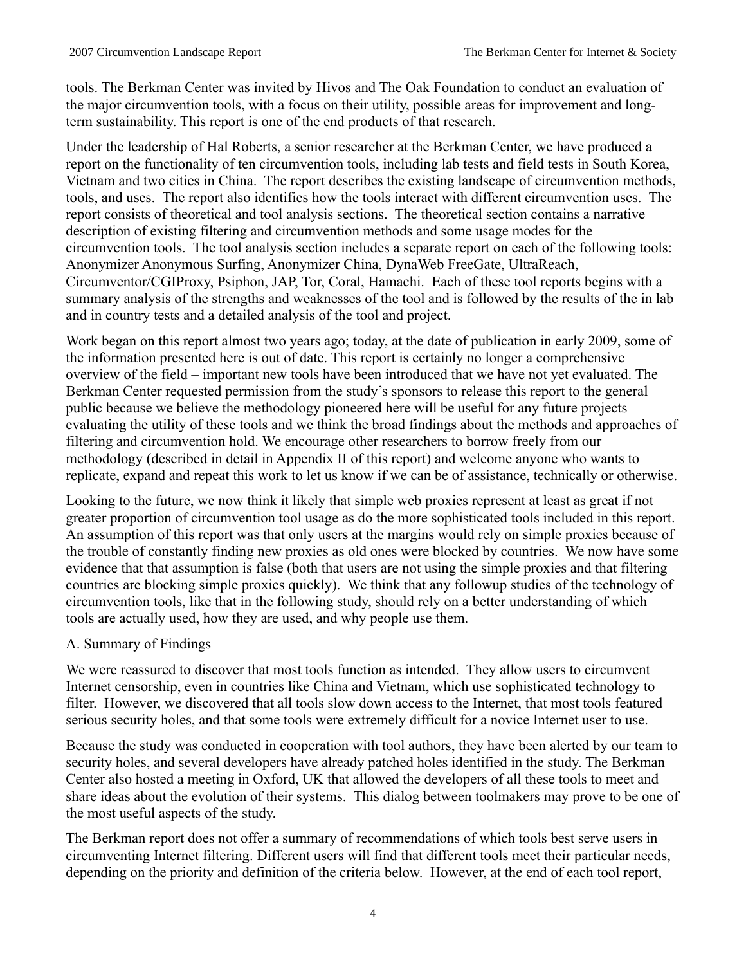tools. The Berkman Center was invited by Hivos and The Oak Foundation to conduct an evaluation of the major circumvention tools, with a focus on their utility, possible areas for improvement and longterm sustainability. This report is one of the end products of that research.

Under the leadership of Hal Roberts, a senior researcher at the Berkman Center, we have produced a report on the functionality of ten circumvention tools, including lab tests and field tests in South Korea, Vietnam and two cities in China. The report describes the existing landscape of circumvention methods, tools, and uses. The report also identifies how the tools interact with different circumvention uses. The report consists of theoretical and tool analysis sections. The theoretical section contains a narrative description of existing filtering and circumvention methods and some usage modes for the circumvention tools. The tool analysis section includes a separate report on each of the following tools: Anonymizer Anonymous Surfing, Anonymizer China, DynaWeb FreeGate, UltraReach, Circumventor/CGIProxy, Psiphon, JAP, Tor, Coral, Hamachi. Each of these tool reports begins with a summary analysis of the strengths and weaknesses of the tool and is followed by the results of the in lab and in country tests and a detailed analysis of the tool and project.

Work began on this report almost two years ago; today, at the date of publication in early 2009, some of the information presented here is out of date. This report is certainly no longer a comprehensive overview of the field – important new tools have been introduced that we have not yet evaluated. The Berkman Center requested permission from the study's sponsors to release this report to the general public because we believe the methodology pioneered here will be useful for any future projects evaluating the utility of these tools and we think the broad findings about the methods and approaches of filtering and circumvention hold. We encourage other researchers to borrow freely from our methodology (described in detail in Appendix II of this report) and welcome anyone who wants to replicate, expand and repeat this work to let us know if we can be of assistance, technically or otherwise.

Looking to the future, we now think it likely that simple web proxies represent at least as great if not greater proportion of circumvention tool usage as do the more sophisticated tools included in this report. An assumption of this report was that only users at the margins would rely on simple proxies because of the trouble of constantly finding new proxies as old ones were blocked by countries. We now have some evidence that that assumption is false (both that users are not using the simple proxies and that filtering countries are blocking simple proxies quickly). We think that any followup studies of the technology of circumvention tools, like that in the following study, should rely on a better understanding of which tools are actually used, how they are used, and why people use them.

# A. Summary of Findings

We were reassured to discover that most tools function as intended. They allow users to circumvent Internet censorship, even in countries like China and Vietnam, which use sophisticated technology to filter. However, we discovered that all tools slow down access to the Internet, that most tools featured serious security holes, and that some tools were extremely difficult for a novice Internet user to use.

Because the study was conducted in cooperation with tool authors, they have been alerted by our team to security holes, and several developers have already patched holes identified in the study. The Berkman Center also hosted a meeting in Oxford, UK that allowed the developers of all these tools to meet and share ideas about the evolution of their systems. This dialog between toolmakers may prove to be one of the most useful aspects of the study.

The Berkman report does not offer a summary of recommendations of which tools best serve users in circumventing Internet filtering. Different users will find that different tools meet their particular needs, depending on the priority and definition of the criteria below. However, at the end of each tool report,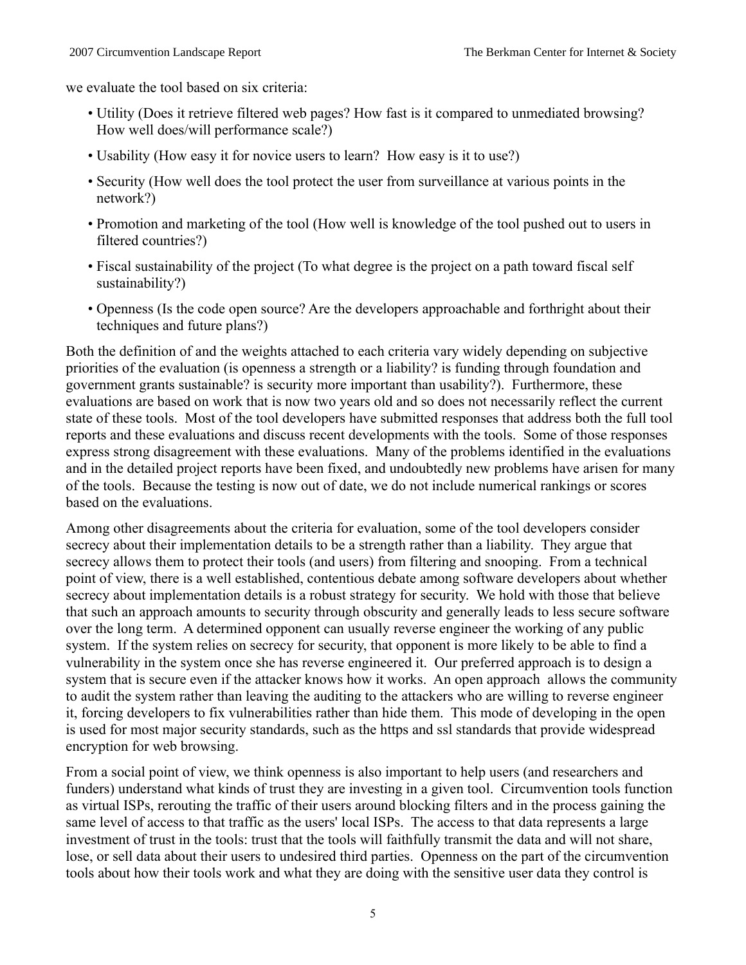we evaluate the tool based on six criteria:

- Utility (Does it retrieve filtered web pages? How fast is it compared to unmediated browsing? How well does/will performance scale?)
- Usability (How easy it for novice users to learn? How easy is it to use?)
- Security (How well does the tool protect the user from surveillance at various points in the network?)
- Promotion and marketing of the tool (How well is knowledge of the tool pushed out to users in filtered countries?)
- Fiscal sustainability of the project (To what degree is the project on a path toward fiscal self sustainability?)
- Openness (Is the code open source? Are the developers approachable and forthright about their techniques and future plans?)

Both the definition of and the weights attached to each criteria vary widely depending on subjective priorities of the evaluation (is openness a strength or a liability? is funding through foundation and government grants sustainable? is security more important than usability?). Furthermore, these evaluations are based on work that is now two years old and so does not necessarily reflect the current state of these tools. Most of the tool developers have submitted responses that address both the full tool reports and these evaluations and discuss recent developments with the tools. Some of those responses express strong disagreement with these evaluations. Many of the problems identified in the evaluations and in the detailed project reports have been fixed, and undoubtedly new problems have arisen for many of the tools. Because the testing is now out of date, we do not include numerical rankings or scores based on the evaluations.

Among other disagreements about the criteria for evaluation, some of the tool developers consider secrecy about their implementation details to be a strength rather than a liability. They argue that secrecy allows them to protect their tools (and users) from filtering and snooping. From a technical point of view, there is a well established, contentious debate among software developers about whether secrecy about implementation details is a robust strategy for security. We hold with those that believe that such an approach amounts to security through obscurity and generally leads to less secure software over the long term. A determined opponent can usually reverse engineer the working of any public system. If the system relies on secrecy for security, that opponent is more likely to be able to find a vulnerability in the system once she has reverse engineered it. Our preferred approach is to design a system that is secure even if the attacker knows how it works. An open approach allows the community to audit the system rather than leaving the auditing to the attackers who are willing to reverse engineer it, forcing developers to fix vulnerabilities rather than hide them. This mode of developing in the open is used for most major security standards, such as the https and ssl standards that provide widespread encryption for web browsing.

From a social point of view, we think openness is also important to help users (and researchers and funders) understand what kinds of trust they are investing in a given tool. Circumvention tools function as virtual ISPs, rerouting the traffic of their users around blocking filters and in the process gaining the same level of access to that traffic as the users' local ISPs. The access to that data represents a large investment of trust in the tools: trust that the tools will faithfully transmit the data and will not share, lose, or sell data about their users to undesired third parties. Openness on the part of the circumvention tools about how their tools work and what they are doing with the sensitive user data they control is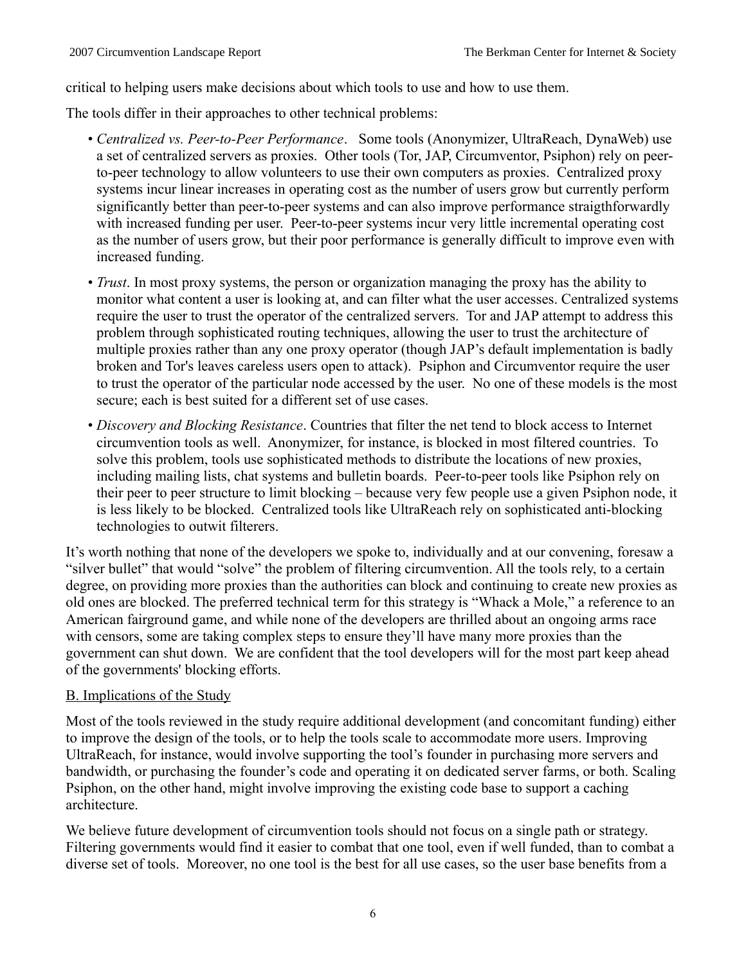critical to helping users make decisions about which tools to use and how to use them.

The tools differ in their approaches to other technical problems:

- *Centralized vs. Peer-to-Peer Performance*. Some tools (Anonymizer, UltraReach, DynaWeb) use a set of centralized servers as proxies. Other tools (Tor, JAP, Circumventor, Psiphon) rely on peerto-peer technology to allow volunteers to use their own computers as proxies. Centralized proxy systems incur linear increases in operating cost as the number of users grow but currently perform significantly better than peer-to-peer systems and can also improve performance straigthforwardly with increased funding per user. Peer-to-peer systems incur very little incremental operating cost as the number of users grow, but their poor performance is generally difficult to improve even with increased funding.
- *Trust*. In most proxy systems, the person or organization managing the proxy has the ability to monitor what content a user is looking at, and can filter what the user accesses. Centralized systems require the user to trust the operator of the centralized servers. Tor and JAP attempt to address this problem through sophisticated routing techniques, allowing the user to trust the architecture of multiple proxies rather than any one proxy operator (though JAP's default implementation is badly broken and Tor's leaves careless users open to attack). Psiphon and Circumventor require the user to trust the operator of the particular node accessed by the user. No one of these models is the most secure; each is best suited for a different set of use cases.
- *Discovery and Blocking Resistance*. Countries that filter the net tend to block access to Internet circumvention tools as well. Anonymizer, for instance, is blocked in most filtered countries. To solve this problem, tools use sophisticated methods to distribute the locations of new proxies, including mailing lists, chat systems and bulletin boards. Peer-to-peer tools like Psiphon rely on their peer to peer structure to limit blocking – because very few people use a given Psiphon node, it is less likely to be blocked. Centralized tools like UltraReach rely on sophisticated anti-blocking technologies to outwit filterers.

It's worth nothing that none of the developers we spoke to, individually and at our convening, foresaw a "silver bullet" that would "solve" the problem of filtering circumvention. All the tools rely, to a certain degree, on providing more proxies than the authorities can block and continuing to create new proxies as old ones are blocked. The preferred technical term for this strategy is "Whack a Mole," a reference to an American fairground game, and while none of the developers are thrilled about an ongoing arms race with censors, some are taking complex steps to ensure they'll have many more proxies than the government can shut down. We are confident that the tool developers will for the most part keep ahead of the governments' blocking efforts.

#### B. Implications of the Study

Most of the tools reviewed in the study require additional development (and concomitant funding) either to improve the design of the tools, or to help the tools scale to accommodate more users. Improving UltraReach, for instance, would involve supporting the tool's founder in purchasing more servers and bandwidth, or purchasing the founder's code and operating it on dedicated server farms, or both. Scaling Psiphon, on the other hand, might involve improving the existing code base to support a caching architecture.

We believe future development of circumvention tools should not focus on a single path or strategy. Filtering governments would find it easier to combat that one tool, even if well funded, than to combat a diverse set of tools. Moreover, no one tool is the best for all use cases, so the user base benefits from a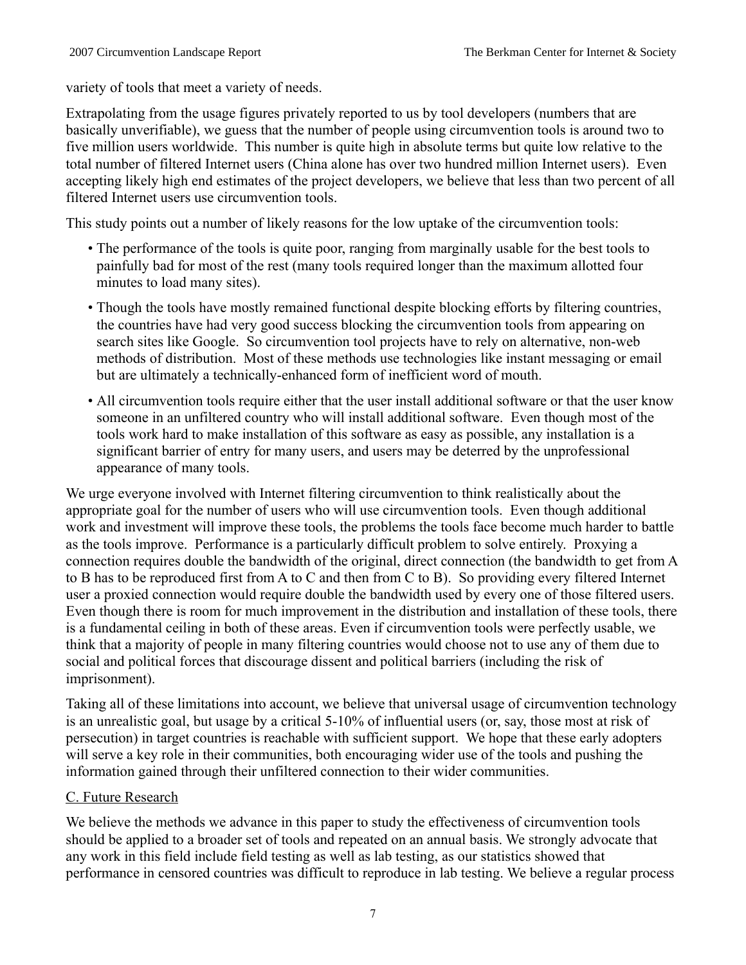variety of tools that meet a variety of needs.

Extrapolating from the usage figures privately reported to us by tool developers (numbers that are basically unverifiable), we guess that the number of people using circumvention tools is around two to five million users worldwide. This number is quite high in absolute terms but quite low relative to the total number of filtered Internet users (China alone has over two hundred million Internet users). Even accepting likely high end estimates of the project developers, we believe that less than two percent of all filtered Internet users use circumvention tools.

This study points out a number of likely reasons for the low uptake of the circumvention tools:

- The performance of the tools is quite poor, ranging from marginally usable for the best tools to painfully bad for most of the rest (many tools required longer than the maximum allotted four minutes to load many sites).
- Though the tools have mostly remained functional despite blocking efforts by filtering countries, the countries have had very good success blocking the circumvention tools from appearing on search sites like Google. So circumvention tool projects have to rely on alternative, non-web methods of distribution. Most of these methods use technologies like instant messaging or email but are ultimately a technically-enhanced form of inefficient word of mouth.
- All circumvention tools require either that the user install additional software or that the user know someone in an unfiltered country who will install additional software. Even though most of the tools work hard to make installation of this software as easy as possible, any installation is a significant barrier of entry for many users, and users may be deterred by the unprofessional appearance of many tools.

We urge everyone involved with Internet filtering circumvention to think realistically about the appropriate goal for the number of users who will use circumvention tools. Even though additional work and investment will improve these tools, the problems the tools face become much harder to battle as the tools improve. Performance is a particularly difficult problem to solve entirely. Proxying a connection requires double the bandwidth of the original, direct connection (the bandwidth to get from A to B has to be reproduced first from A to C and then from C to B). So providing every filtered Internet user a proxied connection would require double the bandwidth used by every one of those filtered users. Even though there is room for much improvement in the distribution and installation of these tools, there is a fundamental ceiling in both of these areas. Even if circumvention tools were perfectly usable, we think that a majority of people in many filtering countries would choose not to use any of them due to social and political forces that discourage dissent and political barriers (including the risk of imprisonment).

Taking all of these limitations into account, we believe that universal usage of circumvention technology is an unrealistic goal, but usage by a critical 5-10% of influential users (or, say, those most at risk of persecution) in target countries is reachable with sufficient support. We hope that these early adopters will serve a key role in their communities, both encouraging wider use of the tools and pushing the information gained through their unfiltered connection to their wider communities.

# C. Future Research

We believe the methods we advance in this paper to study the effectiveness of circumvention tools should be applied to a broader set of tools and repeated on an annual basis. We strongly advocate that any work in this field include field testing as well as lab testing, as our statistics showed that performance in censored countries was difficult to reproduce in lab testing. We believe a regular process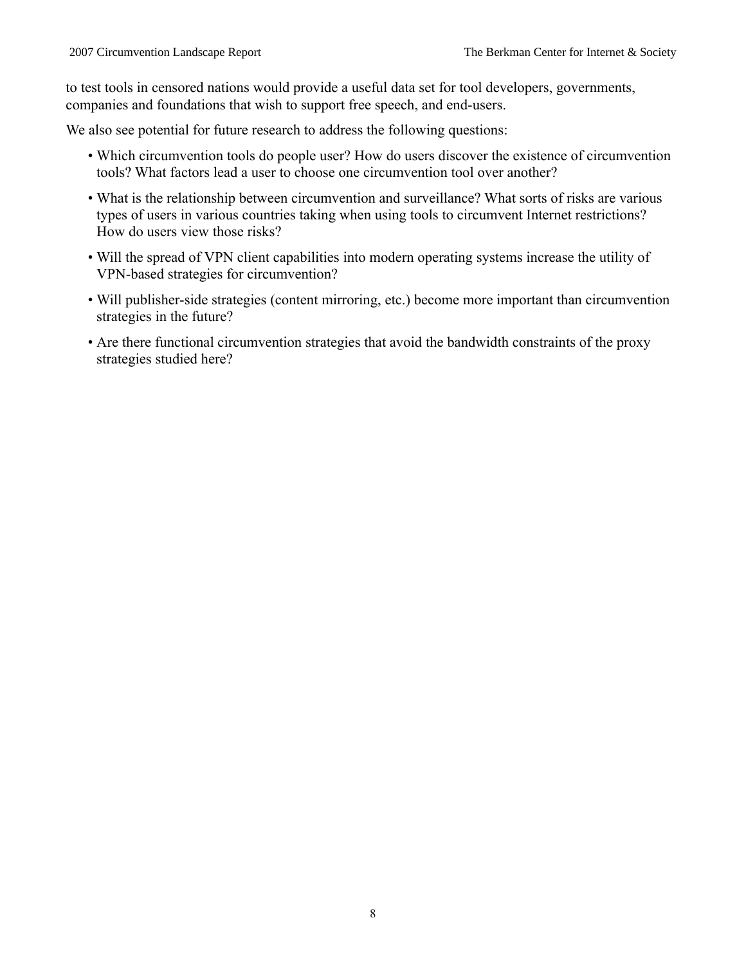to test tools in censored nations would provide a useful data set for tool developers, governments, companies and foundations that wish to support free speech, and end-users.

We also see potential for future research to address the following questions:

- Which circumvention tools do people user? How do users discover the existence of circumvention tools? What factors lead a user to choose one circumvention tool over another?
- What is the relationship between circumvention and surveillance? What sorts of risks are various types of users in various countries taking when using tools to circumvent Internet restrictions? How do users view those risks?
- Will the spread of VPN client capabilities into modern operating systems increase the utility of VPN-based strategies for circumvention?
- Will publisher-side strategies (content mirroring, etc.) become more important than circumvention strategies in the future?
- Are there functional circumvention strategies that avoid the bandwidth constraints of the proxy strategies studied here?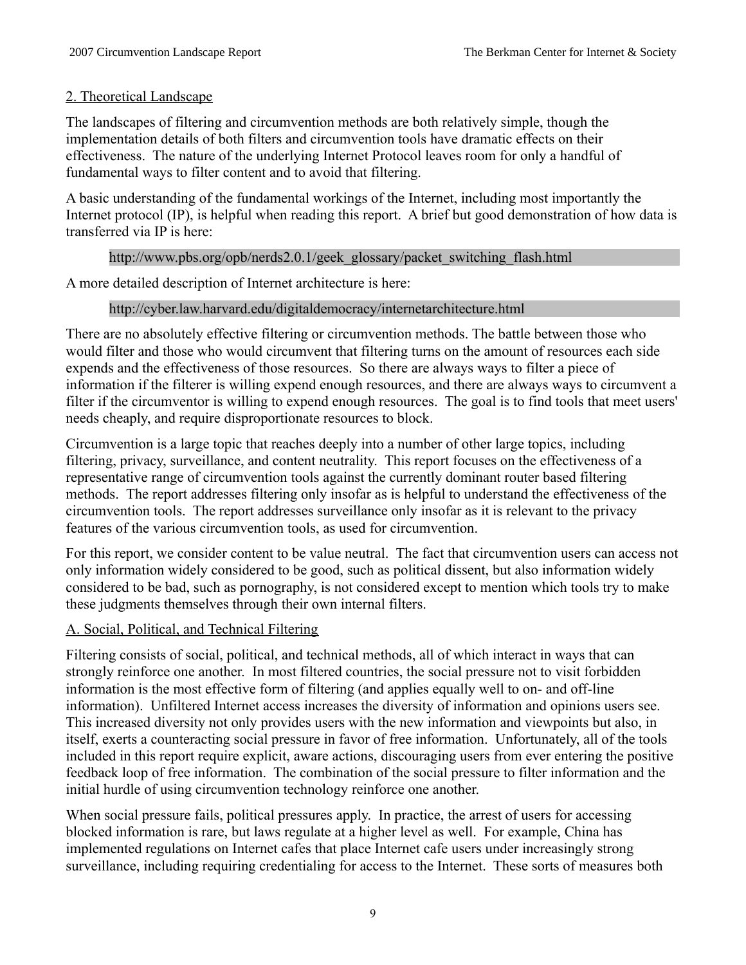# 2. Theoretical Landscape

The landscapes of filtering and circumvention methods are both relatively simple, though the implementation details of both filters and circumvention tools have dramatic effects on their effectiveness. The nature of the underlying Internet Protocol leaves room for only a handful of fundamental ways to filter content and to avoid that filtering.

A basic understanding of the fundamental workings of the Internet, including most importantly the Internet protocol (IP), is helpful when reading this report. A brief but good demonstration of how data is transferred via IP is here:

# http://www.pbs.org/opb/nerds2.0.1/geek\_glossary/packet\_switching\_flash.html

A more detailed description of Internet architecture is here:

# http://cyber.law.harvard.edu/digitaldemocracy/internetarchitecture.html

There are no absolutely effective filtering or circumvention methods. The battle between those who would filter and those who would circumvent that filtering turns on the amount of resources each side expends and the effectiveness of those resources. So there are always ways to filter a piece of information if the filterer is willing expend enough resources, and there are always ways to circumvent a filter if the circumventor is willing to expend enough resources. The goal is to find tools that meet users' needs cheaply, and require disproportionate resources to block.

Circumvention is a large topic that reaches deeply into a number of other large topics, including filtering, privacy, surveillance, and content neutrality. This report focuses on the effectiveness of a representative range of circumvention tools against the currently dominant router based filtering methods. The report addresses filtering only insofar as is helpful to understand the effectiveness of the circumvention tools. The report addresses surveillance only insofar as it is relevant to the privacy features of the various circumvention tools, as used for circumvention.

For this report, we consider content to be value neutral. The fact that circumvention users can access not only information widely considered to be good, such as political dissent, but also information widely considered to be bad, such as pornography, is not considered except to mention which tools try to make these judgments themselves through their own internal filters.

# A. Social, Political, and Technical Filtering

Filtering consists of social, political, and technical methods, all of which interact in ways that can strongly reinforce one another. In most filtered countries, the social pressure not to visit forbidden information is the most effective form of filtering (and applies equally well to on- and off-line information). Unfiltered Internet access increases the diversity of information and opinions users see. This increased diversity not only provides users with the new information and viewpoints but also, in itself, exerts a counteracting social pressure in favor of free information. Unfortunately, all of the tools included in this report require explicit, aware actions, discouraging users from ever entering the positive feedback loop of free information. The combination of the social pressure to filter information and the initial hurdle of using circumvention technology reinforce one another.

When social pressure fails, political pressures apply. In practice, the arrest of users for accessing blocked information is rare, but laws regulate at a higher level as well. For example, China has implemented regulations on Internet cafes that place Internet cafe users under increasingly strong surveillance, including requiring credentialing for access to the Internet. These sorts of measures both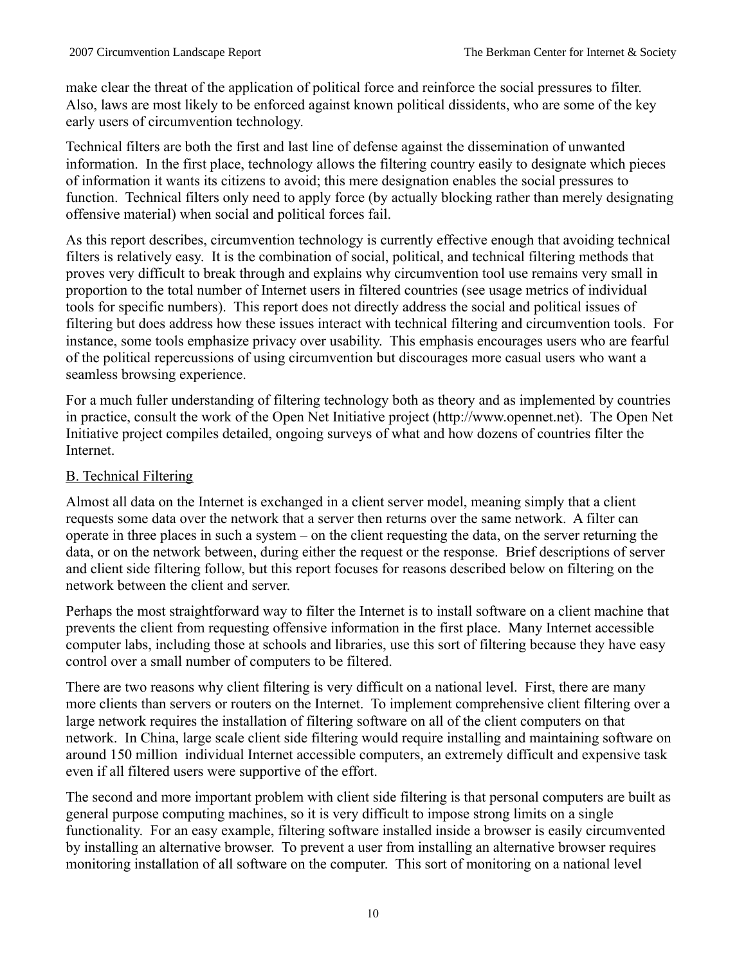make clear the threat of the application of political force and reinforce the social pressures to filter. Also, laws are most likely to be enforced against known political dissidents, who are some of the key early users of circumvention technology.

Technical filters are both the first and last line of defense against the dissemination of unwanted information. In the first place, technology allows the filtering country easily to designate which pieces of information it wants its citizens to avoid; this mere designation enables the social pressures to function. Technical filters only need to apply force (by actually blocking rather than merely designating offensive material) when social and political forces fail.

As this report describes, circumvention technology is currently effective enough that avoiding technical filters is relatively easy. It is the combination of social, political, and technical filtering methods that proves very difficult to break through and explains why circumvention tool use remains very small in proportion to the total number of Internet users in filtered countries (see usage metrics of individual tools for specific numbers). This report does not directly address the social and political issues of filtering but does address how these issues interact with technical filtering and circumvention tools. For instance, some tools emphasize privacy over usability. This emphasis encourages users who are fearful of the political repercussions of using circumvention but discourages more casual users who want a seamless browsing experience.

For a much fuller understanding of filtering technology both as theory and as implemented by countries in practice, consult the work of the Open Net Initiative project (http://www.opennet.net). The Open Net Initiative project compiles detailed, ongoing surveys of what and how dozens of countries filter the Internet.

# B. Technical Filtering

Almost all data on the Internet is exchanged in a client server model, meaning simply that a client requests some data over the network that a server then returns over the same network. A filter can operate in three places in such a system – on the client requesting the data, on the server returning the data, or on the network between, during either the request or the response. Brief descriptions of server and client side filtering follow, but this report focuses for reasons described below on filtering on the network between the client and server.

Perhaps the most straightforward way to filter the Internet is to install software on a client machine that prevents the client from requesting offensive information in the first place. Many Internet accessible computer labs, including those at schools and libraries, use this sort of filtering because they have easy control over a small number of computers to be filtered.

There are two reasons why client filtering is very difficult on a national level. First, there are many more clients than servers or routers on the Internet. To implement comprehensive client filtering over a large network requires the installation of filtering software on all of the client computers on that network. In China, large scale client side filtering would require installing and maintaining software on around 150 million individual Internet accessible computers, an extremely difficult and expensive task even if all filtered users were supportive of the effort.

The second and more important problem with client side filtering is that personal computers are built as general purpose computing machines, so it is very difficult to impose strong limits on a single functionality. For an easy example, filtering software installed inside a browser is easily circumvented by installing an alternative browser. To prevent a user from installing an alternative browser requires monitoring installation of all software on the computer. This sort of monitoring on a national level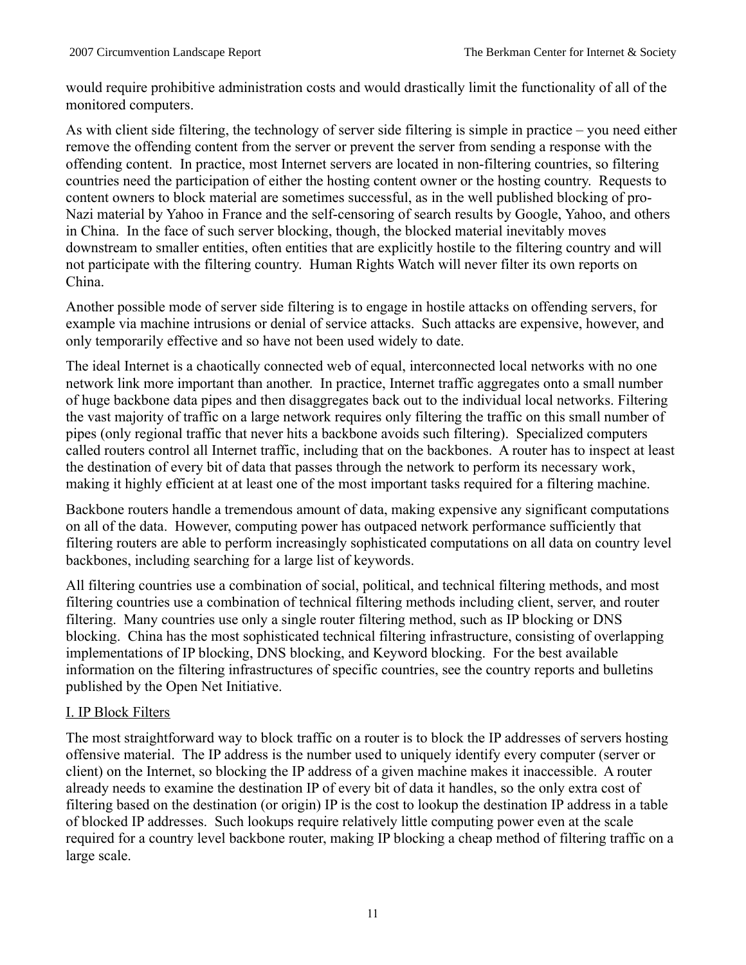would require prohibitive administration costs and would drastically limit the functionality of all of the monitored computers.

As with client side filtering, the technology of server side filtering is simple in practice – you need either remove the offending content from the server or prevent the server from sending a response with the offending content. In practice, most Internet servers are located in non-filtering countries, so filtering countries need the participation of either the hosting content owner or the hosting country. Requests to content owners to block material are sometimes successful, as in the well published blocking of pro-Nazi material by Yahoo in France and the self-censoring of search results by Google, Yahoo, and others in China. In the face of such server blocking, though, the blocked material inevitably moves downstream to smaller entities, often entities that are explicitly hostile to the filtering country and will not participate with the filtering country. Human Rights Watch will never filter its own reports on China.

Another possible mode of server side filtering is to engage in hostile attacks on offending servers, for example via machine intrusions or denial of service attacks. Such attacks are expensive, however, and only temporarily effective and so have not been used widely to date.

The ideal Internet is a chaotically connected web of equal, interconnected local networks with no one network link more important than another. In practice, Internet traffic aggregates onto a small number of huge backbone data pipes and then disaggregates back out to the individual local networks. Filtering the vast majority of traffic on a large network requires only filtering the traffic on this small number of pipes (only regional traffic that never hits a backbone avoids such filtering). Specialized computers called routers control all Internet traffic, including that on the backbones. A router has to inspect at least the destination of every bit of data that passes through the network to perform its necessary work, making it highly efficient at at least one of the most important tasks required for a filtering machine.

Backbone routers handle a tremendous amount of data, making expensive any significant computations on all of the data. However, computing power has outpaced network performance sufficiently that filtering routers are able to perform increasingly sophisticated computations on all data on country level backbones, including searching for a large list of keywords.

All filtering countries use a combination of social, political, and technical filtering methods, and most filtering countries use a combination of technical filtering methods including client, server, and router filtering. Many countries use only a single router filtering method, such as IP blocking or DNS blocking. China has the most sophisticated technical filtering infrastructure, consisting of overlapping implementations of IP blocking, DNS blocking, and Keyword blocking. For the best available information on the filtering infrastructures of specific countries, see the country reports and bulletins published by the Open Net Initiative.

# I. IP Block Filters

The most straightforward way to block traffic on a router is to block the IP addresses of servers hosting offensive material. The IP address is the number used to uniquely identify every computer (server or client) on the Internet, so blocking the IP address of a given machine makes it inaccessible. A router already needs to examine the destination IP of every bit of data it handles, so the only extra cost of filtering based on the destination (or origin) IP is the cost to lookup the destination IP address in a table of blocked IP addresses. Such lookups require relatively little computing power even at the scale required for a country level backbone router, making IP blocking a cheap method of filtering traffic on a large scale.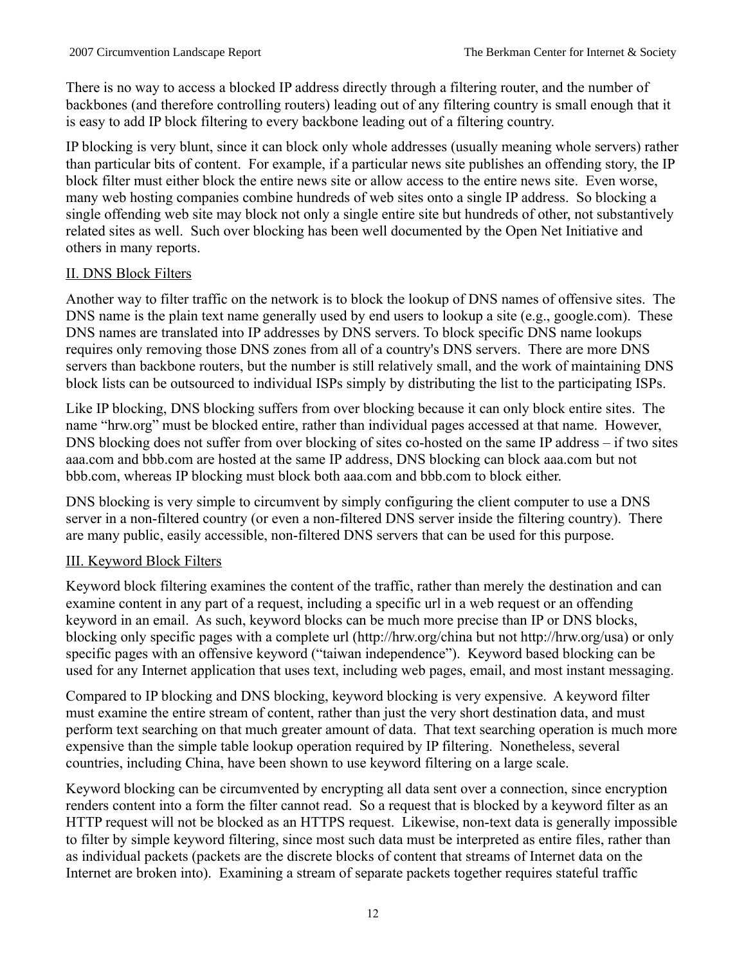There is no way to access a blocked IP address directly through a filtering router, and the number of backbones (and therefore controlling routers) leading out of any filtering country is small enough that it is easy to add IP block filtering to every backbone leading out of a filtering country.

IP blocking is very blunt, since it can block only whole addresses (usually meaning whole servers) rather than particular bits of content. For example, if a particular news site publishes an offending story, the IP block filter must either block the entire news site or allow access to the entire news site. Even worse, many web hosting companies combine hundreds of web sites onto a single IP address. So blocking a single offending web site may block not only a single entire site but hundreds of other, not substantively related sites as well. Such over blocking has been well documented by the Open Net Initiative and others in many reports.

# II. DNS Block Filters

Another way to filter traffic on the network is to block the lookup of DNS names of offensive sites. The DNS name is the plain text name generally used by end users to lookup a site (e.g., google.com). These DNS names are translated into IP addresses by DNS servers. To block specific DNS name lookups requires only removing those DNS zones from all of a country's DNS servers. There are more DNS servers than backbone routers, but the number is still relatively small, and the work of maintaining DNS block lists can be outsourced to individual ISPs simply by distributing the list to the participating ISPs.

Like IP blocking, DNS blocking suffers from over blocking because it can only block entire sites. The name "hrw.org" must be blocked entire, rather than individual pages accessed at that name. However, DNS blocking does not suffer from over blocking of sites co-hosted on the same IP address – if two sites aaa.com and bbb.com are hosted at the same IP address, DNS blocking can block aaa.com but not bbb.com, whereas IP blocking must block both aaa.com and bbb.com to block either.

DNS blocking is very simple to circumvent by simply configuring the client computer to use a DNS server in a non-filtered country (or even a non-filtered DNS server inside the filtering country). There are many public, easily accessible, non-filtered DNS servers that can be used for this purpose.

# III. Keyword Block Filters

Keyword block filtering examines the content of the traffic, rather than merely the destination and can examine content in any part of a request, including a specific url in a web request or an offending keyword in an email. As such, keyword blocks can be much more precise than IP or DNS blocks, blocking only specific pages with a complete url (http://hrw.org/china but not http://hrw.org/usa) or only specific pages with an offensive keyword ("taiwan independence"). Keyword based blocking can be used for any Internet application that uses text, including web pages, email, and most instant messaging.

Compared to IP blocking and DNS blocking, keyword blocking is very expensive. A keyword filter must examine the entire stream of content, rather than just the very short destination data, and must perform text searching on that much greater amount of data. That text searching operation is much more expensive than the simple table lookup operation required by IP filtering. Nonetheless, several countries, including China, have been shown to use keyword filtering on a large scale.

Keyword blocking can be circumvented by encrypting all data sent over a connection, since encryption renders content into a form the filter cannot read. So a request that is blocked by a keyword filter as an HTTP request will not be blocked as an HTTPS request. Likewise, non-text data is generally impossible to filter by simple keyword filtering, since most such data must be interpreted as entire files, rather than as individual packets (packets are the discrete blocks of content that streams of Internet data on the Internet are broken into). Examining a stream of separate packets together requires stateful traffic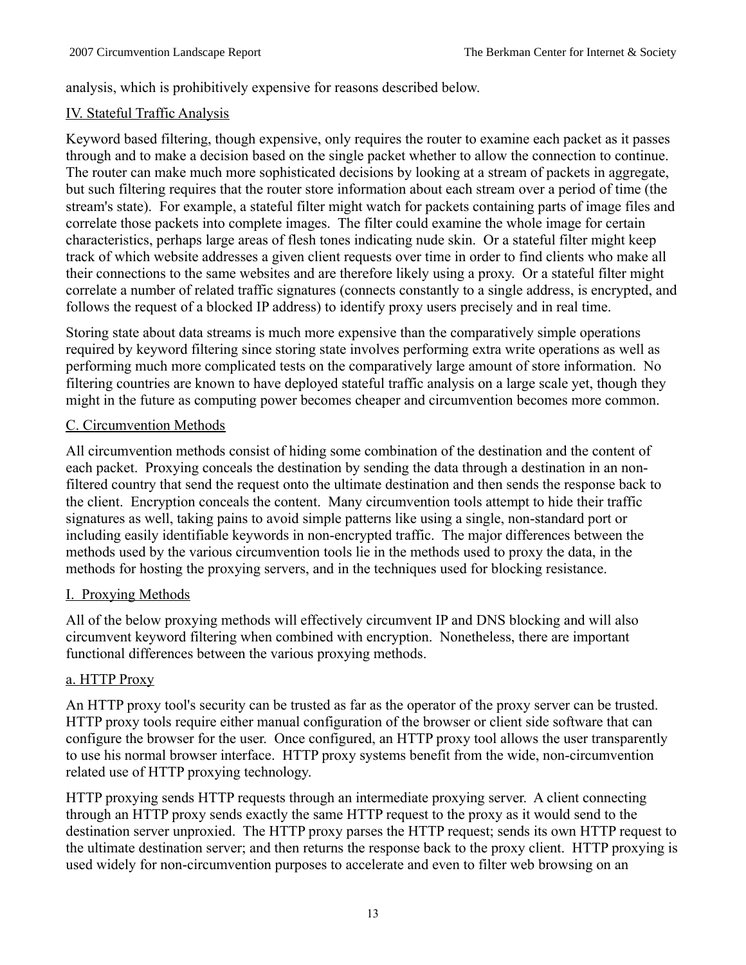analysis, which is prohibitively expensive for reasons described below.

# IV. Stateful Traffic Analysis

Keyword based filtering, though expensive, only requires the router to examine each packet as it passes through and to make a decision based on the single packet whether to allow the connection to continue. The router can make much more sophisticated decisions by looking at a stream of packets in aggregate, but such filtering requires that the router store information about each stream over a period of time (the stream's state). For example, a stateful filter might watch for packets containing parts of image files and correlate those packets into complete images. The filter could examine the whole image for certain characteristics, perhaps large areas of flesh tones indicating nude skin. Or a stateful filter might keep track of which website addresses a given client requests over time in order to find clients who make all their connections to the same websites and are therefore likely using a proxy. Or a stateful filter might correlate a number of related traffic signatures (connects constantly to a single address, is encrypted, and follows the request of a blocked IP address) to identify proxy users precisely and in real time.

Storing state about data streams is much more expensive than the comparatively simple operations required by keyword filtering since storing state involves performing extra write operations as well as performing much more complicated tests on the comparatively large amount of store information. No filtering countries are known to have deployed stateful traffic analysis on a large scale yet, though they might in the future as computing power becomes cheaper and circumvention becomes more common.

# C. Circumvention Methods

All circumvention methods consist of hiding some combination of the destination and the content of each packet. Proxying conceals the destination by sending the data through a destination in an nonfiltered country that send the request onto the ultimate destination and then sends the response back to the client. Encryption conceals the content. Many circumvention tools attempt to hide their traffic signatures as well, taking pains to avoid simple patterns like using a single, non-standard port or including easily identifiable keywords in non-encrypted traffic. The major differences between the methods used by the various circumvention tools lie in the methods used to proxy the data, in the methods for hosting the proxying servers, and in the techniques used for blocking resistance.

# I. Proxying Methods

All of the below proxying methods will effectively circumvent IP and DNS blocking and will also circumvent keyword filtering when combined with encryption. Nonetheless, there are important functional differences between the various proxying methods.

# a. HTTP Proxy

An HTTP proxy tool's security can be trusted as far as the operator of the proxy server can be trusted. HTTP proxy tools require either manual configuration of the browser or client side software that can configure the browser for the user. Once configured, an HTTP proxy tool allows the user transparently to use his normal browser interface. HTTP proxy systems benefit from the wide, non-circumvention related use of HTTP proxying technology.

HTTP proxying sends HTTP requests through an intermediate proxying server. A client connecting through an HTTP proxy sends exactly the same HTTP request to the proxy as it would send to the destination server unproxied. The HTTP proxy parses the HTTP request; sends its own HTTP request to the ultimate destination server; and then returns the response back to the proxy client. HTTP proxying is used widely for non-circumvention purposes to accelerate and even to filter web browsing on an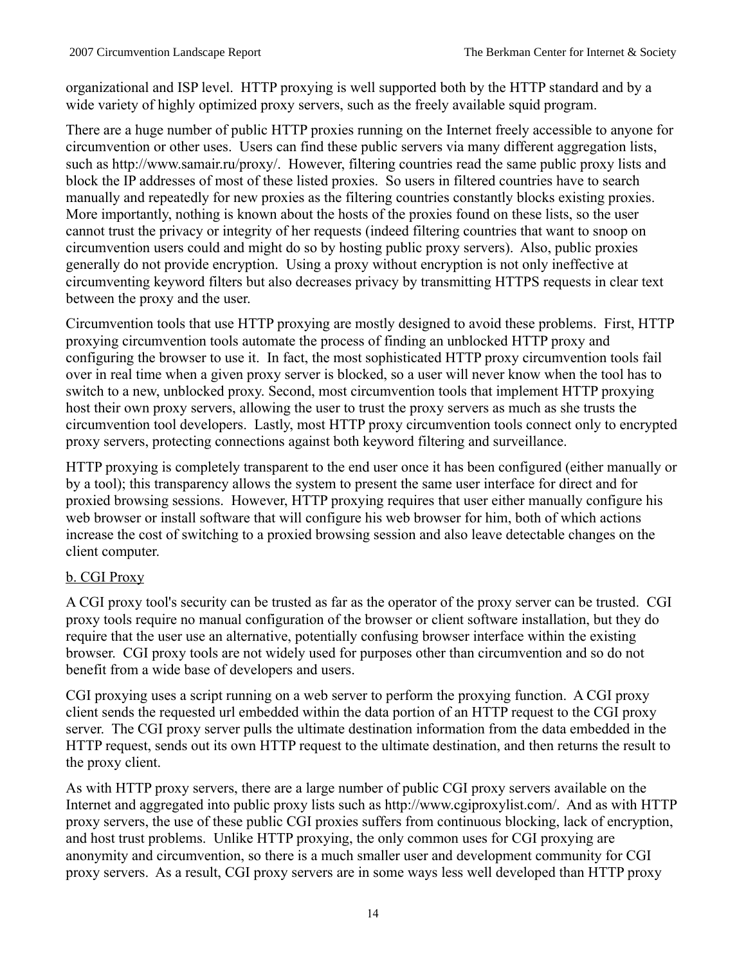organizational and ISP level. HTTP proxying is well supported both by the HTTP standard and by a wide variety of highly optimized proxy servers, such as the freely available squid program.

There are a huge number of public HTTP proxies running on the Internet freely accessible to anyone for circumvention or other uses. Users can find these public servers via many different aggregation lists, such as http://www.samair.ru/proxy/. However, filtering countries read the same public proxy lists and block the IP addresses of most of these listed proxies. So users in filtered countries have to search manually and repeatedly for new proxies as the filtering countries constantly blocks existing proxies. More importantly, nothing is known about the hosts of the proxies found on these lists, so the user cannot trust the privacy or integrity of her requests (indeed filtering countries that want to snoop on circumvention users could and might do so by hosting public proxy servers). Also, public proxies generally do not provide encryption. Using a proxy without encryption is not only ineffective at circumventing keyword filters but also decreases privacy by transmitting HTTPS requests in clear text between the proxy and the user.

Circumvention tools that use HTTP proxying are mostly designed to avoid these problems. First, HTTP proxying circumvention tools automate the process of finding an unblocked HTTP proxy and configuring the browser to use it. In fact, the most sophisticated HTTP proxy circumvention tools fail over in real time when a given proxy server is blocked, so a user will never know when the tool has to switch to a new, unblocked proxy. Second, most circumvention tools that implement HTTP proxying host their own proxy servers, allowing the user to trust the proxy servers as much as she trusts the circumvention tool developers. Lastly, most HTTP proxy circumvention tools connect only to encrypted proxy servers, protecting connections against both keyword filtering and surveillance.

HTTP proxying is completely transparent to the end user once it has been configured (either manually or by a tool); this transparency allows the system to present the same user interface for direct and for proxied browsing sessions. However, HTTP proxying requires that user either manually configure his web browser or install software that will configure his web browser for him, both of which actions increase the cost of switching to a proxied browsing session and also leave detectable changes on the client computer.

# b. CGI Proxy

A CGI proxy tool's security can be trusted as far as the operator of the proxy server can be trusted. CGI proxy tools require no manual configuration of the browser or client software installation, but they do require that the user use an alternative, potentially confusing browser interface within the existing browser. CGI proxy tools are not widely used for purposes other than circumvention and so do not benefit from a wide base of developers and users.

CGI proxying uses a script running on a web server to perform the proxying function. A CGI proxy client sends the requested url embedded within the data portion of an HTTP request to the CGI proxy server. The CGI proxy server pulls the ultimate destination information from the data embedded in the HTTP request, sends out its own HTTP request to the ultimate destination, and then returns the result to the proxy client.

As with HTTP proxy servers, there are a large number of public CGI proxy servers available on the Internet and aggregated into public proxy lists such as http://www.cgiproxylist.com/. And as with HTTP proxy servers, the use of these public CGI proxies suffers from continuous blocking, lack of encryption, and host trust problems. Unlike HTTP proxying, the only common uses for CGI proxying are anonymity and circumvention, so there is a much smaller user and development community for CGI proxy servers. As a result, CGI proxy servers are in some ways less well developed than HTTP proxy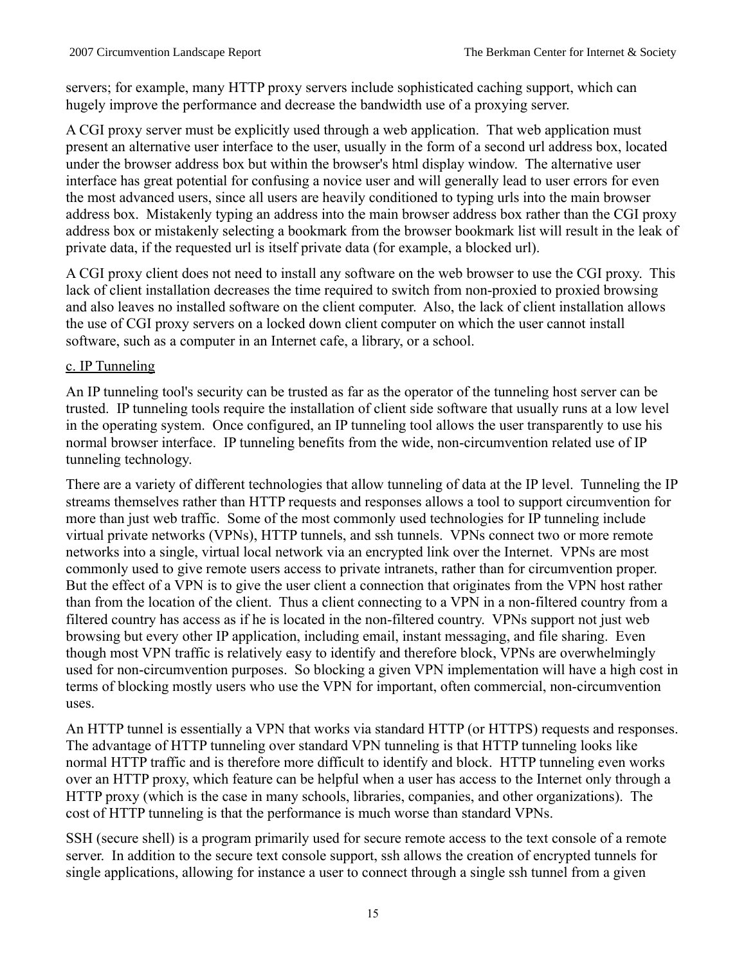servers; for example, many HTTP proxy servers include sophisticated caching support, which can hugely improve the performance and decrease the bandwidth use of a proxying server.

A CGI proxy server must be explicitly used through a web application. That web application must present an alternative user interface to the user, usually in the form of a second url address box, located under the browser address box but within the browser's html display window. The alternative user interface has great potential for confusing a novice user and will generally lead to user errors for even the most advanced users, since all users are heavily conditioned to typing urls into the main browser address box. Mistakenly typing an address into the main browser address box rather than the CGI proxy address box or mistakenly selecting a bookmark from the browser bookmark list will result in the leak of private data, if the requested url is itself private data (for example, a blocked url).

A CGI proxy client does not need to install any software on the web browser to use the CGI proxy. This lack of client installation decreases the time required to switch from non-proxied to proxied browsing and also leaves no installed software on the client computer. Also, the lack of client installation allows the use of CGI proxy servers on a locked down client computer on which the user cannot install software, such as a computer in an Internet cafe, a library, or a school.

#### c. IP Tunneling

An IP tunneling tool's security can be trusted as far as the operator of the tunneling host server can be trusted. IP tunneling tools require the installation of client side software that usually runs at a low level in the operating system. Once configured, an IP tunneling tool allows the user transparently to use his normal browser interface. IP tunneling benefits from the wide, non-circumvention related use of IP tunneling technology.

There are a variety of different technologies that allow tunneling of data at the IP level. Tunneling the IP streams themselves rather than HTTP requests and responses allows a tool to support circumvention for more than just web traffic. Some of the most commonly used technologies for IP tunneling include virtual private networks (VPNs), HTTP tunnels, and ssh tunnels. VPNs connect two or more remote networks into a single, virtual local network via an encrypted link over the Internet. VPNs are most commonly used to give remote users access to private intranets, rather than for circumvention proper. But the effect of a VPN is to give the user client a connection that originates from the VPN host rather than from the location of the client. Thus a client connecting to a VPN in a non-filtered country from a filtered country has access as if he is located in the non-filtered country. VPNs support not just web browsing but every other IP application, including email, instant messaging, and file sharing. Even though most VPN traffic is relatively easy to identify and therefore block, VPNs are overwhelmingly used for non-circumvention purposes. So blocking a given VPN implementation will have a high cost in terms of blocking mostly users who use the VPN for important, often commercial, non-circumvention uses.

An HTTP tunnel is essentially a VPN that works via standard HTTP (or HTTPS) requests and responses. The advantage of HTTP tunneling over standard VPN tunneling is that HTTP tunneling looks like normal HTTP traffic and is therefore more difficult to identify and block. HTTP tunneling even works over an HTTP proxy, which feature can be helpful when a user has access to the Internet only through a HTTP proxy (which is the case in many schools, libraries, companies, and other organizations). The cost of HTTP tunneling is that the performance is much worse than standard VPNs.

SSH (secure shell) is a program primarily used for secure remote access to the text console of a remote server. In addition to the secure text console support, ssh allows the creation of encrypted tunnels for single applications, allowing for instance a user to connect through a single ssh tunnel from a given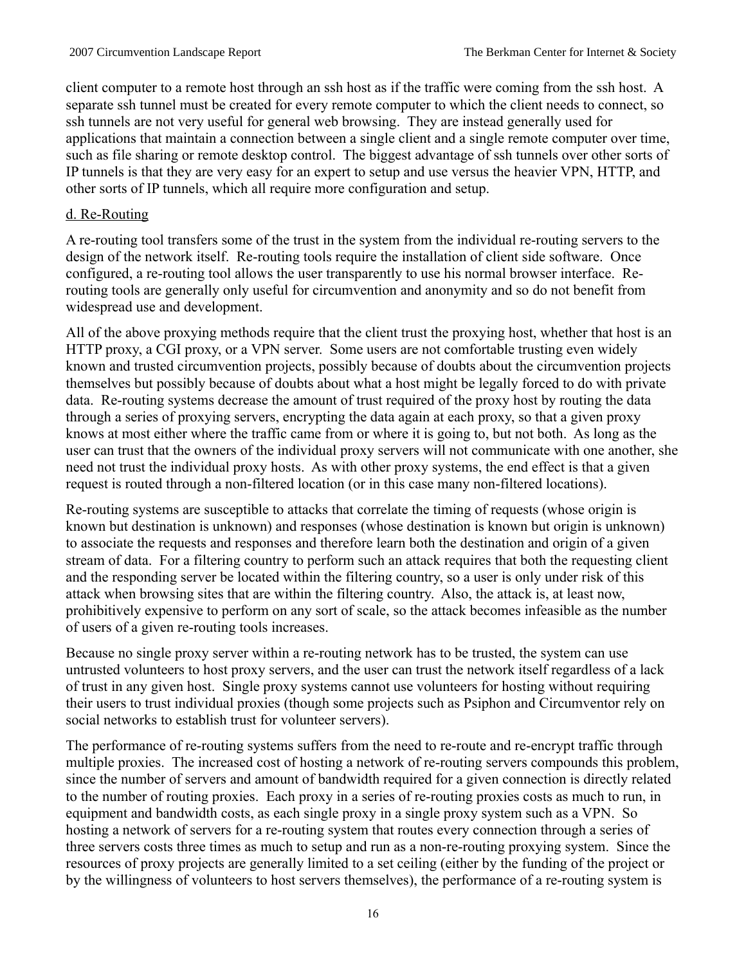client computer to a remote host through an ssh host as if the traffic were coming from the ssh host. A separate ssh tunnel must be created for every remote computer to which the client needs to connect, so ssh tunnels are not very useful for general web browsing. They are instead generally used for applications that maintain a connection between a single client and a single remote computer over time, such as file sharing or remote desktop control. The biggest advantage of ssh tunnels over other sorts of IP tunnels is that they are very easy for an expert to setup and use versus the heavier VPN, HTTP, and other sorts of IP tunnels, which all require more configuration and setup.

#### d. Re-Routing

A re-routing tool transfers some of the trust in the system from the individual re-routing servers to the design of the network itself. Re-routing tools require the installation of client side software. Once configured, a re-routing tool allows the user transparently to use his normal browser interface. Rerouting tools are generally only useful for circumvention and anonymity and so do not benefit from widespread use and development.

All of the above proxying methods require that the client trust the proxying host, whether that host is an HTTP proxy, a CGI proxy, or a VPN server. Some users are not comfortable trusting even widely known and trusted circumvention projects, possibly because of doubts about the circumvention projects themselves but possibly because of doubts about what a host might be legally forced to do with private data. Re-routing systems decrease the amount of trust required of the proxy host by routing the data through a series of proxying servers, encrypting the data again at each proxy, so that a given proxy knows at most either where the traffic came from or where it is going to, but not both. As long as the user can trust that the owners of the individual proxy servers will not communicate with one another, she need not trust the individual proxy hosts. As with other proxy systems, the end effect is that a given request is routed through a non-filtered location (or in this case many non-filtered locations).

Re-routing systems are susceptible to attacks that correlate the timing of requests (whose origin is known but destination is unknown) and responses (whose destination is known but origin is unknown) to associate the requests and responses and therefore learn both the destination and origin of a given stream of data. For a filtering country to perform such an attack requires that both the requesting client and the responding server be located within the filtering country, so a user is only under risk of this attack when browsing sites that are within the filtering country. Also, the attack is, at least now, prohibitively expensive to perform on any sort of scale, so the attack becomes infeasible as the number of users of a given re-routing tools increases.

Because no single proxy server within a re-routing network has to be trusted, the system can use untrusted volunteers to host proxy servers, and the user can trust the network itself regardless of a lack of trust in any given host. Single proxy systems cannot use volunteers for hosting without requiring their users to trust individual proxies (though some projects such as Psiphon and Circumventor rely on social networks to establish trust for volunteer servers).

The performance of re-routing systems suffers from the need to re-route and re-encrypt traffic through multiple proxies. The increased cost of hosting a network of re-routing servers compounds this problem, since the number of servers and amount of bandwidth required for a given connection is directly related to the number of routing proxies. Each proxy in a series of re-routing proxies costs as much to run, in equipment and bandwidth costs, as each single proxy in a single proxy system such as a VPN. So hosting a network of servers for a re-routing system that routes every connection through a series of three servers costs three times as much to setup and run as a non-re-routing proxying system. Since the resources of proxy projects are generally limited to a set ceiling (either by the funding of the project or by the willingness of volunteers to host servers themselves), the performance of a re-routing system is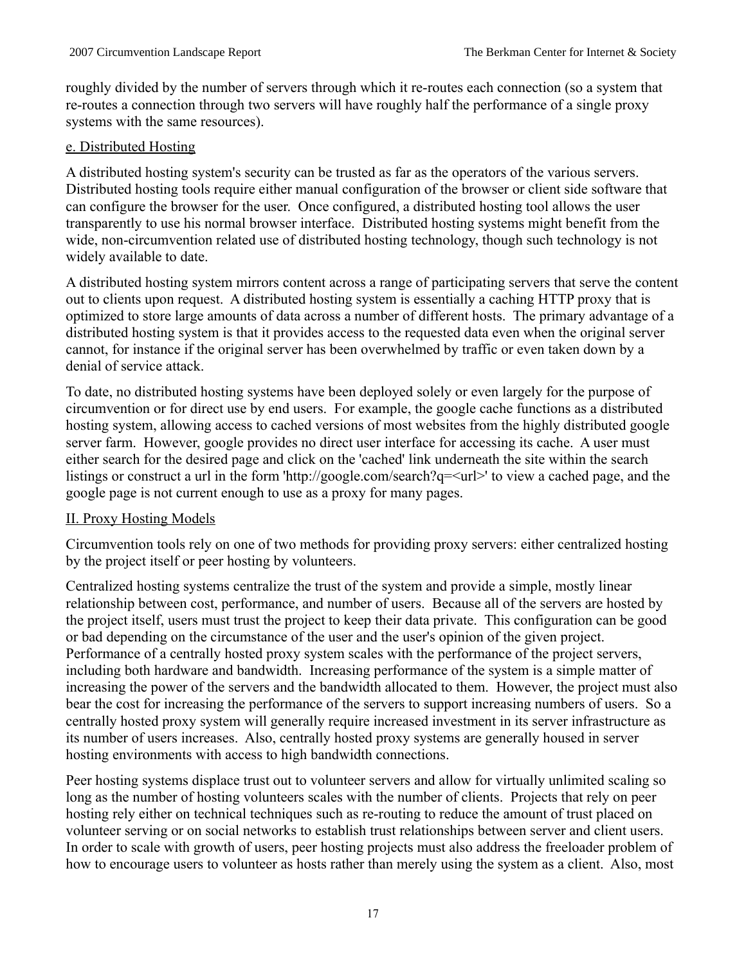roughly divided by the number of servers through which it re-routes each connection (so a system that re-routes a connection through two servers will have roughly half the performance of a single proxy systems with the same resources).

#### e. Distributed Hosting

A distributed hosting system's security can be trusted as far as the operators of the various servers. Distributed hosting tools require either manual configuration of the browser or client side software that can configure the browser for the user. Once configured, a distributed hosting tool allows the user transparently to use his normal browser interface. Distributed hosting systems might benefit from the wide, non-circumvention related use of distributed hosting technology, though such technology is not widely available to date.

A distributed hosting system mirrors content across a range of participating servers that serve the content out to clients upon request. A distributed hosting system is essentially a caching HTTP proxy that is optimized to store large amounts of data across a number of different hosts. The primary advantage of a distributed hosting system is that it provides access to the requested data even when the original server cannot, for instance if the original server has been overwhelmed by traffic or even taken down by a denial of service attack.

To date, no distributed hosting systems have been deployed solely or even largely for the purpose of circumvention or for direct use by end users. For example, the google cache functions as a distributed hosting system, allowing access to cached versions of most websites from the highly distributed google server farm. However, google provides no direct user interface for accessing its cache. A user must either search for the desired page and click on the 'cached' link underneath the site within the search listings or construct a url in the form 'http://google.com/search?q=<url>' to view a cached page, and the google page is not current enough to use as a proxy for many pages.

# II. Proxy Hosting Models

Circumvention tools rely on one of two methods for providing proxy servers: either centralized hosting by the project itself or peer hosting by volunteers.

Centralized hosting systems centralize the trust of the system and provide a simple, mostly linear relationship between cost, performance, and number of users. Because all of the servers are hosted by the project itself, users must trust the project to keep their data private. This configuration can be good or bad depending on the circumstance of the user and the user's opinion of the given project. Performance of a centrally hosted proxy system scales with the performance of the project servers, including both hardware and bandwidth. Increasing performance of the system is a simple matter of increasing the power of the servers and the bandwidth allocated to them. However, the project must also bear the cost for increasing the performance of the servers to support increasing numbers of users. So a centrally hosted proxy system will generally require increased investment in its server infrastructure as its number of users increases. Also, centrally hosted proxy systems are generally housed in server hosting environments with access to high bandwidth connections.

Peer hosting systems displace trust out to volunteer servers and allow for virtually unlimited scaling so long as the number of hosting volunteers scales with the number of clients. Projects that rely on peer hosting rely either on technical techniques such as re-routing to reduce the amount of trust placed on volunteer serving or on social networks to establish trust relationships between server and client users. In order to scale with growth of users, peer hosting projects must also address the freeloader problem of how to encourage users to volunteer as hosts rather than merely using the system as a client. Also, most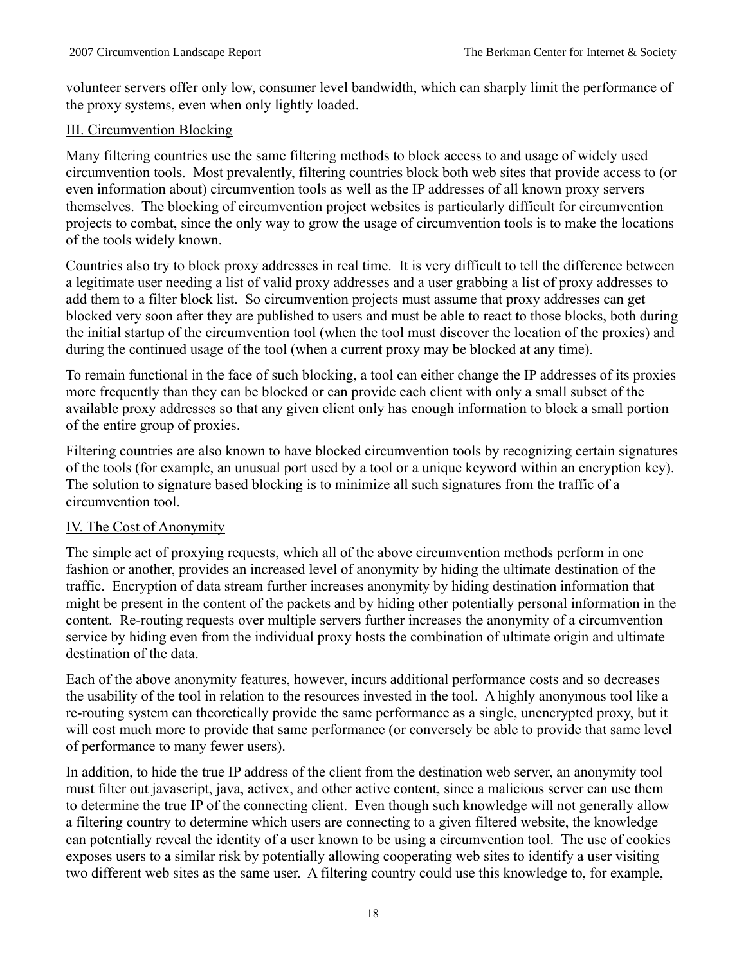volunteer servers offer only low, consumer level bandwidth, which can sharply limit the performance of the proxy systems, even when only lightly loaded.

# III. Circumvention Blocking

Many filtering countries use the same filtering methods to block access to and usage of widely used circumvention tools. Most prevalently, filtering countries block both web sites that provide access to (or even information about) circumvention tools as well as the IP addresses of all known proxy servers themselves. The blocking of circumvention project websites is particularly difficult for circumvention projects to combat, since the only way to grow the usage of circumvention tools is to make the locations of the tools widely known.

Countries also try to block proxy addresses in real time. It is very difficult to tell the difference between a legitimate user needing a list of valid proxy addresses and a user grabbing a list of proxy addresses to add them to a filter block list. So circumvention projects must assume that proxy addresses can get blocked very soon after they are published to users and must be able to react to those blocks, both during the initial startup of the circumvention tool (when the tool must discover the location of the proxies) and during the continued usage of the tool (when a current proxy may be blocked at any time).

To remain functional in the face of such blocking, a tool can either change the IP addresses of its proxies more frequently than they can be blocked or can provide each client with only a small subset of the available proxy addresses so that any given client only has enough information to block a small portion of the entire group of proxies.

Filtering countries are also known to have blocked circumvention tools by recognizing certain signatures of the tools (for example, an unusual port used by a tool or a unique keyword within an encryption key). The solution to signature based blocking is to minimize all such signatures from the traffic of a circumvention tool.

# IV. The Cost of Anonymity

The simple act of proxying requests, which all of the above circumvention methods perform in one fashion or another, provides an increased level of anonymity by hiding the ultimate destination of the traffic. Encryption of data stream further increases anonymity by hiding destination information that might be present in the content of the packets and by hiding other potentially personal information in the content. Re-routing requests over multiple servers further increases the anonymity of a circumvention service by hiding even from the individual proxy hosts the combination of ultimate origin and ultimate destination of the data.

Each of the above anonymity features, however, incurs additional performance costs and so decreases the usability of the tool in relation to the resources invested in the tool. A highly anonymous tool like a re-routing system can theoretically provide the same performance as a single, unencrypted proxy, but it will cost much more to provide that same performance (or conversely be able to provide that same level of performance to many fewer users).

In addition, to hide the true IP address of the client from the destination web server, an anonymity tool must filter out javascript, java, activex, and other active content, since a malicious server can use them to determine the true IP of the connecting client. Even though such knowledge will not generally allow a filtering country to determine which users are connecting to a given filtered website, the knowledge can potentially reveal the identity of a user known to be using a circumvention tool. The use of cookies exposes users to a similar risk by potentially allowing cooperating web sites to identify a user visiting two different web sites as the same user. A filtering country could use this knowledge to, for example,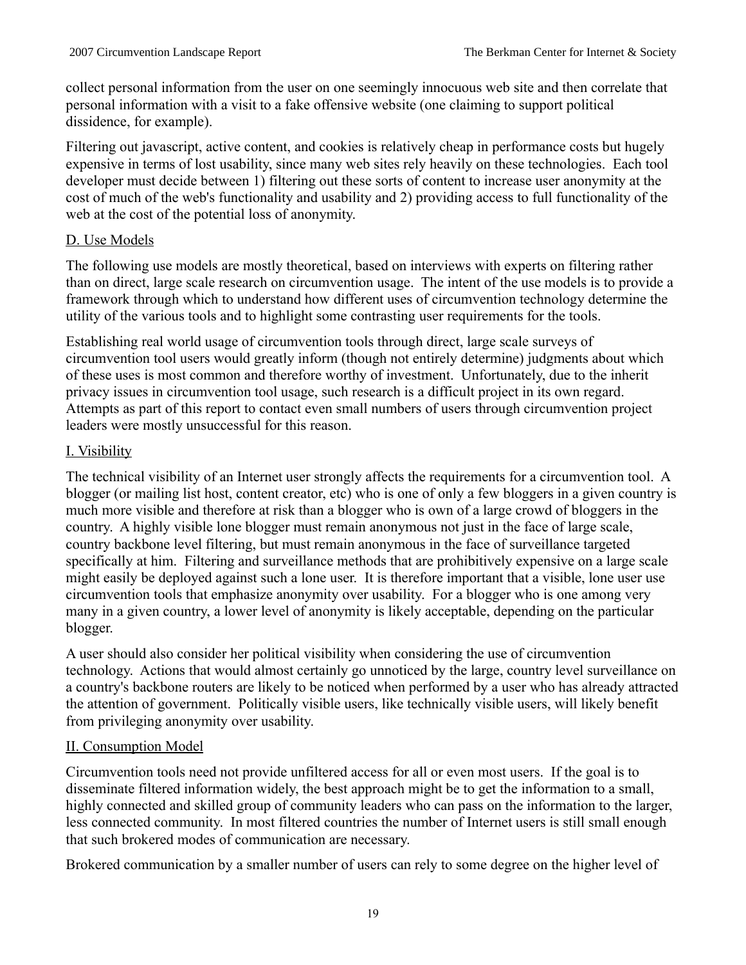collect personal information from the user on one seemingly innocuous web site and then correlate that personal information with a visit to a fake offensive website (one claiming to support political dissidence, for example).

Filtering out javascript, active content, and cookies is relatively cheap in performance costs but hugely expensive in terms of lost usability, since many web sites rely heavily on these technologies. Each tool developer must decide between 1) filtering out these sorts of content to increase user anonymity at the cost of much of the web's functionality and usability and 2) providing access to full functionality of the web at the cost of the potential loss of anonymity.

# D. Use Models

The following use models are mostly theoretical, based on interviews with experts on filtering rather than on direct, large scale research on circumvention usage. The intent of the use models is to provide a framework through which to understand how different uses of circumvention technology determine the utility of the various tools and to highlight some contrasting user requirements for the tools.

Establishing real world usage of circumvention tools through direct, large scale surveys of circumvention tool users would greatly inform (though not entirely determine) judgments about which of these uses is most common and therefore worthy of investment. Unfortunately, due to the inherit privacy issues in circumvention tool usage, such research is a difficult project in its own regard. Attempts as part of this report to contact even small numbers of users through circumvention project leaders were mostly unsuccessful for this reason.

# I. Visibility

The technical visibility of an Internet user strongly affects the requirements for a circumvention tool. A blogger (or mailing list host, content creator, etc) who is one of only a few bloggers in a given country is much more visible and therefore at risk than a blogger who is own of a large crowd of bloggers in the country. A highly visible lone blogger must remain anonymous not just in the face of large scale, country backbone level filtering, but must remain anonymous in the face of surveillance targeted specifically at him. Filtering and surveillance methods that are prohibitively expensive on a large scale might easily be deployed against such a lone user. It is therefore important that a visible, lone user use circumvention tools that emphasize anonymity over usability. For a blogger who is one among very many in a given country, a lower level of anonymity is likely acceptable, depending on the particular blogger.

A user should also consider her political visibility when considering the use of circumvention technology. Actions that would almost certainly go unnoticed by the large, country level surveillance on a country's backbone routers are likely to be noticed when performed by a user who has already attracted the attention of government. Politically visible users, like technically visible users, will likely benefit from privileging anonymity over usability.

# II. Consumption Model

Circumvention tools need not provide unfiltered access for all or even most users. If the goal is to disseminate filtered information widely, the best approach might be to get the information to a small, highly connected and skilled group of community leaders who can pass on the information to the larger, less connected community. In most filtered countries the number of Internet users is still small enough that such brokered modes of communication are necessary.

Brokered communication by a smaller number of users can rely to some degree on the higher level of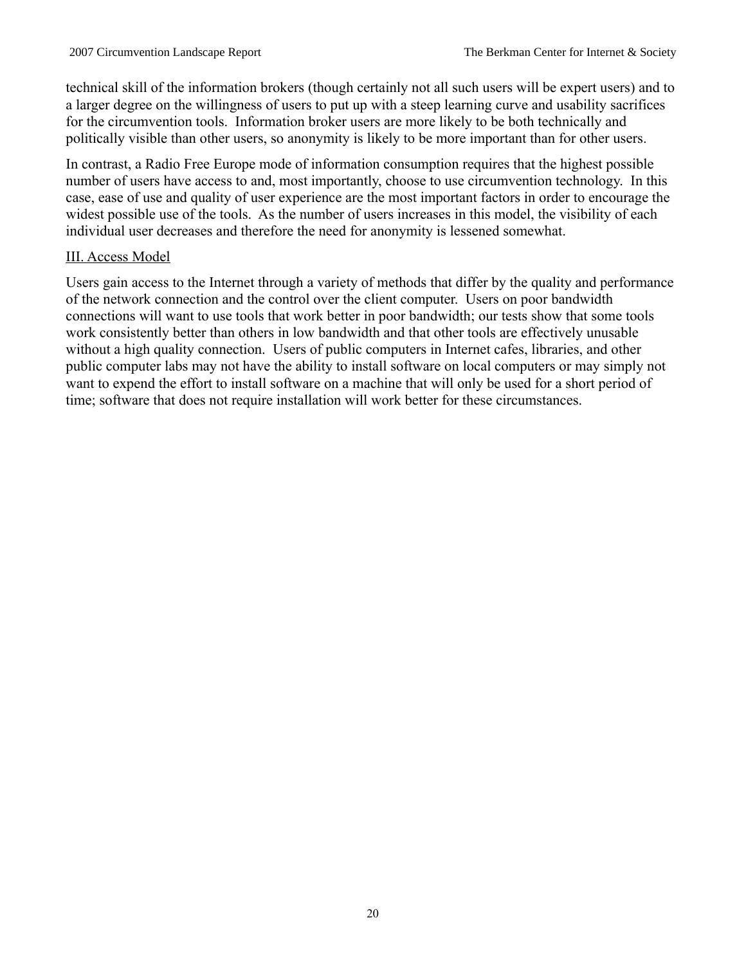technical skill of the information brokers (though certainly not all such users will be expert users) and to a larger degree on the willingness of users to put up with a steep learning curve and usability sacrifices for the circumvention tools. Information broker users are more likely to be both technically and politically visible than other users, so anonymity is likely to be more important than for other users.

In contrast, a Radio Free Europe mode of information consumption requires that the highest possible number of users have access to and, most importantly, choose to use circumvention technology. In this case, ease of use and quality of user experience are the most important factors in order to encourage the widest possible use of the tools. As the number of users increases in this model, the visibility of each individual user decreases and therefore the need for anonymity is lessened somewhat.

#### III. Access Model

Users gain access to the Internet through a variety of methods that differ by the quality and performance of the network connection and the control over the client computer. Users on poor bandwidth connections will want to use tools that work better in poor bandwidth; our tests show that some tools work consistently better than others in low bandwidth and that other tools are effectively unusable without a high quality connection. Users of public computers in Internet cafes, libraries, and other public computer labs may not have the ability to install software on local computers or may simply not want to expend the effort to install software on a machine that will only be used for a short period of time; software that does not require installation will work better for these circumstances.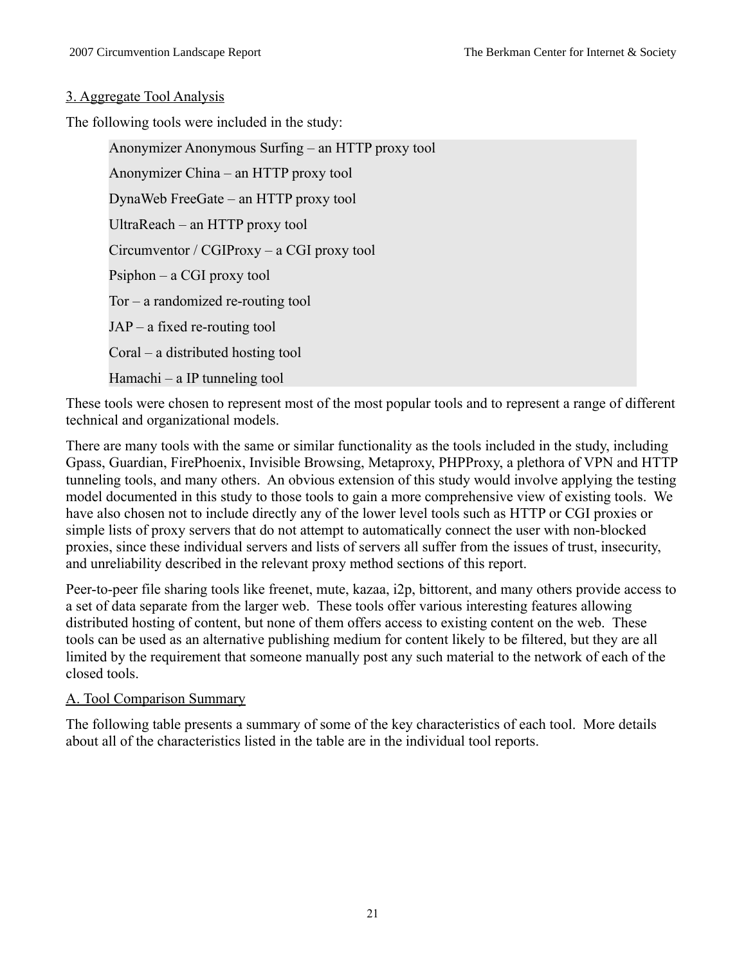#### 3. Aggregate Tool Analysis

The following tools were included in the study:

Anonymizer Anonymous Surfing – an HTTP proxy tool Anonymizer China – an HTTP proxy tool DynaWeb FreeGate – an HTTP proxy tool UltraReach – an HTTP proxy tool Circumventor / CGIProxy – a CGI proxy tool Psiphon – a CGI proxy tool Tor – a randomized re-routing tool JAP – a fixed re-routing tool Coral – a distributed hosting tool Hamachi – a IP tunneling tool

These tools were chosen to represent most of the most popular tools and to represent a range of different technical and organizational models.

There are many tools with the same or similar functionality as the tools included in the study, including Gpass, Guardian, FirePhoenix, Invisible Browsing, Metaproxy, PHPProxy, a plethora of VPN and HTTP tunneling tools, and many others. An obvious extension of this study would involve applying the testing model documented in this study to those tools to gain a more comprehensive view of existing tools. We have also chosen not to include directly any of the lower level tools such as HTTP or CGI proxies or simple lists of proxy servers that do not attempt to automatically connect the user with non-blocked proxies, since these individual servers and lists of servers all suffer from the issues of trust, insecurity, and unreliability described in the relevant proxy method sections of this report.

Peer-to-peer file sharing tools like freenet, mute, kazaa, i2p, bittorent, and many others provide access to a set of data separate from the larger web. These tools offer various interesting features allowing distributed hosting of content, but none of them offers access to existing content on the web. These tools can be used as an alternative publishing medium for content likely to be filtered, but they are all limited by the requirement that someone manually post any such material to the network of each of the closed tools.

# A. Tool Comparison Summary

The following table presents a summary of some of the key characteristics of each tool. More details about all of the characteristics listed in the table are in the individual tool reports.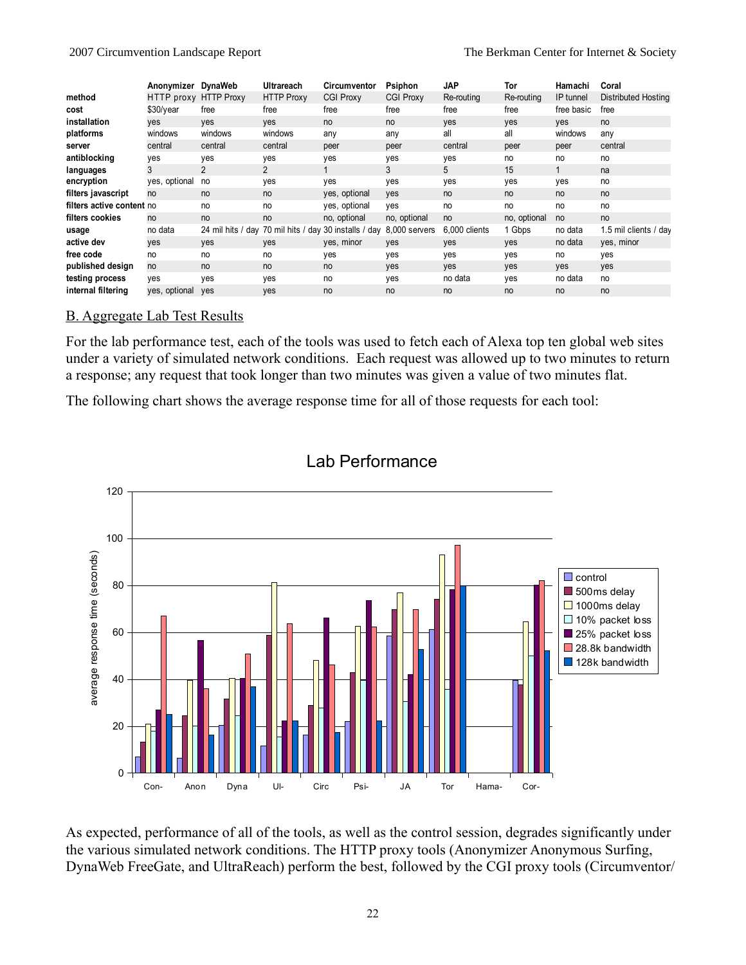|                           | Anonymizer DynaWeb    |                | Ultrareach        | Circumventor                                          | Psiphon          | <b>JAP</b>    | Tor          | Hamachi    | Coral                 |
|---------------------------|-----------------------|----------------|-------------------|-------------------------------------------------------|------------------|---------------|--------------|------------|-----------------------|
| method                    | HTTP proxy HTTP Proxy |                | <b>HTTP Proxy</b> | <b>CGI Proxy</b>                                      | <b>CGI Proxy</b> | Re-routing    | Re-routing   | IP tunnel  | Distributed Hosting   |
| cost                      | \$30/year             | free           | free              | free                                                  | free             | free          | free         | free basic | free                  |
| installation              | ves                   | ves            | ves               | no                                                    | no               | <b>ves</b>    | <b>ves</b>   | ves        | no                    |
| platforms                 | windows               | windows        | windows           | any                                                   | any              | all           | all          | windows    | any                   |
| server                    | central               | central        | central           | peer                                                  | peer             | central       | peer         | peer       | central               |
| antiblocking              | ves                   | yes            | ves               | ves                                                   | yes              | yes           | no           | no         | no                    |
| languages                 |                       | $\overline{2}$ | 2                 |                                                       | 3                | 5.            | 15           |            | na                    |
| encryption                | yes, optional         | no             | yes               | ves                                                   | yes              | yes           | yes          | yes        | no                    |
| filters javascript        | no                    | no             | no                | yes, optional                                         | yes              | no            | no           | no         | no                    |
| filters active content no |                       | no             | no                | yes, optional                                         | yes              | no            | no           | no         | no                    |
| filters cookies           | no                    | no             | no                | no, optional                                          | no, optional     | no            | no, optional | no         | no                    |
| usage                     | no data               |                |                   | 24 mil hits / day 70 mil hits / day 30 installs / day | 8,000 servers    | 6,000 clients | 1 Gbps       | no data    | 1.5 mil clients / day |
| active dev                | ves                   | <b>ves</b>     | <b>ves</b>        | yes, minor                                            | <b>ves</b>       | <b>ves</b>    | <b>ves</b>   | no data    | yes, minor            |
| free code                 | no                    | no             | no                | yes                                                   | yes              | yes           | yes          | no         | yes                   |
| published design          | no                    | no             | no                | no                                                    | <b>ves</b>       | <b>ves</b>    | <b>ves</b>   | <b>ves</b> | <b>ves</b>            |
| testing process           | ves                   | yes            | yes               | no                                                    | yes              | no data       | yes          | no data    | no                    |
| internal filtering        | yes, optional         | ves            | ves               | no                                                    | no               | no            | no           | no         | no                    |

#### B. Aggregate Lab Test Results

For the lab performance test, each of the tools was used to fetch each of Alexa top ten global web sites under a variety of simulated network conditions. Each request was allowed up to two minutes to return a response; any request that took longer than two minutes was given a value of two minutes flat.

The following chart shows the average response time for all of those requests for each tool:



# Lab Performance

As expected, performance of all of the tools, as well as the control session, degrades significantly under the various simulated network conditions. The HTTP proxy tools (Anonymizer Anonymous Surfing, DynaWeb FreeGate, and UltraReach) perform the best, followed by the CGI proxy tools (Circumventor/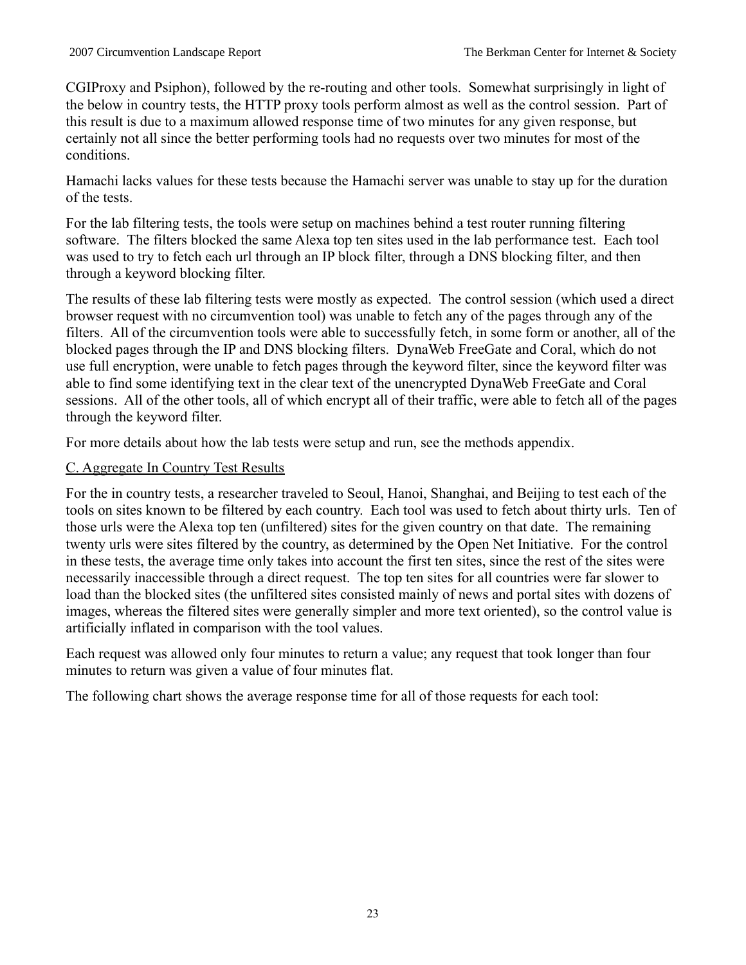CGIProxy and Psiphon), followed by the re-routing and other tools. Somewhat surprisingly in light of the below in country tests, the HTTP proxy tools perform almost as well as the control session. Part of this result is due to a maximum allowed response time of two minutes for any given response, but certainly not all since the better performing tools had no requests over two minutes for most of the conditions.

Hamachi lacks values for these tests because the Hamachi server was unable to stay up for the duration of the tests.

For the lab filtering tests, the tools were setup on machines behind a test router running filtering software. The filters blocked the same Alexa top ten sites used in the lab performance test. Each tool was used to try to fetch each url through an IP block filter, through a DNS blocking filter, and then through a keyword blocking filter.

The results of these lab filtering tests were mostly as expected. The control session (which used a direct browser request with no circumvention tool) was unable to fetch any of the pages through any of the filters. All of the circumvention tools were able to successfully fetch, in some form or another, all of the blocked pages through the IP and DNS blocking filters. DynaWeb FreeGate and Coral, which do not use full encryption, were unable to fetch pages through the keyword filter, since the keyword filter was able to find some identifying text in the clear text of the unencrypted DynaWeb FreeGate and Coral sessions. All of the other tools, all of which encrypt all of their traffic, were able to fetch all of the pages through the keyword filter.

For more details about how the lab tests were setup and run, see the methods appendix.

#### C. Aggregate In Country Test Results

For the in country tests, a researcher traveled to Seoul, Hanoi, Shanghai, and Beijing to test each of the tools on sites known to be filtered by each country. Each tool was used to fetch about thirty urls. Ten of those urls were the Alexa top ten (unfiltered) sites for the given country on that date. The remaining twenty urls were sites filtered by the country, as determined by the Open Net Initiative. For the control in these tests, the average time only takes into account the first ten sites, since the rest of the sites were necessarily inaccessible through a direct request. The top ten sites for all countries were far slower to load than the blocked sites (the unfiltered sites consisted mainly of news and portal sites with dozens of images, whereas the filtered sites were generally simpler and more text oriented), so the control value is artificially inflated in comparison with the tool values.

Each request was allowed only four minutes to return a value; any request that took longer than four minutes to return was given a value of four minutes flat.

The following chart shows the average response time for all of those requests for each tool: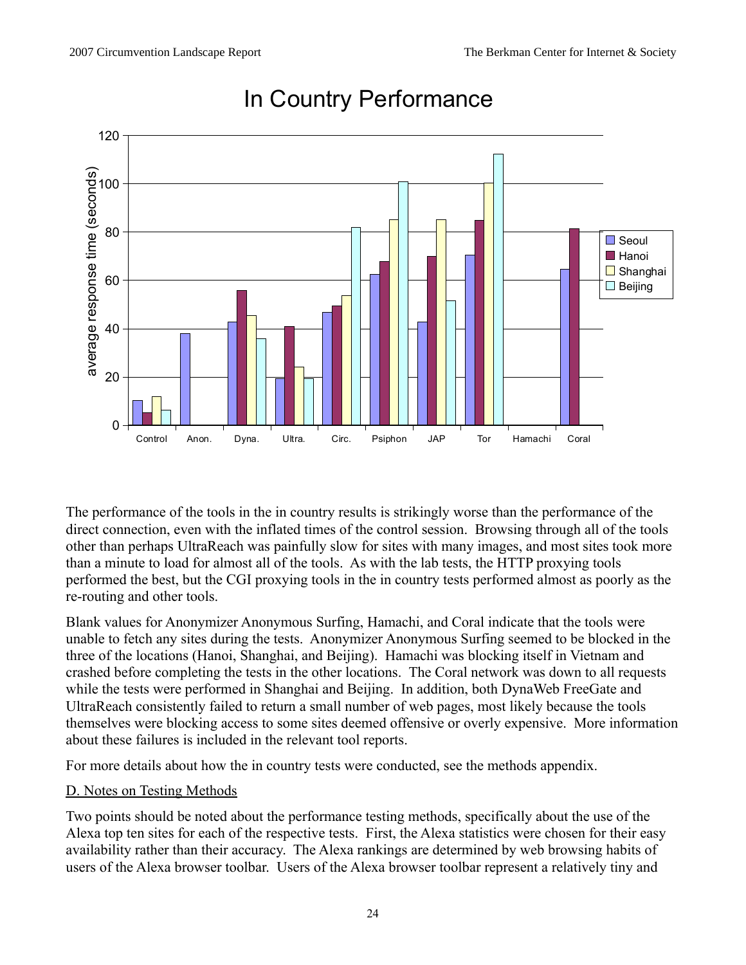

# In Country Performance

The performance of the tools in the in country results is strikingly worse than the performance of the direct connection, even with the inflated times of the control session. Browsing through all of the tools other than perhaps UltraReach was painfully slow for sites with many images, and most sites took more than a minute to load for almost all of the tools. As with the lab tests, the HTTP proxying tools performed the best, but the CGI proxying tools in the in country tests performed almost as poorly as the re-routing and other tools.

Blank values for Anonymizer Anonymous Surfing, Hamachi, and Coral indicate that the tools were unable to fetch any sites during the tests. Anonymizer Anonymous Surfing seemed to be blocked in the three of the locations (Hanoi, Shanghai, and Beijing). Hamachi was blocking itself in Vietnam and crashed before completing the tests in the other locations. The Coral network was down to all requests while the tests were performed in Shanghai and Beijing. In addition, both DynaWeb FreeGate and UltraReach consistently failed to return a small number of web pages, most likely because the tools themselves were blocking access to some sites deemed offensive or overly expensive. More information about these failures is included in the relevant tool reports.

For more details about how the in country tests were conducted, see the methods appendix.

# D. Notes on Testing Methods

Two points should be noted about the performance testing methods, specifically about the use of the Alexa top ten sites for each of the respective tests. First, the Alexa statistics were chosen for their easy availability rather than their accuracy. The Alexa rankings are determined by web browsing habits of users of the Alexa browser toolbar. Users of the Alexa browser toolbar represent a relatively tiny and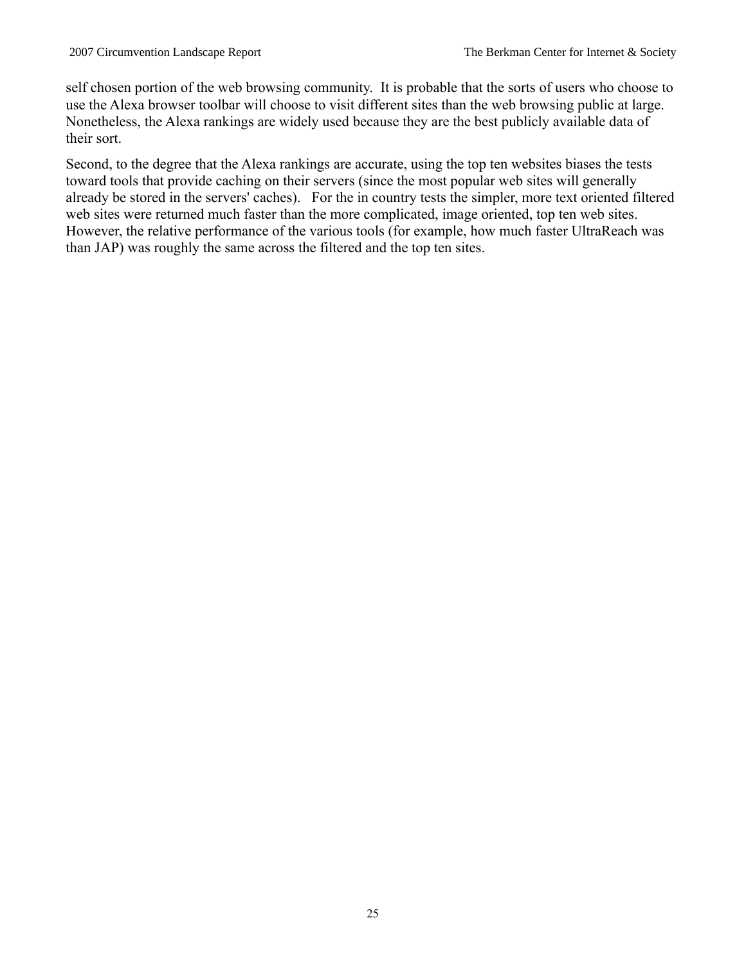self chosen portion of the web browsing community. It is probable that the sorts of users who choose to use the Alexa browser toolbar will choose to visit different sites than the web browsing public at large. Nonetheless, the Alexa rankings are widely used because they are the best publicly available data of their sort.

Second, to the degree that the Alexa rankings are accurate, using the top ten websites biases the tests toward tools that provide caching on their servers (since the most popular web sites will generally already be stored in the servers' caches). For the in country tests the simpler, more text oriented filtered web sites were returned much faster than the more complicated, image oriented, top ten web sites. However, the relative performance of the various tools (for example, how much faster UltraReach was than JAP) was roughly the same across the filtered and the top ten sites.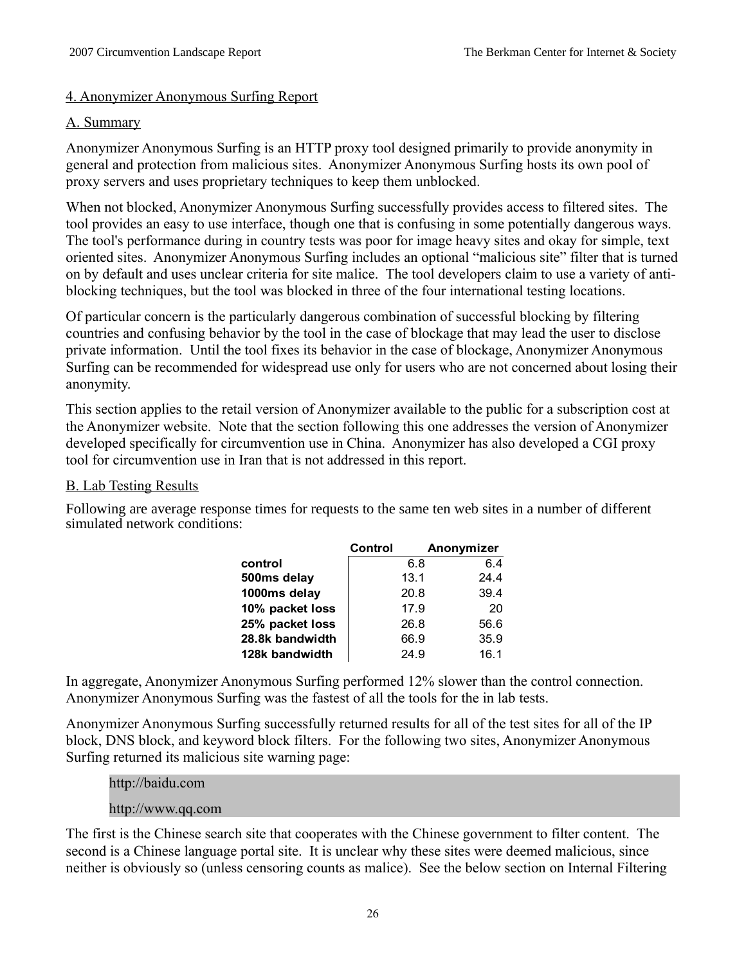#### 4. Anonymizer Anonymous Surfing Report

#### A. Summary

Anonymizer Anonymous Surfing is an HTTP proxy tool designed primarily to provide anonymity in general and protection from malicious sites. Anonymizer Anonymous Surfing hosts its own pool of proxy servers and uses proprietary techniques to keep them unblocked.

When not blocked, Anonymizer Anonymous Surfing successfully provides access to filtered sites. The tool provides an easy to use interface, though one that is confusing in some potentially dangerous ways. The tool's performance during in country tests was poor for image heavy sites and okay for simple, text oriented sites. Anonymizer Anonymous Surfing includes an optional "malicious site" filter that is turned on by default and uses unclear criteria for site malice. The tool developers claim to use a variety of antiblocking techniques, but the tool was blocked in three of the four international testing locations.

Of particular concern is the particularly dangerous combination of successful blocking by filtering countries and confusing behavior by the tool in the case of blockage that may lead the user to disclose private information. Until the tool fixes its behavior in the case of blockage, Anonymizer Anonymous Surfing can be recommended for widespread use only for users who are not concerned about losing their anonymity.

This section applies to the retail version of Anonymizer available to the public for a subscription cost at the Anonymizer website. Note that the section following this one addresses the version of Anonymizer developed specifically for circumvention use in China. Anonymizer has also developed a CGI proxy tool for circumvention use in Iran that is not addressed in this report.

#### B. Lab Testing Results

Following are average response times for requests to the same ten web sites in a number of different simulated network conditions:

|                 | Control | Anonymizer |
|-----------------|---------|------------|
| control         | 6.8     | 6.4        |
| 500ms delay     | 13.1    | 24.4       |
| 1000ms delay    | 20.8    | 39.4       |
| 10% packet loss | 17.9    | 20         |
| 25% packet loss | 26.8    | 56.6       |
| 28.8k bandwidth | 66.9    | 35.9       |
| 128k bandwidth  | 24.9    | 16.1       |

In aggregate, Anonymizer Anonymous Surfing performed 12% slower than the control connection. Anonymizer Anonymous Surfing was the fastest of all the tools for the in lab tests.

Anonymizer Anonymous Surfing successfully returned results for all of the test sites for all of the IP block, DNS block, and keyword block filters. For the following two sites, Anonymizer Anonymous Surfing returned its malicious site warning page:

#### http://baidu.com

# http://www.qq.com

The first is the Chinese search site that cooperates with the Chinese government to filter content. The second is a Chinese language portal site. It is unclear why these sites were deemed malicious, since neither is obviously so (unless censoring counts as malice). See the below section on Internal Filtering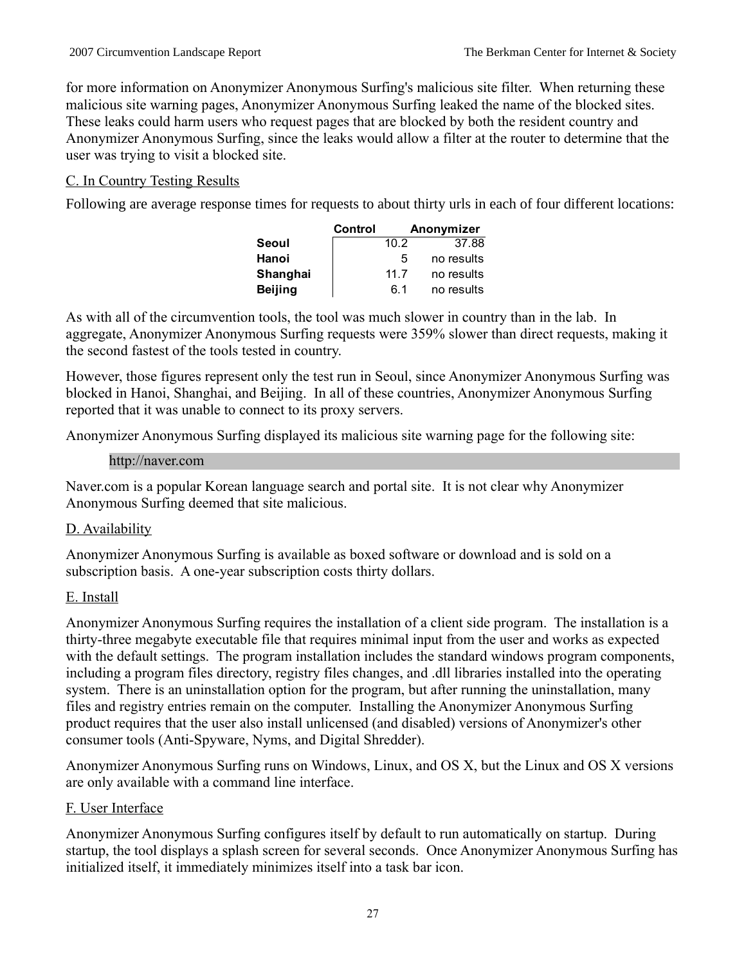for more information on Anonymizer Anonymous Surfing's malicious site filter. When returning these malicious site warning pages, Anonymizer Anonymous Surfing leaked the name of the blocked sites. These leaks could harm users who request pages that are blocked by both the resident country and Anonymizer Anonymous Surfing, since the leaks would allow a filter at the router to determine that the user was trying to visit a blocked site.

# C. In Country Testing Results

Following are average response times for requests to about thirty urls in each of four different locations:

|                | Control |      | Anonymizer |
|----------------|---------|------|------------|
| Seoul          |         | 10.2 | 37.88      |
| Hanoi          |         | 5    | no results |
| Shanghai       |         | 117  | no results |
| <b>Beijing</b> |         | 6.1  | no results |

As with all of the circumvention tools, the tool was much slower in country than in the lab. In aggregate, Anonymizer Anonymous Surfing requests were 359% slower than direct requests, making it the second fastest of the tools tested in country.

However, those figures represent only the test run in Seoul, since Anonymizer Anonymous Surfing was blocked in Hanoi, Shanghai, and Beijing. In all of these countries, Anonymizer Anonymous Surfing reported that it was unable to connect to its proxy servers.

Anonymizer Anonymous Surfing displayed its malicious site warning page for the following site:

#### http://naver.com

Naver.com is a popular Korean language search and portal site. It is not clear why Anonymizer Anonymous Surfing deemed that site malicious.

# D. Availability

Anonymizer Anonymous Surfing is available as boxed software or download and is sold on a subscription basis. A one-year subscription costs thirty dollars.

# E. Install

Anonymizer Anonymous Surfing requires the installation of a client side program. The installation is a thirty-three megabyte executable file that requires minimal input from the user and works as expected with the default settings. The program installation includes the standard windows program components, including a program files directory, registry files changes, and .dll libraries installed into the operating system. There is an uninstallation option for the program, but after running the uninstallation, many files and registry entries remain on the computer. Installing the Anonymizer Anonymous Surfing product requires that the user also install unlicensed (and disabled) versions of Anonymizer's other consumer tools (Anti-Spyware, Nyms, and Digital Shredder).

Anonymizer Anonymous Surfing runs on Windows, Linux, and OS X, but the Linux and OS X versions are only available with a command line interface.

# F. User Interface

Anonymizer Anonymous Surfing configures itself by default to run automatically on startup. During startup, the tool displays a splash screen for several seconds. Once Anonymizer Anonymous Surfing has initialized itself, it immediately minimizes itself into a task bar icon.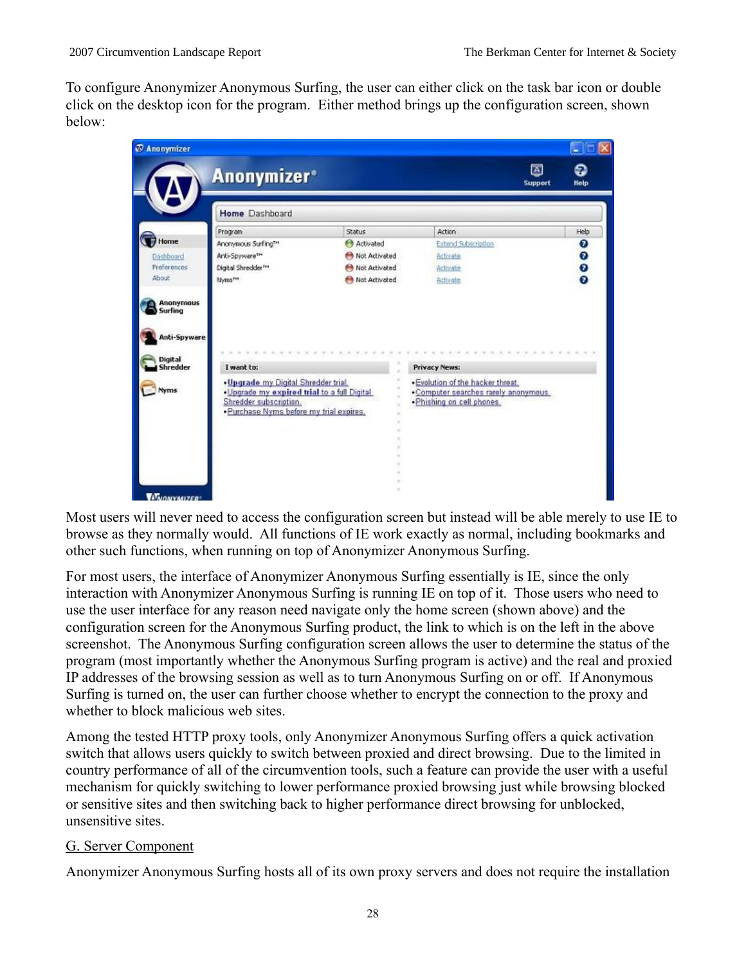To configure Anonymizer Anonymous Surfing, the user can either click on the task bar icon or double click on the desktop icon for the program. Either method brings up the configuration screen, shown below:

|                                      | <b>Anonymizer</b> <sup>®</sup>  |               |                     | ⊠<br>ဓ<br>Help<br><b>Support</b> |
|--------------------------------------|---------------------------------|---------------|---------------------|----------------------------------|
|                                      | Home Dashboard                  |               |                     |                                  |
|                                      | Program                         | Status:       | Action              | Help                             |
| Home                                 | Anonymous Surfing**             | Activated     | Extend Subscription |                                  |
| <b>Dashboard</b>                     | Arki-Spyware <sup>n-1</sup>     | Not Activated | Activate            | $\bullet$                        |
| Preferences                          | Digital Shredder <sup>N</sup> * | Not Activated | Activate            |                                  |
| About.                               | Myms <sup>ma</sup>              | Not Activated | Activate            |                                  |
| Anonymous<br>Surfing<br>Anti-Spyware |                                 |               |                     |                                  |
| Digital<br><b>Shredder</b>           | I want to:                      |               | Privacy News:       |                                  |

Most users will never need to access the configuration screen but instead will be able merely to use IE to browse as they normally would. All functions of IE work exactly as normal, including bookmarks and other such functions, when running on top of Anonymizer Anonymous Surfing.

For most users, the interface of Anonymizer Anonymous Surfing essentially is IE, since the only interaction with Anonymizer Anonymous Surfing is running IE on top of it. Those users who need to use the user interface for any reason need navigate only the home screen (shown above) and the configuration screen for the Anonymous Surfing product, the link to which is on the left in the above screenshot. The Anonymous Surfing configuration screen allows the user to determine the status of the program (most importantly whether the Anonymous Surfing program is active) and the real and proxied IP addresses of the browsing session as well as to turn Anonymous Surfing on or off. If Anonymous Surfing is turned on, the user can further choose whether to encrypt the connection to the proxy and whether to block malicious web sites.

Among the tested HTTP proxy tools, only Anonymizer Anonymous Surfing offers a quick activation switch that allows users quickly to switch between proxied and direct browsing. Due to the limited in country performance of all of the circumvention tools, such a feature can provide the user with a useful mechanism for quickly switching to lower performance proxied browsing just while browsing blocked or sensitive sites and then switching back to higher performance direct browsing for unblocked, unsensitive sites.

# G. Server Component

Anonymizer Anonymous Surfing hosts all of its own proxy servers and does not require the installation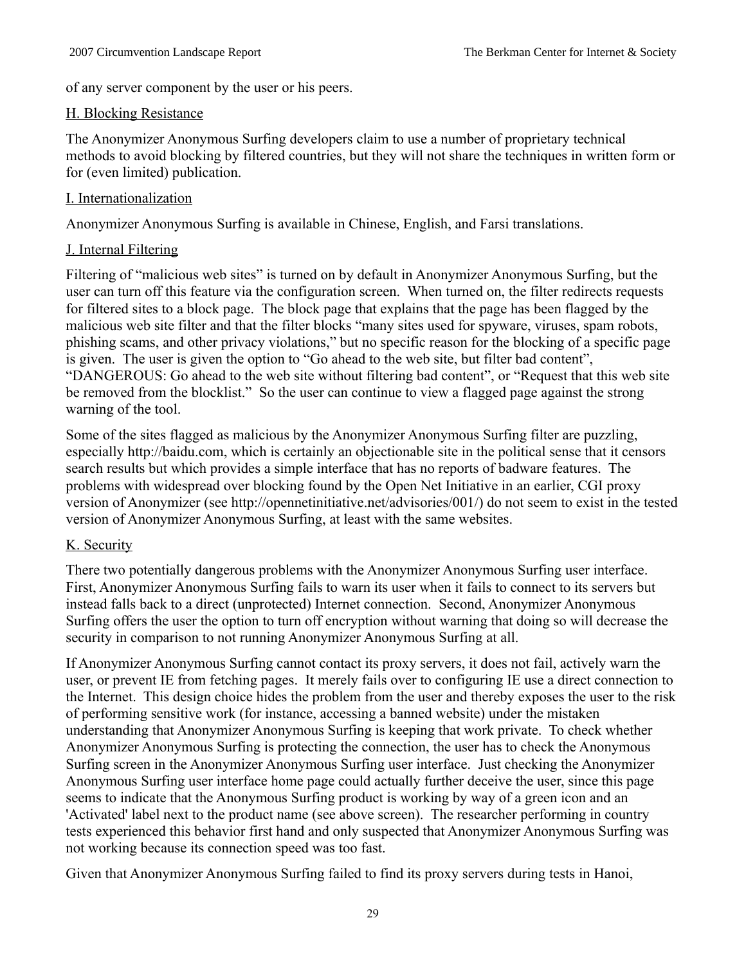of any server component by the user or his peers.

#### H. Blocking Resistance

The Anonymizer Anonymous Surfing developers claim to use a number of proprietary technical methods to avoid blocking by filtered countries, but they will not share the techniques in written form or for (even limited) publication.

#### I. Internationalization

Anonymizer Anonymous Surfing is available in Chinese, English, and Farsi translations.

#### J. Internal Filtering

Filtering of "malicious web sites" is turned on by default in Anonymizer Anonymous Surfing, but the user can turn off this feature via the configuration screen. When turned on, the filter redirects requests for filtered sites to a block page. The block page that explains that the page has been flagged by the malicious web site filter and that the filter blocks "many sites used for spyware, viruses, spam robots, phishing scams, and other privacy violations," but no specific reason for the blocking of a specific page is given. The user is given the option to "Go ahead to the web site, but filter bad content", "DANGEROUS: Go ahead to the web site without filtering bad content", or "Request that this web site be removed from the blocklist." So the user can continue to view a flagged page against the strong warning of the tool.

Some of the sites flagged as malicious by the Anonymizer Anonymous Surfing filter are puzzling, especially http://baidu.com, which is certainly an objectionable site in the political sense that it censors search results but which provides a simple interface that has no reports of badware features. The problems with widespread over blocking found by the Open Net Initiative in an earlier, CGI proxy version of Anonymizer (see http://opennetinitiative.net/advisories/001/) do not seem to exist in the tested version of Anonymizer Anonymous Surfing, at least with the same websites.

#### K. Security

There two potentially dangerous problems with the Anonymizer Anonymous Surfing user interface. First, Anonymizer Anonymous Surfing fails to warn its user when it fails to connect to its servers but instead falls back to a direct (unprotected) Internet connection. Second, Anonymizer Anonymous Surfing offers the user the option to turn off encryption without warning that doing so will decrease the security in comparison to not running Anonymizer Anonymous Surfing at all.

If Anonymizer Anonymous Surfing cannot contact its proxy servers, it does not fail, actively warn the user, or prevent IE from fetching pages. It merely fails over to configuring IE use a direct connection to the Internet. This design choice hides the problem from the user and thereby exposes the user to the risk of performing sensitive work (for instance, accessing a banned website) under the mistaken understanding that Anonymizer Anonymous Surfing is keeping that work private. To check whether Anonymizer Anonymous Surfing is protecting the connection, the user has to check the Anonymous Surfing screen in the Anonymizer Anonymous Surfing user interface. Just checking the Anonymizer Anonymous Surfing user interface home page could actually further deceive the user, since this page seems to indicate that the Anonymous Surfing product is working by way of a green icon and an 'Activated' label next to the product name (see above screen). The researcher performing in country tests experienced this behavior first hand and only suspected that Anonymizer Anonymous Surfing was not working because its connection speed was too fast.

Given that Anonymizer Anonymous Surfing failed to find its proxy servers during tests in Hanoi,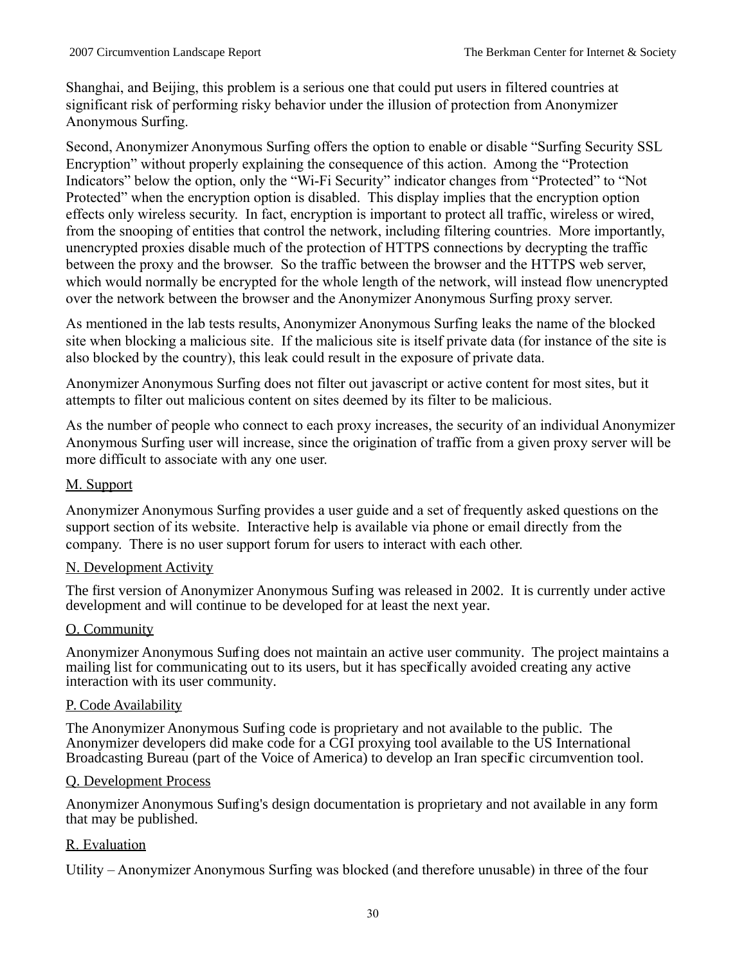Shanghai, and Beijing, this problem is a serious one that could put users in filtered countries at significant risk of performing risky behavior under the illusion of protection from Anonymizer Anonymous Surfing.

Second, Anonymizer Anonymous Surfing offers the option to enable or disable "Surfing Security SSL Encryption" without properly explaining the consequence of this action. Among the "Protection Indicators" below the option, only the "Wi-Fi Security" indicator changes from "Protected" to "Not Protected" when the encryption option is disabled. This display implies that the encryption option effects only wireless security. In fact, encryption is important to protect all traffic, wireless or wired, from the snooping of entities that control the network, including filtering countries. More importantly, unencrypted proxies disable much of the protection of HTTPS connections by decrypting the traffic between the proxy and the browser. So the traffic between the browser and the HTTPS web server, which would normally be encrypted for the whole length of the network, will instead flow unencrypted over the network between the browser and the Anonymizer Anonymous Surfing proxy server.

As mentioned in the lab tests results, Anonymizer Anonymous Surfing leaks the name of the blocked site when blocking a malicious site. If the malicious site is itself private data (for instance of the site is also blocked by the country), this leak could result in the exposure of private data.

Anonymizer Anonymous Surfing does not filter out javascript or active content for most sites, but it attempts to filter out malicious content on sites deemed by its filter to be malicious.

As the number of people who connect to each proxy increases, the security of an individual Anonymizer Anonymous Surfing user will increase, since the origination of traffic from a given proxy server will be more difficult to associate with any one user.

#### M. Support

Anonymizer Anonymous Surfing provides a user guide and a set of frequently asked questions on the support section of its website. Interactive help is available via phone or email directly from the company. There is no user support forum for users to interact with each other.

#### N. Development Activity

The first version of Anonymizer Anonymous Surfing was released in 2002. It is currently under active development and will continue to be developed for at least the next year.

#### O. Community

Anonymizer Anonymous Surfing does not maintain an active user community. The project maintains a mailing list for communicating out to its users, but it has specifically avoided creating any active interaction with its user community.

#### P. Code Availability

The Anonymizer Anonymous Surfing code is proprietary and not available to the public. The Anonymizer developers did make code for a CGI proxying tool available to the US International Broadcasting Bureau (part of the Voice of America) to develop an Iran specific circumvention tool.

#### Q. Development Process

Anonymizer Anonymous Surfing's design documentation is proprietary and not available in any form that may be published.

#### R. Evaluation

Utility – Anonymizer Anonymous Surfing was blocked (and therefore unusable) in three of the four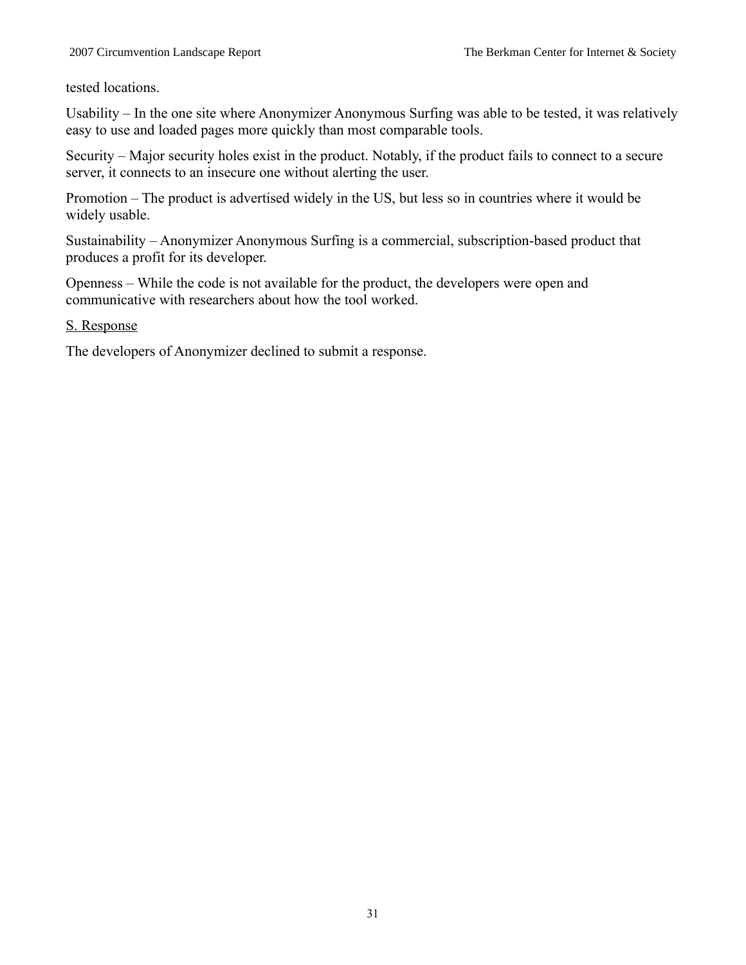tested locations.

Usability – In the one site where Anonymizer Anonymous Surfing was able to be tested, it was relatively easy to use and loaded pages more quickly than most comparable tools.

Security – Major security holes exist in the product. Notably, if the product fails to connect to a secure server, it connects to an insecure one without alerting the user.

Promotion – The product is advertised widely in the US, but less so in countries where it would be widely usable.

Sustainability – Anonymizer Anonymous Surfing is a commercial, subscription-based product that produces a profit for its developer.

Openness – While the code is not available for the product, the developers were open and communicative with researchers about how the tool worked.

#### S. Response

The developers of Anonymizer declined to submit a response.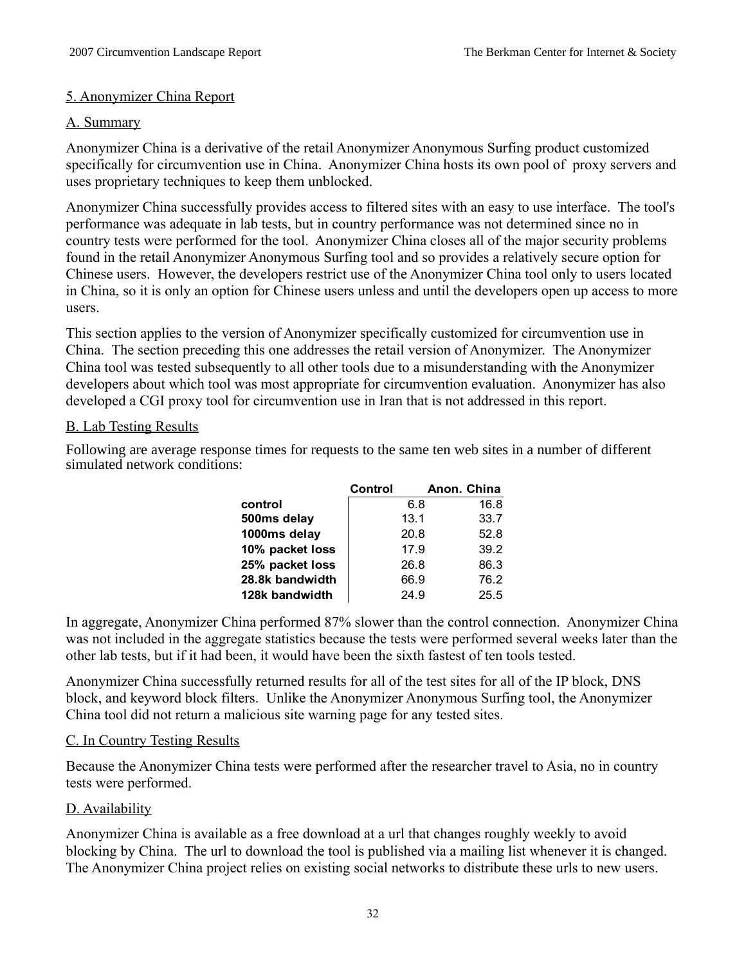#### 5. Anonymizer China Report

#### A. Summary

Anonymizer China is a derivative of the retail Anonymizer Anonymous Surfing product customized specifically for circumvention use in China. Anonymizer China hosts its own pool of proxy servers and uses proprietary techniques to keep them unblocked.

Anonymizer China successfully provides access to filtered sites with an easy to use interface. The tool's performance was adequate in lab tests, but in country performance was not determined since no in country tests were performed for the tool. Anonymizer China closes all of the major security problems found in the retail Anonymizer Anonymous Surfing tool and so provides a relatively secure option for Chinese users. However, the developers restrict use of the Anonymizer China tool only to users located in China, so it is only an option for Chinese users unless and until the developers open up access to more users.

This section applies to the version of Anonymizer specifically customized for circumvention use in China. The section preceding this one addresses the retail version of Anonymizer. The Anonymizer China tool was tested subsequently to all other tools due to a misunderstanding with the Anonymizer developers about which tool was most appropriate for circumvention evaluation. Anonymizer has also developed a CGI proxy tool for circumvention use in Iran that is not addressed in this report.

# B. Lab Testing Results

Following are average response times for requests to the same ten web sites in a number of different simulated network conditions:

|                 | Control | Anon. China |
|-----------------|---------|-------------|
| control         | 6.8     | 16.8        |
| 500ms delay     | 13.1    | 33.7        |
| 1000ms delay    | 20.8    | 52.8        |
| 10% packet loss | 17.9    | 39.2        |
| 25% packet loss | 26.8    | 86.3        |
| 28.8k bandwidth | 66.9    | 76.2        |
| 128k bandwidth  | 24.9    | 25.5        |

In aggregate, Anonymizer China performed 87% slower than the control connection. Anonymizer China was not included in the aggregate statistics because the tests were performed several weeks later than the other lab tests, but if it had been, it would have been the sixth fastest of ten tools tested.

Anonymizer China successfully returned results for all of the test sites for all of the IP block, DNS block, and keyword block filters. Unlike the Anonymizer Anonymous Surfing tool, the Anonymizer China tool did not return a malicious site warning page for any tested sites.

# C. In Country Testing Results

Because the Anonymizer China tests were performed after the researcher travel to Asia, no in country tests were performed.

# D. Availability

Anonymizer China is available as a free download at a url that changes roughly weekly to avoid blocking by China. The url to download the tool is published via a mailing list whenever it is changed. The Anonymizer China project relies on existing social networks to distribute these urls to new users.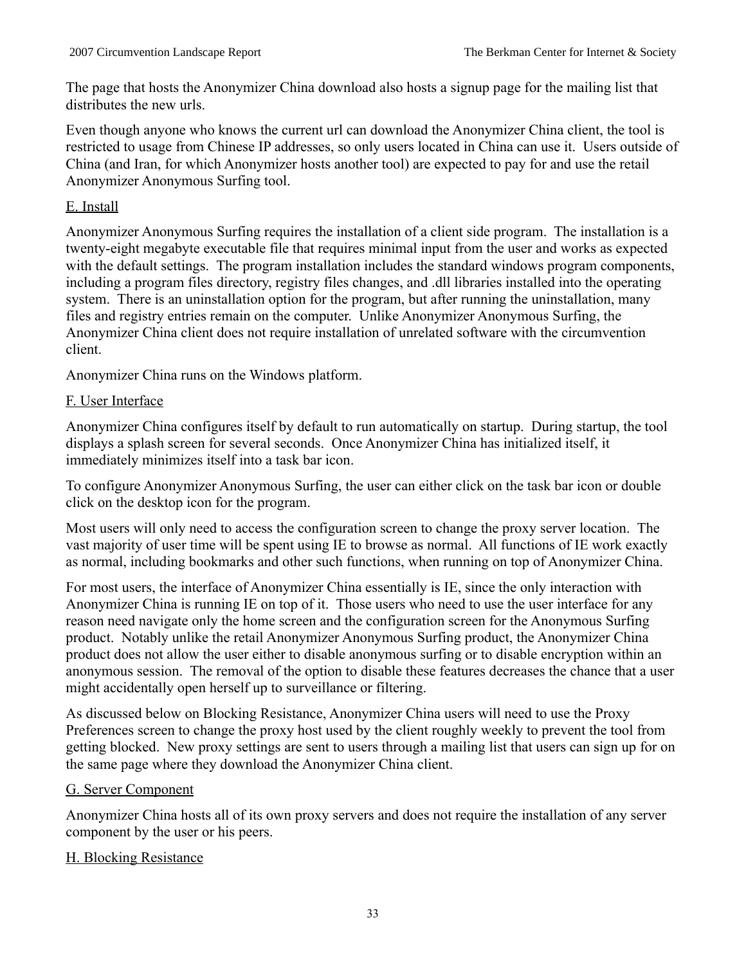The page that hosts the Anonymizer China download also hosts a signup page for the mailing list that distributes the new urls.

Even though anyone who knows the current url can download the Anonymizer China client, the tool is restricted to usage from Chinese IP addresses, so only users located in China can use it. Users outside of China (and Iran, for which Anonymizer hosts another tool) are expected to pay for and use the retail Anonymizer Anonymous Surfing tool.

#### E. Install

Anonymizer Anonymous Surfing requires the installation of a client side program. The installation is a twenty-eight megabyte executable file that requires minimal input from the user and works as expected with the default settings. The program installation includes the standard windows program components, including a program files directory, registry files changes, and .dll libraries installed into the operating system. There is an uninstallation option for the program, but after running the uninstallation, many files and registry entries remain on the computer. Unlike Anonymizer Anonymous Surfing, the Anonymizer China client does not require installation of unrelated software with the circumvention client.

Anonymizer China runs on the Windows platform.

#### F. User Interface

Anonymizer China configures itself by default to run automatically on startup. During startup, the tool displays a splash screen for several seconds. Once Anonymizer China has initialized itself, it immediately minimizes itself into a task bar icon.

To configure Anonymizer Anonymous Surfing, the user can either click on the task bar icon or double click on the desktop icon for the program.

Most users will only need to access the configuration screen to change the proxy server location. The vast majority of user time will be spent using IE to browse as normal. All functions of IE work exactly as normal, including bookmarks and other such functions, when running on top of Anonymizer China.

For most users, the interface of Anonymizer China essentially is IE, since the only interaction with Anonymizer China is running IE on top of it. Those users who need to use the user interface for any reason need navigate only the home screen and the configuration screen for the Anonymous Surfing product. Notably unlike the retail Anonymizer Anonymous Surfing product, the Anonymizer China product does not allow the user either to disable anonymous surfing or to disable encryption within an anonymous session. The removal of the option to disable these features decreases the chance that a user might accidentally open herself up to surveillance or filtering.

As discussed below on Blocking Resistance, Anonymizer China users will need to use the Proxy Preferences screen to change the proxy host used by the client roughly weekly to prevent the tool from getting blocked. New proxy settings are sent to users through a mailing list that users can sign up for on the same page where they download the Anonymizer China client.

# G. Server Component

Anonymizer China hosts all of its own proxy servers and does not require the installation of any server component by the user or his peers.

# H. Blocking Resistance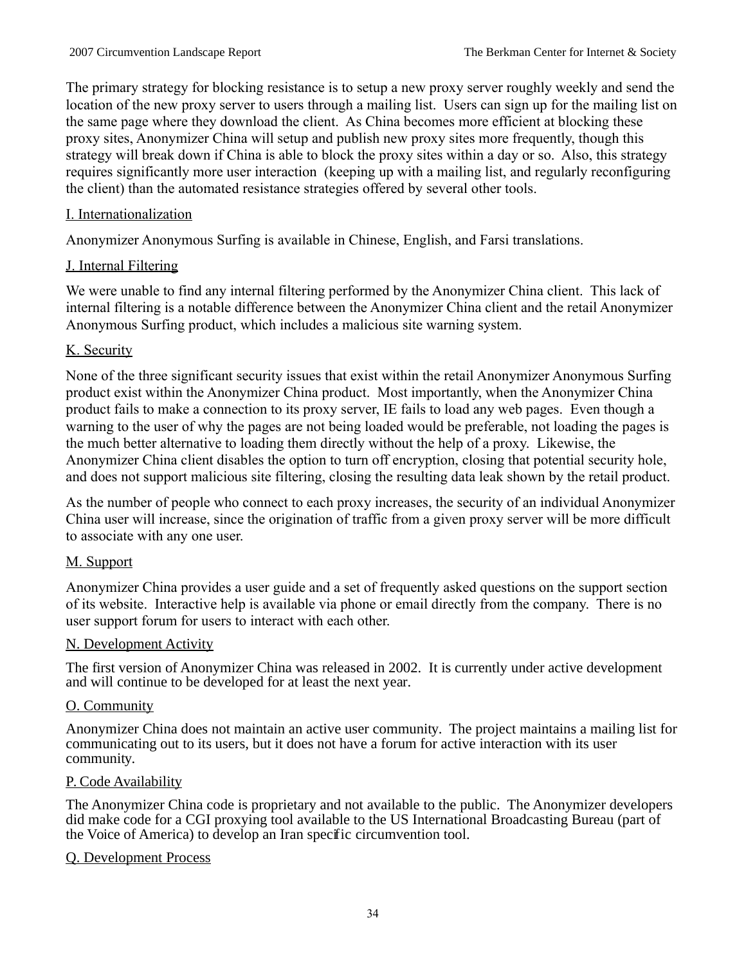The primary strategy for blocking resistance is to setup a new proxy server roughly weekly and send the location of the new proxy server to users through a mailing list. Users can sign up for the mailing list on the same page where they download the client. As China becomes more efficient at blocking these proxy sites, Anonymizer China will setup and publish new proxy sites more frequently, though this strategy will break down if China is able to block the proxy sites within a day or so. Also, this strategy requires significantly more user interaction (keeping up with a mailing list, and regularly reconfiguring the client) than the automated resistance strategies offered by several other tools.

# I. Internationalization

Anonymizer Anonymous Surfing is available in Chinese, English, and Farsi translations.

# J. Internal Filtering

We were unable to find any internal filtering performed by the Anonymizer China client. This lack of internal filtering is a notable difference between the Anonymizer China client and the retail Anonymizer Anonymous Surfing product, which includes a malicious site warning system.

# K. Security

None of the three significant security issues that exist within the retail Anonymizer Anonymous Surfing product exist within the Anonymizer China product. Most importantly, when the Anonymizer China product fails to make a connection to its proxy server, IE fails to load any web pages. Even though a warning to the user of why the pages are not being loaded would be preferable, not loading the pages is the much better alternative to loading them directly without the help of a proxy. Likewise, the Anonymizer China client disables the option to turn off encryption, closing that potential security hole, and does not support malicious site filtering, closing the resulting data leak shown by the retail product.

As the number of people who connect to each proxy increases, the security of an individual Anonymizer China user will increase, since the origination of traffic from a given proxy server will be more difficult to associate with any one user.

# M. Support

Anonymizer China provides a user guide and a set of frequently asked questions on the support section of its website. Interactive help is available via phone or email directly from the company. There is no user support forum for users to interact with each other.

# N. Development Activity

The first version of Anonymizer China was released in 2002. It is currently under active development and will continue to be developed for at least the next year.

# O. Community

Anonymizer China does not maintain an active user community. The project maintains a mailing list for communicating out to its users, but it does not have a forum for active interaction with its user community.

# P. Code Availability

The Anonymizer China code is proprietary and not available to the public. The Anonymizer developers did make code for a CGI proxying tool available to the US International Broadcasting Bureau (part of the Voice of America) to develop an Iran specific circumvention tool.

# Q. Development Process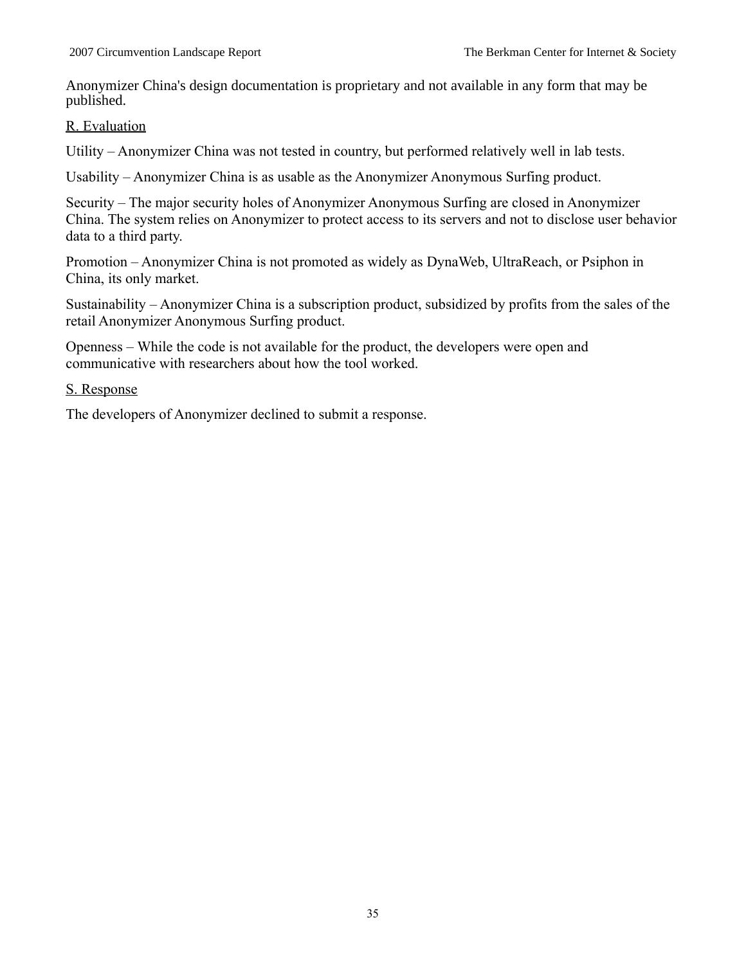Anonymizer China's design documentation is proprietary and not available in any form that may be published.

#### R. Evaluation

Utility – Anonymizer China was not tested in country, but performed relatively well in lab tests.

Usability – Anonymizer China is as usable as the Anonymizer Anonymous Surfing product.

Security – The major security holes of Anonymizer Anonymous Surfing are closed in Anonymizer China. The system relies on Anonymizer to protect access to its servers and not to disclose user behavior data to a third party.

Promotion – Anonymizer China is not promoted as widely as DynaWeb, UltraReach, or Psiphon in China, its only market.

Sustainability – Anonymizer China is a subscription product, subsidized by profits from the sales of the retail Anonymizer Anonymous Surfing product.

Openness – While the code is not available for the product, the developers were open and communicative with researchers about how the tool worked.

#### S. Response

The developers of Anonymizer declined to submit a response.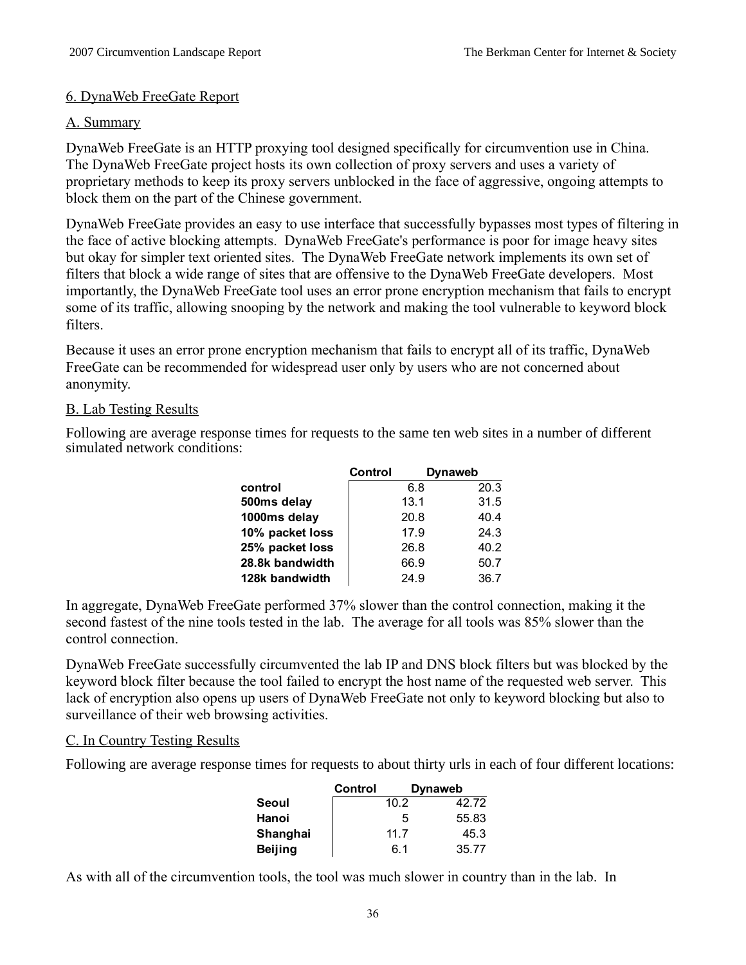#### 6. DynaWeb FreeGate Report

#### A. Summary

DynaWeb FreeGate is an HTTP proxying tool designed specifically for circumvention use in China. The DynaWeb FreeGate project hosts its own collection of proxy servers and uses a variety of proprietary methods to keep its proxy servers unblocked in the face of aggressive, ongoing attempts to block them on the part of the Chinese government.

DynaWeb FreeGate provides an easy to use interface that successfully bypasses most types of filtering in the face of active blocking attempts. DynaWeb FreeGate's performance is poor for image heavy sites but okay for simpler text oriented sites. The DynaWeb FreeGate network implements its own set of filters that block a wide range of sites that are offensive to the DynaWeb FreeGate developers. Most importantly, the DynaWeb FreeGate tool uses an error prone encryption mechanism that fails to encrypt some of its traffic, allowing snooping by the network and making the tool vulnerable to keyword block filters.

Because it uses an error prone encryption mechanism that fails to encrypt all of its traffic, DynaWeb FreeGate can be recommended for widespread user only by users who are not concerned about anonymity.

#### B. Lab Testing Results

Following are average response times for requests to the same ten web sites in a number of different simulated network conditions:

|                 | Control |      | <b>Dynaweb</b> |
|-----------------|---------|------|----------------|
| control         |         | 6.8  | 20.3           |
| 500ms delay     |         | 13.1 | 31.5           |
| 1000ms delay    |         | 20.8 | 40.4           |
| 10% packet loss |         | 17.9 | 24.3           |
| 25% packet loss |         | 26.8 | 40.2           |
| 28.8k bandwidth |         | 66.9 | 50.7           |
| 128k bandwidth  |         | 24.9 | 36.7           |

In aggregate, DynaWeb FreeGate performed 37% slower than the control connection, making it the second fastest of the nine tools tested in the lab. The average for all tools was 85% slower than the control connection.

DynaWeb FreeGate successfully circumvented the lab IP and DNS block filters but was blocked by the keyword block filter because the tool failed to encrypt the host name of the requested web server. This lack of encryption also opens up users of DynaWeb FreeGate not only to keyword blocking but also to surveillance of their web browsing activities.

# C. In Country Testing Results

Following are average response times for requests to about thirty urls in each of four different locations:

|                | Control | <b>Dynaweb</b> |       |
|----------------|---------|----------------|-------|
| Seoul          |         | 10.2           | 42.72 |
| Hanoi          |         | 5              | 55.83 |
| Shanghai       |         | 11.7           | 45.3  |
| <b>Beijing</b> |         | 6.1            | 35.77 |

As with all of the circumvention tools, the tool was much slower in country than in the lab. In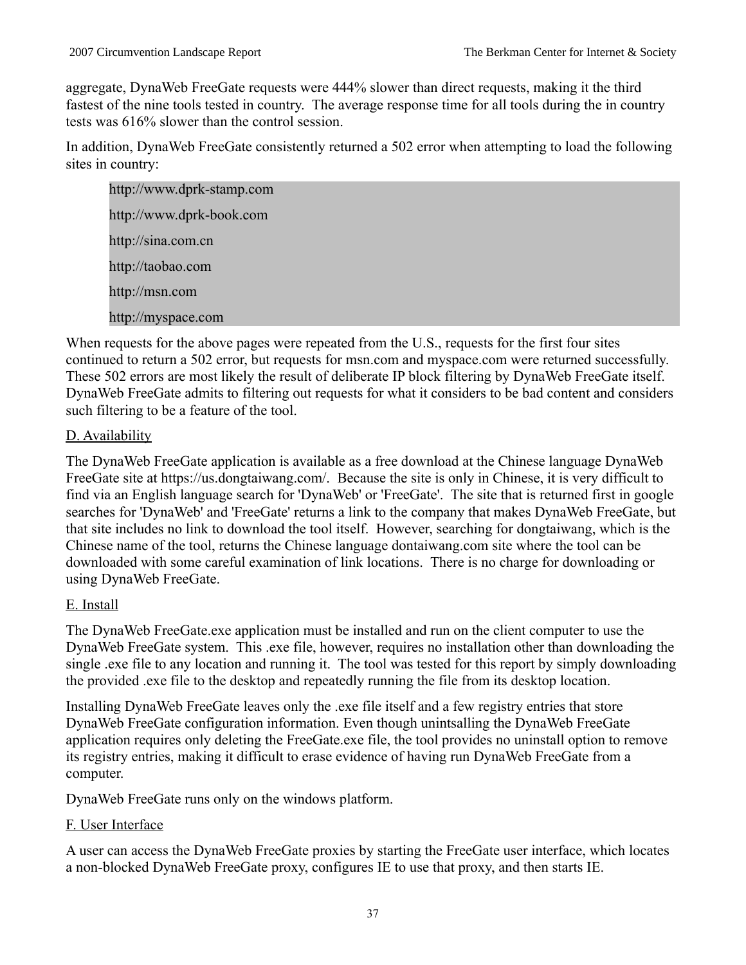aggregate, DynaWeb FreeGate requests were 444% slower than direct requests, making it the third fastest of the nine tools tested in country. The average response time for all tools during the in country tests was 616% slower than the control session.

In addition, DynaWeb FreeGate consistently returned a 502 error when attempting to load the following sites in country:

http://www.dprk-stamp.com http://www.dprk-book.com http://sina.com.cn http://taobao.com http://msn.com http://myspace.com

When requests for the above pages were repeated from the U.S., requests for the first four sites continued to return a 502 error, but requests for msn.com and myspace.com were returned successfully. These 502 errors are most likely the result of deliberate IP block filtering by DynaWeb FreeGate itself. DynaWeb FreeGate admits to filtering out requests for what it considers to be bad content and considers such filtering to be a feature of the tool.

# D. Availability

The DynaWeb FreeGate application is available as a free download at the Chinese language DynaWeb FreeGate site at https://us.dongtaiwang.com/. Because the site is only in Chinese, it is very difficult to find via an English language search for 'DynaWeb' or 'FreeGate'. The site that is returned first in google searches for 'DynaWeb' and 'FreeGate' returns a link to the company that makes DynaWeb FreeGate, but that site includes no link to download the tool itself. However, searching for dongtaiwang, which is the Chinese name of the tool, returns the Chinese language dontaiwang.com site where the tool can be downloaded with some careful examination of link locations. There is no charge for downloading or using DynaWeb FreeGate.

# E. Install

The DynaWeb FreeGate.exe application must be installed and run on the client computer to use the DynaWeb FreeGate system. This .exe file, however, requires no installation other than downloading the single .exe file to any location and running it. The tool was tested for this report by simply downloading the provided .exe file to the desktop and repeatedly running the file from its desktop location.

Installing DynaWeb FreeGate leaves only the .exe file itself and a few registry entries that store DynaWeb FreeGate configuration information. Even though unintsalling the DynaWeb FreeGate application requires only deleting the FreeGate.exe file, the tool provides no uninstall option to remove its registry entries, making it difficult to erase evidence of having run DynaWeb FreeGate from a computer.

DynaWeb FreeGate runs only on the windows platform.

# F. User Interface

A user can access the DynaWeb FreeGate proxies by starting the FreeGate user interface, which locates a non-blocked DynaWeb FreeGate proxy, configures IE to use that proxy, and then starts IE.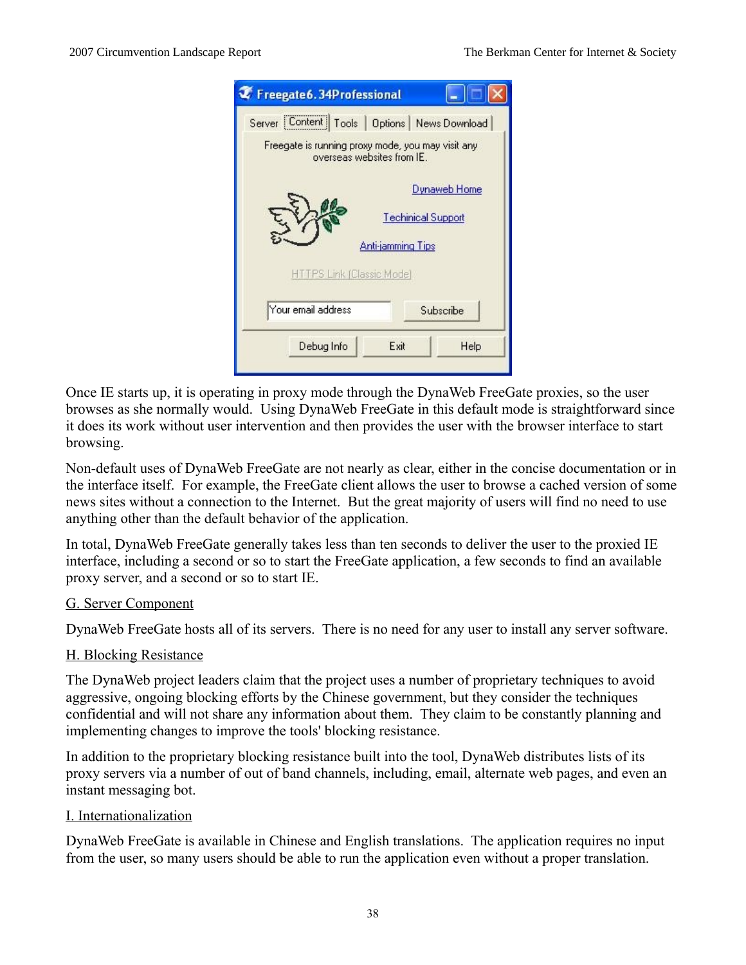|                                 | Server Content Tools   Options   News Download                                  |
|---------------------------------|---------------------------------------------------------------------------------|
|                                 | Freegate is running proxy mode, you may visit any<br>overseas websites from IE. |
|                                 | Dynaweb Home                                                                    |
|                                 | <b>Techinical Support</b>                                                       |
|                                 | <b>Anti-jamming Tips</b>                                                        |
| <b>TTPS Link (Classic Mode)</b> |                                                                                 |
| Your email address              | Subscribe                                                                       |
| Debug Info                      | Exit<br>Help                                                                    |

Once IE starts up, it is operating in proxy mode through the DynaWeb FreeGate proxies, so the user browses as she normally would. Using DynaWeb FreeGate in this default mode is straightforward since it does its work without user intervention and then provides the user with the browser interface to start browsing.

Non-default uses of DynaWeb FreeGate are not nearly as clear, either in the concise documentation or in the interface itself. For example, the FreeGate client allows the user to browse a cached version of some news sites without a connection to the Internet. But the great majority of users will find no need to use anything other than the default behavior of the application.

In total, DynaWeb FreeGate generally takes less than ten seconds to deliver the user to the proxied IE interface, including a second or so to start the FreeGate application, a few seconds to find an available proxy server, and a second or so to start IE.

### G. Server Component

DynaWeb FreeGate hosts all of its servers. There is no need for any user to install any server software.

#### H. Blocking Resistance

The DynaWeb project leaders claim that the project uses a number of proprietary techniques to avoid aggressive, ongoing blocking efforts by the Chinese government, but they consider the techniques confidential and will not share any information about them. They claim to be constantly planning and implementing changes to improve the tools' blocking resistance.

In addition to the proprietary blocking resistance built into the tool, DynaWeb distributes lists of its proxy servers via a number of out of band channels, including, email, alternate web pages, and even an instant messaging bot.

#### I. Internationalization

DynaWeb FreeGate is available in Chinese and English translations. The application requires no input from the user, so many users should be able to run the application even without a proper translation.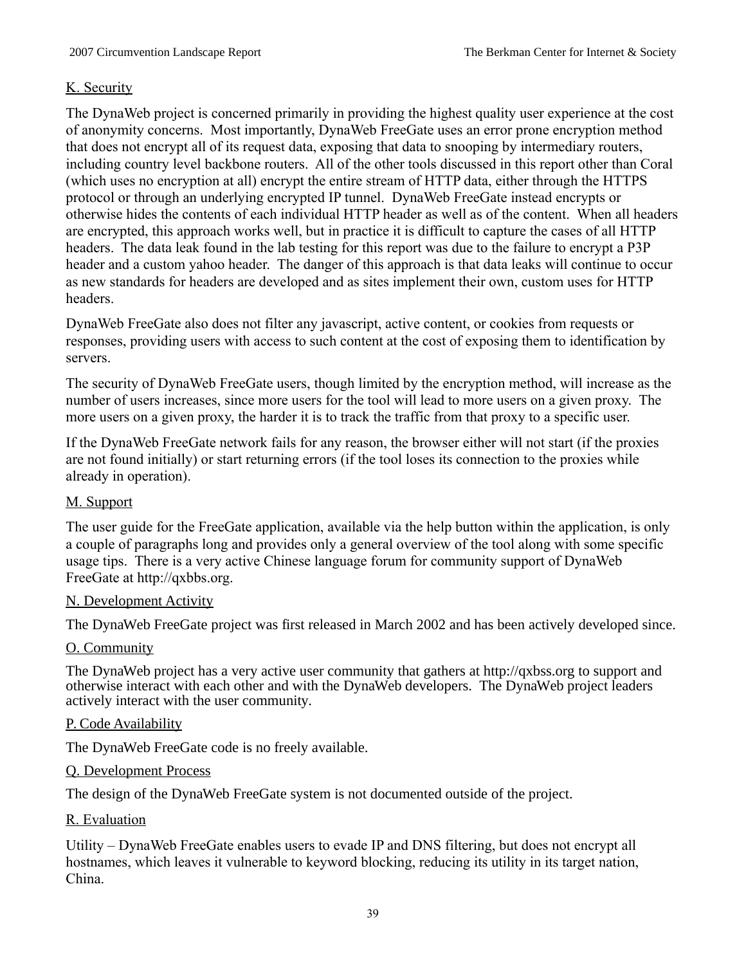# K. Security

The DynaWeb project is concerned primarily in providing the highest quality user experience at the cost of anonymity concerns. Most importantly, DynaWeb FreeGate uses an error prone encryption method that does not encrypt all of its request data, exposing that data to snooping by intermediary routers, including country level backbone routers. All of the other tools discussed in this report other than Coral (which uses no encryption at all) encrypt the entire stream of HTTP data, either through the HTTPS protocol or through an underlying encrypted IP tunnel. DynaWeb FreeGate instead encrypts or otherwise hides the contents of each individual HTTP header as well as of the content. When all headers are encrypted, this approach works well, but in practice it is difficult to capture the cases of all HTTP headers. The data leak found in the lab testing for this report was due to the failure to encrypt a P3P header and a custom yahoo header. The danger of this approach is that data leaks will continue to occur as new standards for headers are developed and as sites implement their own, custom uses for HTTP headers.

DynaWeb FreeGate also does not filter any javascript, active content, or cookies from requests or responses, providing users with access to such content at the cost of exposing them to identification by servers.

The security of DynaWeb FreeGate users, though limited by the encryption method, will increase as the number of users increases, since more users for the tool will lead to more users on a given proxy. The more users on a given proxy, the harder it is to track the traffic from that proxy to a specific user.

If the DynaWeb FreeGate network fails for any reason, the browser either will not start (if the proxies are not found initially) or start returning errors (if the tool loses its connection to the proxies while already in operation).

# M. Support

The user guide for the FreeGate application, available via the help button within the application, is only a couple of paragraphs long and provides only a general overview of the tool along with some specific usage tips. There is a very active Chinese language forum for community support of DynaWeb FreeGate at http://qxbbs.org.

# N. Development Activity

The DynaWeb FreeGate project was first released in March 2002 and has been actively developed since.

# O. Community

The DynaWeb project has a very active user community that gathers at http://qxbss.org to support and otherwise interact with each other and with the DynaWeb developers. The DynaWeb project leaders actively interact with the user community.

# P. Code Availability

The DynaWeb FreeGate code is no freely available.

# Q. Development Process

The design of the DynaWeb FreeGate system is not documented outside of the project.

#### R. Evaluation

Utility – DynaWeb FreeGate enables users to evade IP and DNS filtering, but does not encrypt all hostnames, which leaves it vulnerable to keyword blocking, reducing its utility in its target nation, China.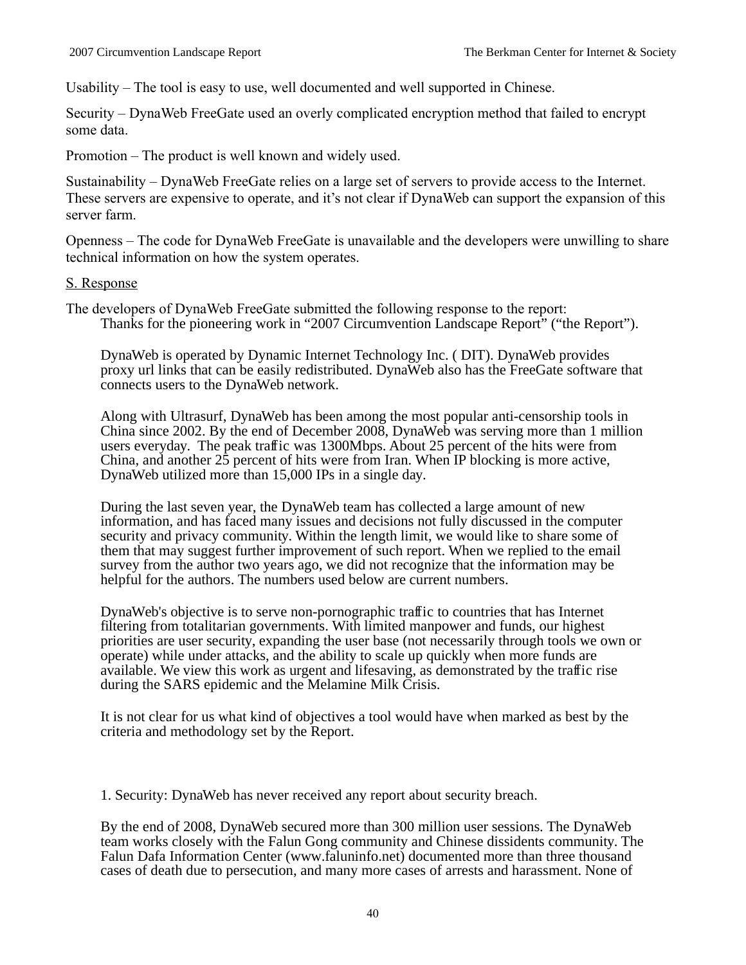Usability – The tool is easy to use, well documented and well supported in Chinese.

Security – DynaWeb FreeGate used an overly complicated encryption method that failed to encrypt some data.

Promotion – The product is well known and widely used.

Sustainability – DynaWeb FreeGate relies on a large set of servers to provide access to the Internet. These servers are expensive to operate, and it's not clear if DynaWeb can support the expansion of this server farm.

Openness – The code for DynaWeb FreeGate is unavailable and the developers were unwilling to share technical information on how the system operates.

#### S. Response

The developers of DynaWeb FreeGate submitted the following response to the report: Thanks for the pioneering work in "2007 Circumvention Landscape Report" ("the Report").

DynaWeb is operated by Dynamic Internet Technology Inc. ( DIT). DynaWeb provides proxy url links that can be easily redistributed. DynaWeb also has the FreeGate software that connects users to the DynaWeb network.

Along with Ultrasurf, DynaWeb has been among the most popular anti-censorship tools in China since 2002. By the end of December 2008, DynaWeb was serving more than 1 million users everyday. The peak traffic was 1300Mbps. About 25 percent of the hits were from China, and another 25 percent of hits were from Iran. When IP blocking is more active, DynaWeb utilized more than 15,000 IPs in a single day.

During the last seven year, the DynaWeb team has collected a large amount of new information, and has faced many issues and decisions not fully discussed in the computer security and privacy community. Within the length limit, we would like to share some of them that may suggest further improvement of such report. When we replied to the email survey from the author two years ago, we did not recognize that the information may be helpful for the authors. The numbers used below are current numbers.

DynaWeb's objective is to serve non-pornographic traffic to countries that has Internet filtering from totalitarian governments. With limited manpower and funds, our highest priorities are user security, expanding the user base (not necessarily through tools we own or operate) while under attacks, and the ability to scale up quickly when more funds are available. We view this work as urgent and lifesaving, as demonstrated by the traffic rise during the SARS epidemic and the Melamine Milk Crisis.

It is not clear for us what kind of objectives a tool would have when marked as best by the criteria and methodology set by the Report.

1. Security: DynaWeb has never received any report about security breach.

By the end of 2008, DynaWeb secured more than 300 million user sessions. The DynaWeb team works closely with the Falun Gong community and Chinese dissidents community. The Falun Dafa Information Center (www.faluninfo.net) documented more than three thousand cases of death due to persecution, and many more cases of arrests and harassment. None of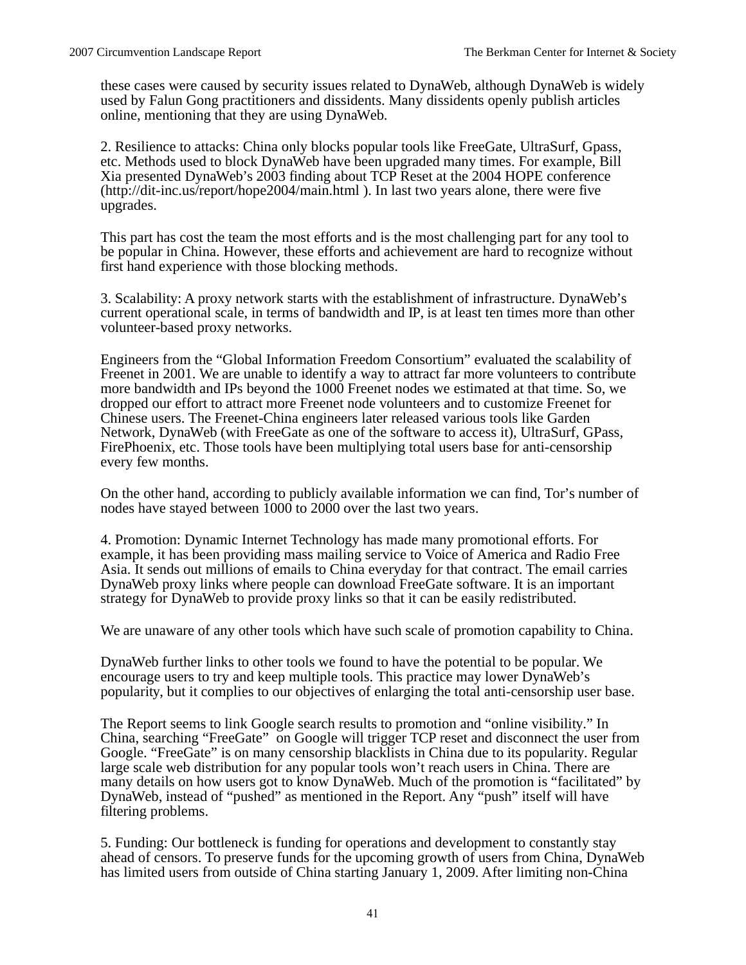these cases were caused by security issues related to DynaWeb, although DynaWeb is widely used by Falun Gong practitioners and dissidents. Many dissidents openly publish articles online, mentioning that they are using DynaWeb.

2. Resilience to attacks: China only blocks popular tools like FreeGate, UltraSurf, Gpass, etc. Methods used to block DynaWeb have been upgraded many times. For example, Bill Xia presented DynaWeb's 2003 finding about TCP Reset at the 2004 HOPE conference (http://dit-inc.us/report/hope2004/main.html ). In last two years alone, there were five upgrades.

This part has cost the team the most efforts and is the most challenging part for any tool to be popular in China. However, these efforts and achievement are hard to recognize without first hand experience with those blocking methods.

3. Scalability: A proxy network starts with the establishment of infrastructure. DynaWeb's current operational scale, in terms of bandwidth and IP, is at least ten times more than other volunteer-based proxy networks.

Engineers from the "Global Information Freedom Consortium" evaluated the scalability of Freenet in 2001. We are unable to identify a way to attract far more volunteers to contribute more bandwidth and IPs beyond the 1000 Freenet nodes we estimated at that time. So, we dropped our effort to attract more Freenet node volunteers and to customize Freenet for Chinese users. The Freenet-China engineers later released various tools like Garden Network, DynaWeb (with FreeGate as one of the software to access it), UltraSurf, GPass, FirePhoenix, etc. Those tools have been multiplying total users base for anti-censorship every few months.

On the other hand, according to publicly available information we can find, Tor's number of nodes have stayed between 1000 to 2000 over the last two years.

4. Promotion: Dynamic Internet Technology has made many promotional efforts. For example, it has been providing mass mailing service to Voice of America and Radio Free Asia. It sends out millions of emails to China everyday for that contract. The email carries DynaWeb proxy links where people can download FreeGate software. It is an important strategy for DynaWeb to provide proxy links so that it can be easily redistributed.

We are unaware of any other tools which have such scale of promotion capability to China.

DynaWeb further links to other tools we found to have the potential to be popular. We encourage users to try and keep multiple tools. This practice may lower DynaWeb's popularity, but it complies to our objectives of enlarging the total anti-censorship user base.

The Report seems to link Google search results to promotion and "online visibility." In China, searching "FreeGate" on Google will trigger TCP reset and disconnect the user from Google. "FreeGate" is on many censorship blacklists in China due to its popularity. Regular large scale web distribution for any popular tools won't reach users in China. There are many details on how users got to know DynaWeb. Much of the promotion is "facilitated" by DynaWeb, instead of "pushed" as mentioned in the Report. Any "push" itself will have filtering problems.

5. Funding: Our bottleneck is funding for operations and development to constantly stay ahead of censors. To preserve funds for the upcoming growth of users from China, DynaWeb has limited users from outside of China starting January 1, 2009. After limiting non-China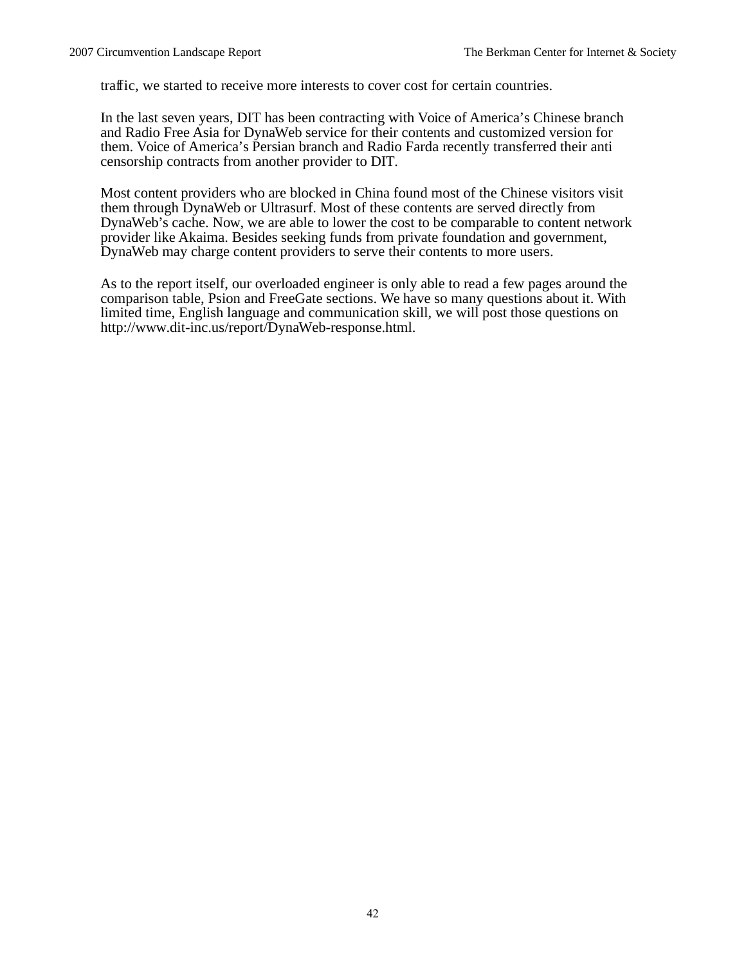traffic, we started to receive more interests to cover cost for certain countries.

In the last seven years, DIT has been contracting with Voice of America's Chinese branch and Radio Free Asia for DynaWeb service for their contents and customized version for them. Voice of America's Persian branch and Radio Farda recently transferred their anti censorship contracts from another provider to DIT.

Most content providers who are blocked in China found most of the Chinese visitors visit them through DynaWeb or Ultrasurf. Most of these contents are served directly from DynaWeb's cache. Now, we are able to lower the cost to be comparable to content network provider like Akaima. Besides seeking funds from private foundation and government, DynaWeb may charge content providers to serve their contents to more users.

As to the report itself, our overloaded engineer is only able to read a few pages around the comparison table, Psion and FreeGate sections. We have so many questions about it. With limited time, English language and communication skill, we will post those questions on http://www.dit-inc.us/report/DynaWeb-response.html.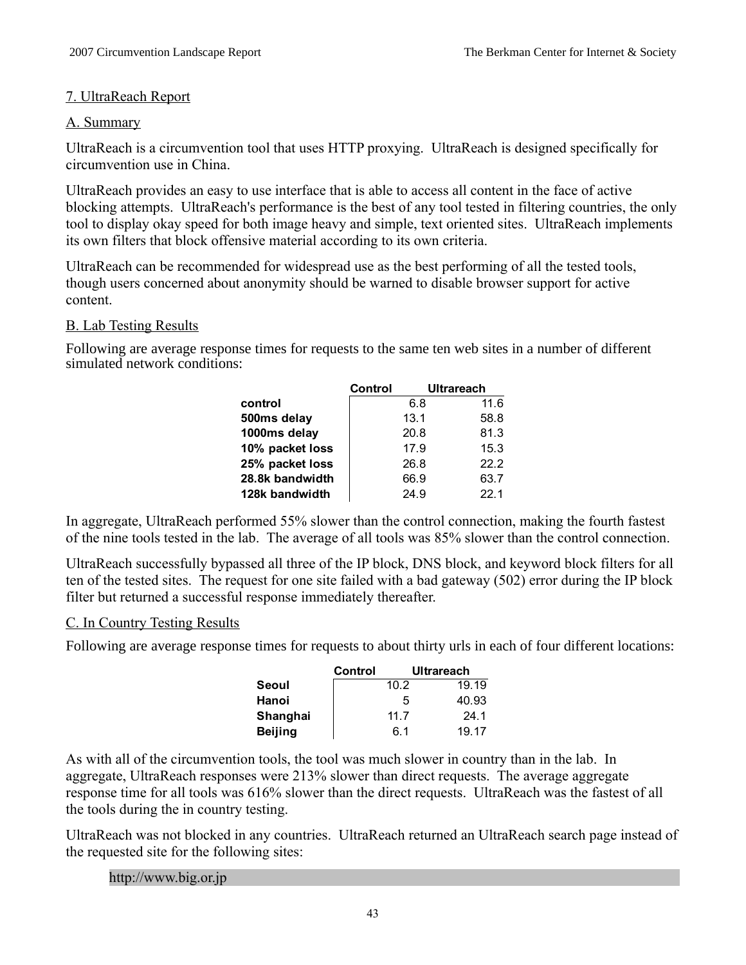# 7. UltraReach Report

### A. Summary

UltraReach is a circumvention tool that uses HTTP proxying. UltraReach is designed specifically for circumvention use in China.

UltraReach provides an easy to use interface that is able to access all content in the face of active blocking attempts. UltraReach's performance is the best of any tool tested in filtering countries, the only tool to display okay speed for both image heavy and simple, text oriented sites. UltraReach implements its own filters that block offensive material according to its own criteria.

UltraReach can be recommended for widespread use as the best performing of all the tested tools, though users concerned about anonymity should be warned to disable browser support for active content.

### B. Lab Testing Results

Following are average response times for requests to the same ten web sites in a number of different simulated network conditions:

|                 | Control | <b>Ultrareach</b> |      |
|-----------------|---------|-------------------|------|
| control         |         | 6.8               | 11.6 |
| 500ms delay     |         | 13.1              | 58.8 |
| 1000ms delay    |         | 20.8              | 81.3 |
| 10% packet loss |         | 17.9              | 15.3 |
| 25% packet loss |         | 26.8              | 22.2 |
| 28.8k bandwidth |         | 66.9              | 63.7 |
| 128k bandwidth  |         | 24.9              | 22.1 |

In aggregate, UltraReach performed 55% slower than the control connection, making the fourth fastest of the nine tools tested in the lab. The average of all tools was 85% slower than the control connection.

UltraReach successfully bypassed all three of the IP block, DNS block, and keyword block filters for all ten of the tested sites. The request for one site failed with a bad gateway (502) error during the IP block filter but returned a successful response immediately thereafter.

# C. In Country Testing Results

Following are average response times for requests to about thirty urls in each of four different locations:

|                | Control |      | <b>Ultrareach</b> |
|----------------|---------|------|-------------------|
| Seoul          |         | 10.2 | 19.19             |
| Hanoi          |         | 5    | 40.93             |
| Shanghai       |         | 11.7 | 24.1              |
| <b>Beijing</b> |         | 6.1  | 19.17             |

As with all of the circumvention tools, the tool was much slower in country than in the lab. In aggregate, UltraReach responses were 213% slower than direct requests. The average aggregate response time for all tools was 616% slower than the direct requests. UltraReach was the fastest of all the tools during the in country testing.

UltraReach was not blocked in any countries. UltraReach returned an UltraReach search page instead of the requested site for the following sites:

#### http://www.big.or.jp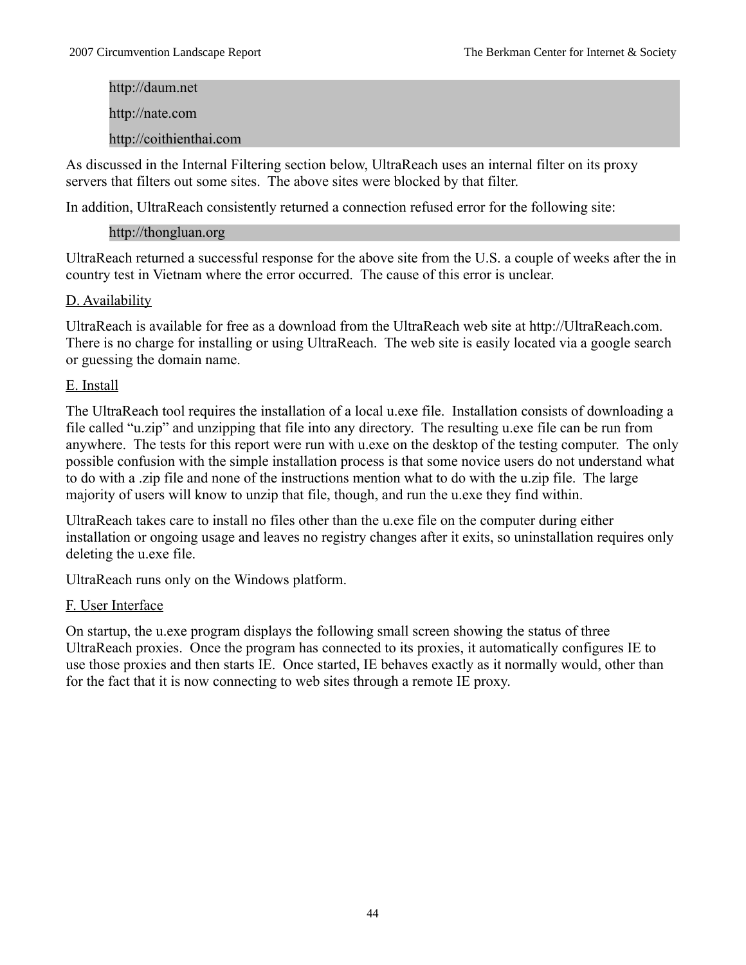http://daum.net http://nate.com http://coithienthai.com

As discussed in the Internal Filtering section below, UltraReach uses an internal filter on its proxy servers that filters out some sites. The above sites were blocked by that filter.

In addition, UltraReach consistently returned a connection refused error for the following site:

# http://thongluan.org

UltraReach returned a successful response for the above site from the U.S. a couple of weeks after the in country test in Vietnam where the error occurred. The cause of this error is unclear.

# D. Availability

UltraReach is available for free as a download from the UltraReach web site at http://UltraReach.com. There is no charge for installing or using UltraReach. The web site is easily located via a google search or guessing the domain name.

# E. Install

The UltraReach tool requires the installation of a local u.exe file. Installation consists of downloading a file called "u.zip" and unzipping that file into any directory. The resulting u.exe file can be run from anywhere. The tests for this report were run with u.exe on the desktop of the testing computer. The only possible confusion with the simple installation process is that some novice users do not understand what to do with a .zip file and none of the instructions mention what to do with the u.zip file. The large majority of users will know to unzip that file, though, and run the u.exe they find within.

UltraReach takes care to install no files other than the u.exe file on the computer during either installation or ongoing usage and leaves no registry changes after it exits, so uninstallation requires only deleting the u.exe file.

UltraReach runs only on the Windows platform.

# F. User Interface

On startup, the u.exe program displays the following small screen showing the status of three UltraReach proxies. Once the program has connected to its proxies, it automatically configures IE to use those proxies and then starts IE. Once started, IE behaves exactly as it normally would, other than for the fact that it is now connecting to web sites through a remote IE proxy.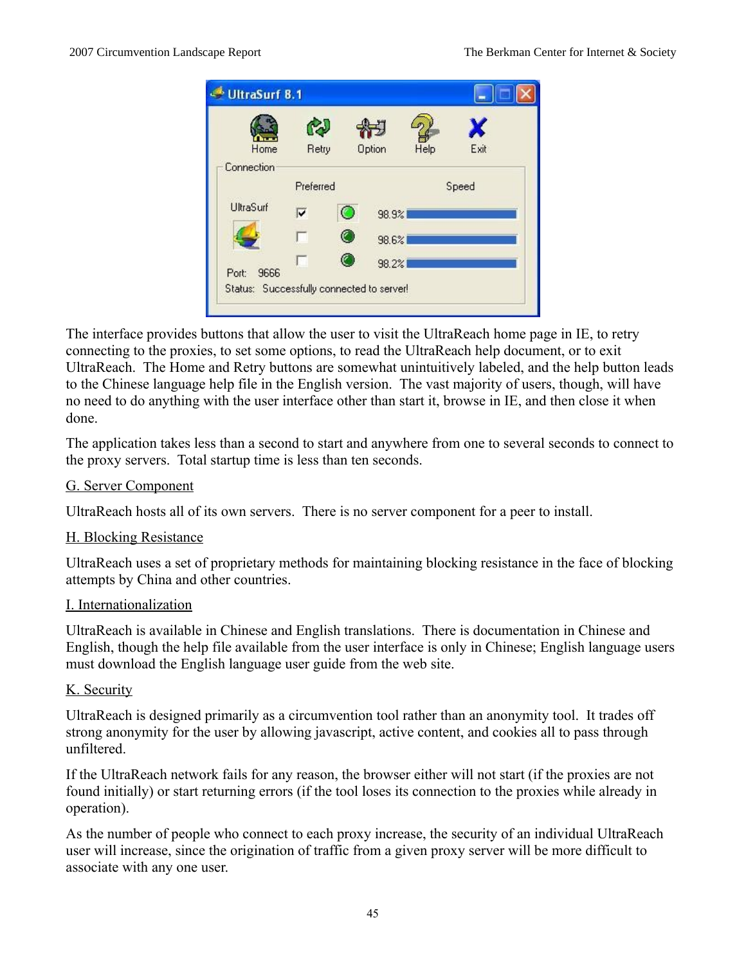|               |           |                |               |      | X     |
|---------------|-----------|----------------|---------------|------|-------|
| Home          | Retry     |                | <b>Option</b> | Help | Exit  |
| Connection    |           |                |               |      |       |
|               | Preferred |                |               |      | Speed |
| UltraSurf     | ⊽         | $\circledcirc$ | 98.9%         |      |       |
|               |           | O              | 98.6%         |      |       |
| 9666<br>Port: | n         |                | 98.2%         |      |       |

The interface provides buttons that allow the user to visit the UltraReach home page in IE, to retry connecting to the proxies, to set some options, to read the UltraReach help document, or to exit UltraReach. The Home and Retry buttons are somewhat unintuitively labeled, and the help button leads to the Chinese language help file in the English version. The vast majority of users, though, will have no need to do anything with the user interface other than start it, browse in IE, and then close it when done.

The application takes less than a second to start and anywhere from one to several seconds to connect to the proxy servers. Total startup time is less than ten seconds.

# G. Server Component

UltraReach hosts all of its own servers. There is no server component for a peer to install.

# H. Blocking Resistance

UltraReach uses a set of proprietary methods for maintaining blocking resistance in the face of blocking attempts by China and other countries.

# I. Internationalization

UltraReach is available in Chinese and English translations. There is documentation in Chinese and English, though the help file available from the user interface is only in Chinese; English language users must download the English language user guide from the web site.

# K. Security

UltraReach is designed primarily as a circumvention tool rather than an anonymity tool. It trades off strong anonymity for the user by allowing javascript, active content, and cookies all to pass through unfiltered.

If the UltraReach network fails for any reason, the browser either will not start (if the proxies are not found initially) or start returning errors (if the tool loses its connection to the proxies while already in operation).

As the number of people who connect to each proxy increase, the security of an individual UltraReach user will increase, since the origination of traffic from a given proxy server will be more difficult to associate with any one user.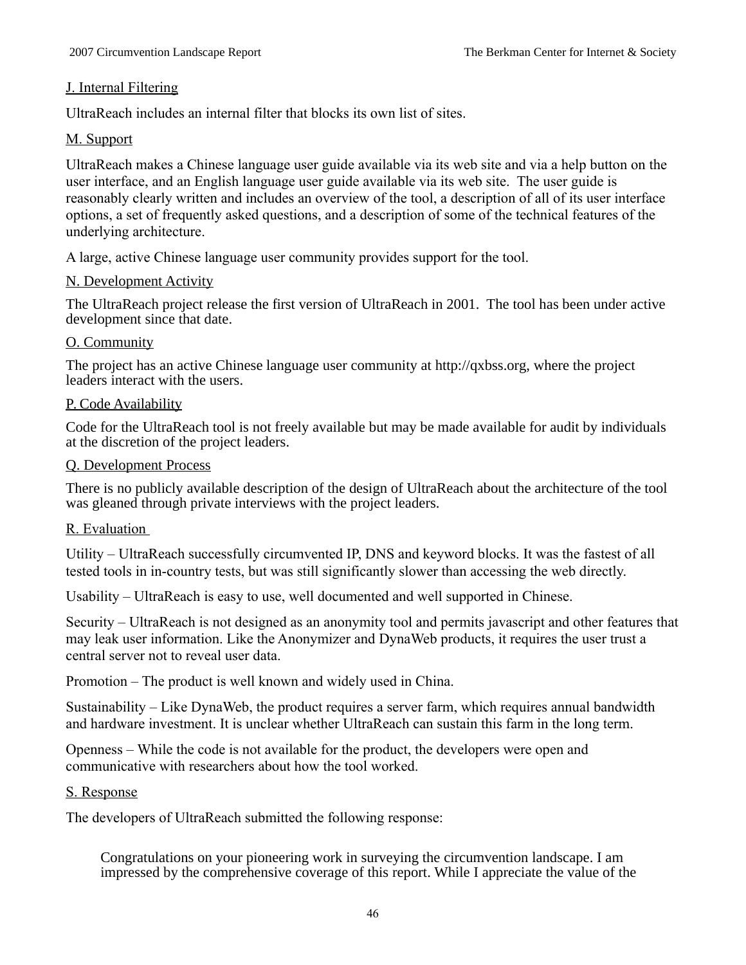# J. Internal Filtering

UltraReach includes an internal filter that blocks its own list of sites.

# M. Support

UltraReach makes a Chinese language user guide available via its web site and via a help button on the user interface, and an English language user guide available via its web site. The user guide is reasonably clearly written and includes an overview of the tool, a description of all of its user interface options, a set of frequently asked questions, and a description of some of the technical features of the underlying architecture.

A large, active Chinese language user community provides support for the tool.

# N. Development Activity

The UltraReach project release the first version of UltraReach in 2001. The tool has been under active development since that date.

### O. Community

The project has an active Chinese language user community at http://qxbss.org, where the project leaders interact with the users.

### P. Code Availability

Code for the UltraReach tool is not freely available but may be made available for audit by individuals at the discretion of the project leaders.

# Q. Development Process

There is no publicly available description of the design of UltraReach about the architecture of the tool was gleaned through private interviews with the project leaders.

# R. Evaluation

Utility – UltraReach successfully circumvented IP, DNS and keyword blocks. It was the fastest of all tested tools in in-country tests, but was still significantly slower than accessing the web directly.

Usability – UltraReach is easy to use, well documented and well supported in Chinese.

Security – UltraReach is not designed as an anonymity tool and permits javascript and other features that may leak user information. Like the Anonymizer and DynaWeb products, it requires the user trust a central server not to reveal user data.

Promotion – The product is well known and widely used in China.

Sustainability – Like DynaWeb, the product requires a server farm, which requires annual bandwidth and hardware investment. It is unclear whether UltraReach can sustain this farm in the long term.

Openness – While the code is not available for the product, the developers were open and communicative with researchers about how the tool worked.

# S. Response

The developers of UltraReach submitted the following response:

Congratulations on your pioneering work in surveying the circumvention landscape. I am impressed by the comprehensive coverage of this report. While I appreciate the value of the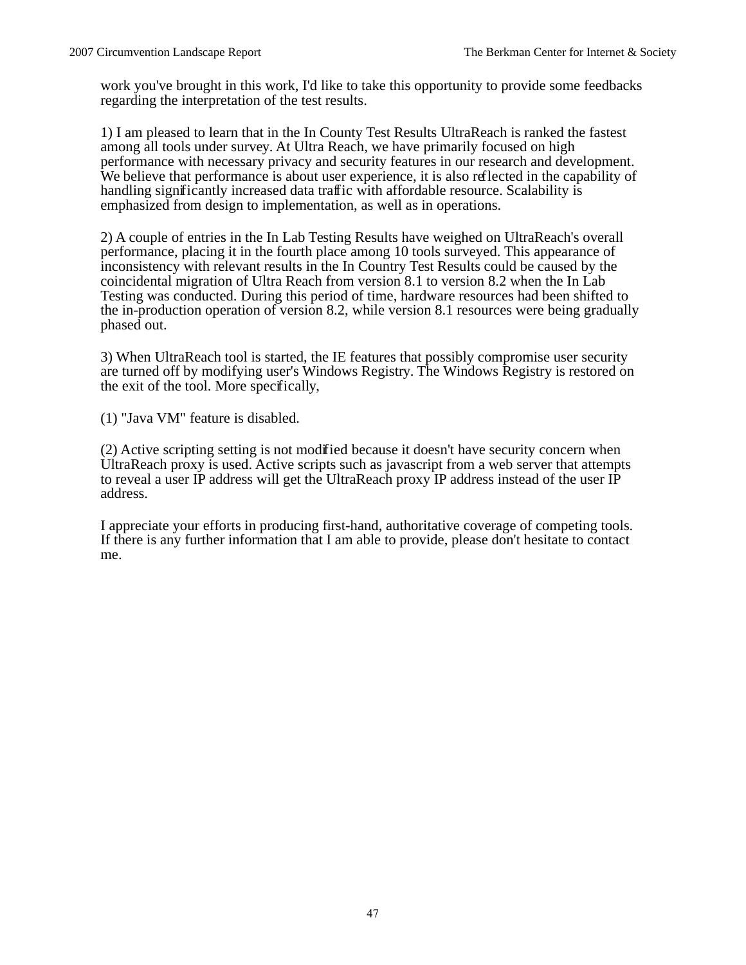work you've brought in this work, I'd like to take this opportunity to provide some feedbacks regarding the interpretation of the test results.

1) I am pleased to learn that in the In County Test Results UltraReach is ranked the fastest among all tools under survey. At Ultra Reach, we have primarily focused on high performance with necessary privacy and security features in our research and development. We believe that performance is about user experience, it is also reflected in the capability of handling significantly increased data traffic with affordable resource. Scalability is emphasized from design to implementation, as well as in operations.

2) A couple of entries in the In Lab Testing Results have weighed on UltraReach's overall performance, placing it in the fourth place among 10 tools surveyed. This appearance of inconsistency with relevant results in the In Country Test Results could be caused by the coincidental migration of Ultra Reach from version 8.1 to version 8.2 when the In Lab Testing was conducted. During this period of time, hardware resources had been shifted to the in-production operation of version 8.2, while version 8.1 resources were being gradually phased out.

3) When UltraReach tool is started, the IE features that possibly compromise user security are turned off by modifying user's Windows Registry. The Windows Registry is restored on the exit of the tool. More specifically,

(1) "Java VM" feature is disabled.

(2) Active scripting setting is not modified because it doesn't have security concern when UltraReach proxy is used. Active scripts such as javascript from a web server that attempts to reveal a user IP address will get the UltraReach proxy IP address instead of the user IP address.

I appreciate your efforts in producing first-hand, authoritative coverage of competing tools. If there is any further information that I am able to provide, please don't hesitate to contact me.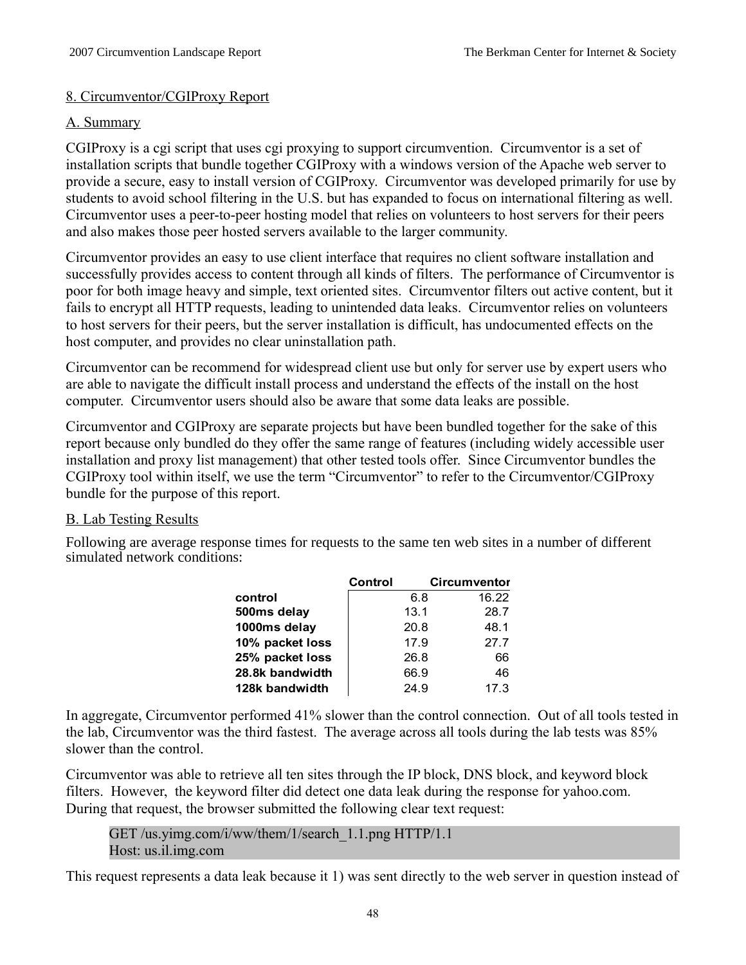# 8. Circumventor/CGIProxy Report

# A. Summary

CGIProxy is a cgi script that uses cgi proxying to support circumvention. Circumventor is a set of installation scripts that bundle together CGIProxy with a windows version of the Apache web server to provide a secure, easy to install version of CGIProxy. Circumventor was developed primarily for use by students to avoid school filtering in the U.S. but has expanded to focus on international filtering as well. Circumventor uses a peer-to-peer hosting model that relies on volunteers to host servers for their peers and also makes those peer hosted servers available to the larger community.

Circumventor provides an easy to use client interface that requires no client software installation and successfully provides access to content through all kinds of filters. The performance of Circumventor is poor for both image heavy and simple, text oriented sites. Circumventor filters out active content, but it fails to encrypt all HTTP requests, leading to unintended data leaks. Circumventor relies on volunteers to host servers for their peers, but the server installation is difficult, has undocumented effects on the host computer, and provides no clear uninstallation path.

Circumventor can be recommend for widespread client use but only for server use by expert users who are able to navigate the difficult install process and understand the effects of the install on the host computer. Circumventor users should also be aware that some data leaks are possible.

Circumventor and CGIProxy are separate projects but have been bundled together for the sake of this report because only bundled do they offer the same range of features (including widely accessible user installation and proxy list management) that other tested tools offer. Since Circumventor bundles the CGIProxy tool within itself, we use the term "Circumventor" to refer to the Circumventor/CGIProxy bundle for the purpose of this report.

# B. Lab Testing Results

Following are average response times for requests to the same ten web sites in a number of different simulated network conditions:

|                 | Control | Circumventor |       |
|-----------------|---------|--------------|-------|
| control         |         | 6.8          | 16.22 |
| 500ms delay     |         | 13.1         | 28.7  |
| 1000ms delay    |         | 20.8         | 48.1  |
| 10% packet loss |         | 17.9         | 27.7  |
| 25% packet loss |         | 26.8         | 66    |
| 28.8k bandwidth |         | 66.9         | 46    |
| 128k bandwidth  |         | 24.9         | 17.3  |

In aggregate, Circumventor performed 41% slower than the control connection. Out of all tools tested in the lab, Circumventor was the third fastest. The average across all tools during the lab tests was 85% slower than the control.

Circumventor was able to retrieve all ten sites through the IP block, DNS block, and keyword block filters. However, the keyword filter did detect one data leak during the response for yahoo.com. During that request, the browser submitted the following clear text request:

GET /us.yimg.com/i/ww/them/1/search\_1.1.png HTTP/1.1 Host: us.il.img.com

This request represents a data leak because it 1) was sent directly to the web server in question instead of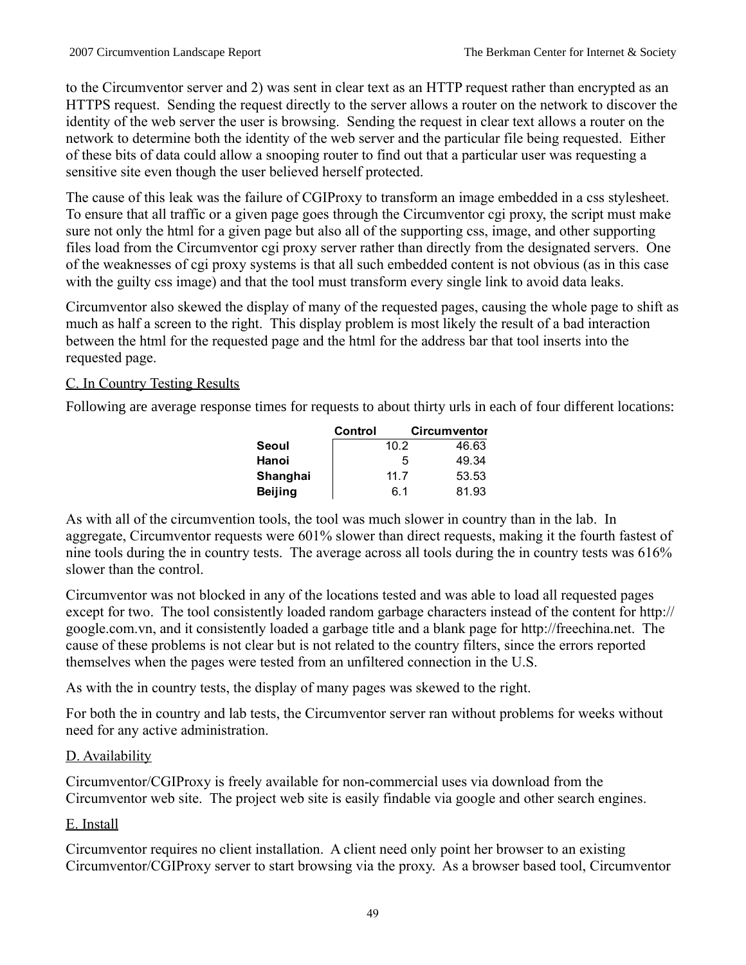to the Circumventor server and 2) was sent in clear text as an HTTP request rather than encrypted as an HTTPS request. Sending the request directly to the server allows a router on the network to discover the identity of the web server the user is browsing. Sending the request in clear text allows a router on the network to determine both the identity of the web server and the particular file being requested. Either of these bits of data could allow a snooping router to find out that a particular user was requesting a sensitive site even though the user believed herself protected.

The cause of this leak was the failure of CGIProxy to transform an image embedded in a css stylesheet. To ensure that all traffic or a given page goes through the Circumventor cgi proxy, the script must make sure not only the html for a given page but also all of the supporting css, image, and other supporting files load from the Circumventor cgi proxy server rather than directly from the designated servers. One of the weaknesses of cgi proxy systems is that all such embedded content is not obvious (as in this case with the guilty css image) and that the tool must transform every single link to avoid data leaks.

Circumventor also skewed the display of many of the requested pages, causing the whole page to shift as much as half a screen to the right. This display problem is most likely the result of a bad interaction between the html for the requested page and the html for the address bar that tool inserts into the requested page.

# C. In Country Testing Results

Following are average response times for requests to about thirty urls in each of four different locations:

|                | Control |      | <b>Circumventor</b> |
|----------------|---------|------|---------------------|
| Seoul          |         | 10.2 | 46.63               |
| Hanoi          |         | 5    | 49.34               |
| Shanghai       |         | 11.7 | 53.53               |
| <b>Beijing</b> |         | 6.1  | 81.93               |

As with all of the circumvention tools, the tool was much slower in country than in the lab. In aggregate, Circumventor requests were 601% slower than direct requests, making it the fourth fastest of nine tools during the in country tests. The average across all tools during the in country tests was 616% slower than the control.

Circumventor was not blocked in any of the locations tested and was able to load all requested pages except for two. The tool consistently loaded random garbage characters instead of the content for http:// google.com.vn, and it consistently loaded a garbage title and a blank page for http://freechina.net. The cause of these problems is not clear but is not related to the country filters, since the errors reported themselves when the pages were tested from an unfiltered connection in the U.S.

As with the in country tests, the display of many pages was skewed to the right.

For both the in country and lab tests, the Circumventor server ran without problems for weeks without need for any active administration.

# D. Availability

Circumventor/CGIProxy is freely available for non-commercial uses via download from the Circumventor web site. The project web site is easily findable via google and other search engines.

# E. Install

Circumventor requires no client installation. A client need only point her browser to an existing Circumventor/CGIProxy server to start browsing via the proxy. As a browser based tool, Circumventor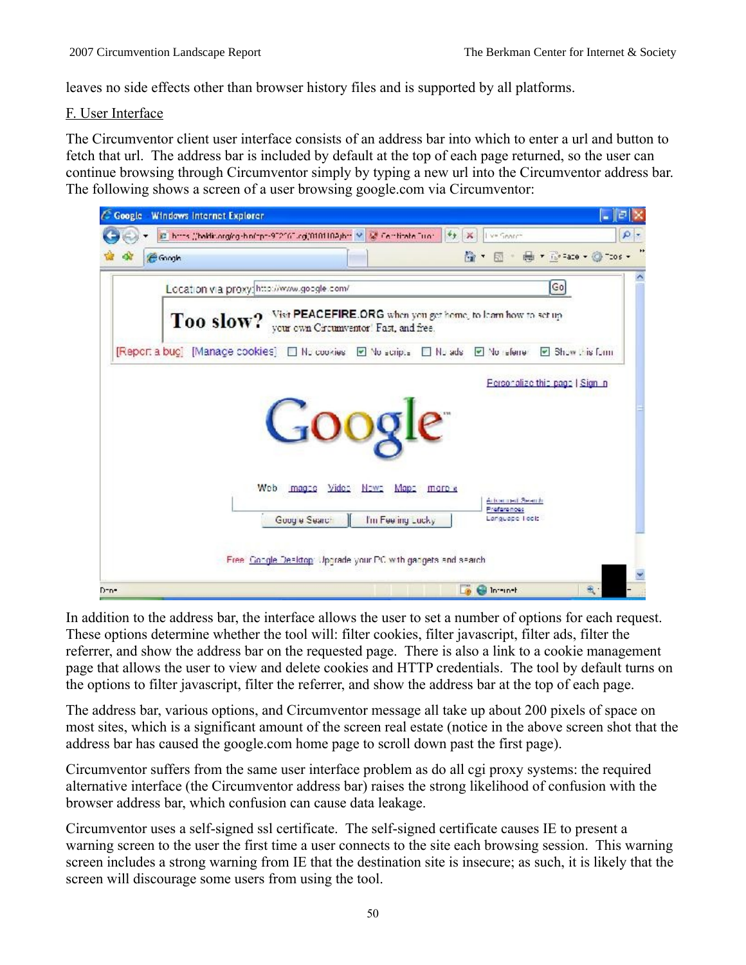leaves no side effects other than browser history files and is supported by all platforms.

# F. User Interface

The Circumventor client user interface consists of an address bar into which to enter a url and button to fetch that url. The address bar is included by default at the top of each page returned, so the user can continue browsing through Circumventor simply by typing a new url into the Circumventor address bar. The following shows a screen of a user browsing google.com via Circumventor:



In addition to the address bar, the interface allows the user to set a number of options for each request. These options determine whether the tool will: filter cookies, filter javascript, filter ads, filter the referrer, and show the address bar on the requested page. There is also a link to a cookie management page that allows the user to view and delete cookies and HTTP credentials. The tool by default turns on the options to filter javascript, filter the referrer, and show the address bar at the top of each page.

The address bar, various options, and Circumventor message all take up about 200 pixels of space on most sites, which is a significant amount of the screen real estate (notice in the above screen shot that the address bar has caused the google.com home page to scroll down past the first page).

Circumventor suffers from the same user interface problem as do all cgi proxy systems: the required alternative interface (the Circumventor address bar) raises the strong likelihood of confusion with the browser address bar, which confusion can cause data leakage.

Circumventor uses a self-signed ssl certificate. The self-signed certificate causes IE to present a warning screen to the user the first time a user connects to the site each browsing session. This warning screen includes a strong warning from IE that the destination site is insecure; as such, it is likely that the screen will discourage some users from using the tool.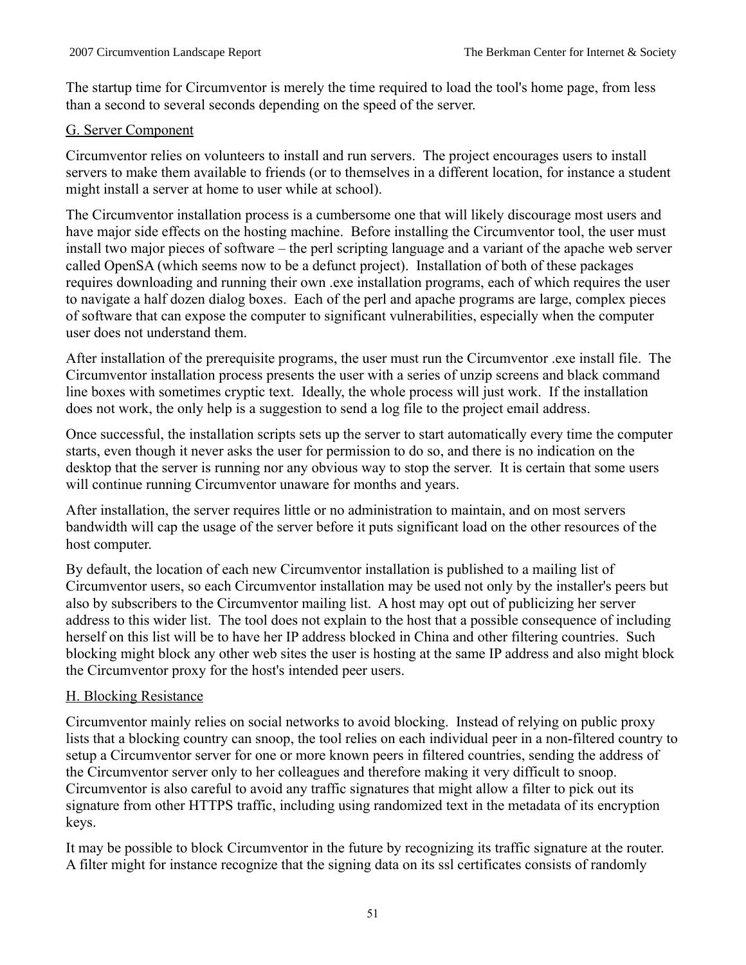The startup time for Circumventor is merely the time required to load the tool's home page, from less than a second to several seconds depending on the speed of the server.

# G. Server Component

Circumventor relies on volunteers to install and run servers. The project encourages users to install servers to make them available to friends (or to themselves in a different location, for instance a student might install a server at home to user while at school).

The Circumventor installation process is a cumbersome one that will likely discourage most users and have major side effects on the hosting machine. Before installing the Circumventor tool, the user must install two major pieces of software – the perl scripting language and a variant of the apache web server called OpenSA (which seems now to be a defunct project). Installation of both of these packages requires downloading and running their own .exe installation programs, each of which requires the user to navigate a half dozen dialog boxes. Each of the perl and apache programs are large, complex pieces of software that can expose the computer to significant vulnerabilities, especially when the computer user does not understand them.

After installation of the prerequisite programs, the user must run the Circumventor .exe install file. The Circumventor installation process presents the user with a series of unzip screens and black command line boxes with sometimes cryptic text. Ideally, the whole process will just work. If the installation does not work, the only help is a suggestion to send a log file to the project email address.

Once successful, the installation scripts sets up the server to start automatically every time the computer starts, even though it never asks the user for permission to do so, and there is no indication on the desktop that the server is running nor any obvious way to stop the server. It is certain that some users will continue running Circumventor unaware for months and years.

After installation, the server requires little or no administration to maintain, and on most servers bandwidth will cap the usage of the server before it puts significant load on the other resources of the host computer.

By default, the location of each new Circumventor installation is published to a mailing list of Circumventor users, so each Circumventor installation may be used not only by the installer's peers but also by subscribers to the Circumventor mailing list. A host may opt out of publicizing her server address to this wider list. The tool does not explain to the host that a possible consequence of including herself on this list will be to have her IP address blocked in China and other filtering countries. Such blocking might block any other web sites the user is hosting at the same IP address and also might block the Circumventor proxy for the host's intended peer users.

# H. Blocking Resistance

Circumventor mainly relies on social networks to avoid blocking. Instead of relying on public proxy lists that a blocking country can snoop, the tool relies on each individual peer in a non-filtered country to setup a Circumventor server for one or more known peers in filtered countries, sending the address of the Circumventor server only to her colleagues and therefore making it very difficult to snoop. Circumventor is also careful to avoid any traffic signatures that might allow a filter to pick out its signature from other HTTPS traffic, including using randomized text in the metadata of its encryption keys.

It may be possible to block Circumventor in the future by recognizing its traffic signature at the router. A filter might for instance recognize that the signing data on its ssl certificates consists of randomly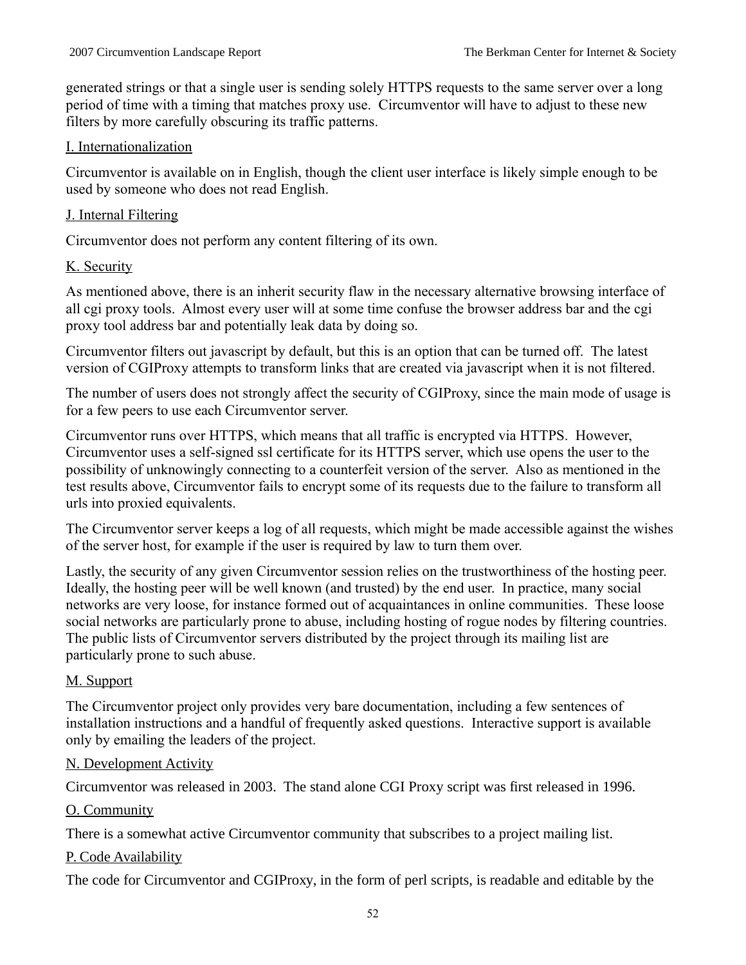generated strings or that a single user is sending solely HTTPS requests to the same server over a long period of time with a timing that matches proxy use. Circumventor will have to adjust to these new filters by more carefully obscuring its traffic patterns.

# I. Internationalization

Circumventor is available on in English, though the client user interface is likely simple enough to be used by someone who does not read English.

# J. Internal Filtering

Circumventor does not perform any content filtering of its own.

# K. Security

As mentioned above, there is an inherit security flaw in the necessary alternative browsing interface of all cgi proxy tools. Almost every user will at some time confuse the browser address bar and the cgi proxy tool address bar and potentially leak data by doing so.

Circumventor filters out javascript by default, but this is an option that can be turned off. The latest version of CGIProxy attempts to transform links that are created via javascript when it is not filtered.

The number of users does not strongly affect the security of CGIProxy, since the main mode of usage is for a few peers to use each Circumventor server.

Circumventor runs over HTTPS, which means that all traffic is encrypted via HTTPS. However, Circumventor uses a self-signed ssl certificate for its HTTPS server, which use opens the user to the possibility of unknowingly connecting to a counterfeit version of the server. Also as mentioned in the test results above, Circumventor fails to encrypt some of its requests due to the failure to transform all urls into proxied equivalents.

The Circumventor server keeps a log of all requests, which might be made accessible against the wishes of the server host, for example if the user is required by law to turn them over.

Lastly, the security of any given Circumventor session relies on the trustworthiness of the hosting peer. Ideally, the hosting peer will be well known (and trusted) by the end user. In practice, many social networks are very loose, for instance formed out of acquaintances in online communities. These loose social networks are particularly prone to abuse, including hosting of rogue nodes by filtering countries. The public lists of Circumventor servers distributed by the project through its mailing list are particularly prone to such abuse.

# M. Support

The Circumventor project only provides very bare documentation, including a few sentences of installation instructions and a handful of frequently asked questions. Interactive support is available only by emailing the leaders of the project.

# N. Development Activity

Circumventor was released in 2003. The stand alone CGI Proxy script was first released in 1996.

# O. Community

There is a somewhat active Circumventor community that subscribes to a project mailing list.

# P. Code Availability

The code for Circumventor and CGIProxy, in the form of perl scripts, is readable and editable by the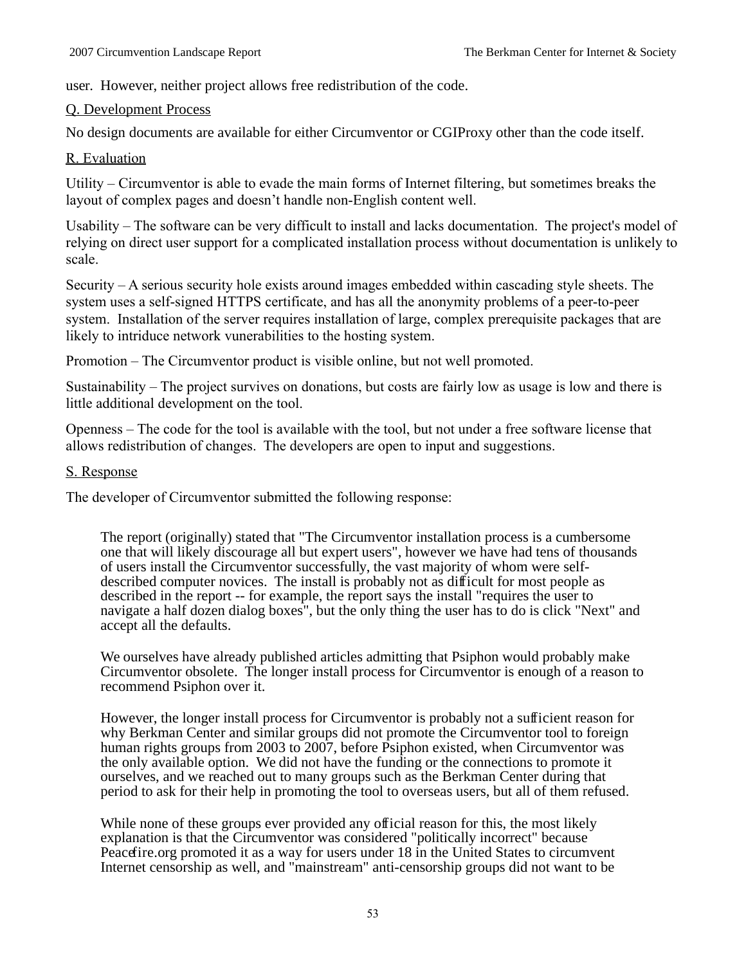user. However, neither project allows free redistribution of the code.

### Q. Development Process

No design documents are available for either Circumventor or CGIProxy other than the code itself.

### R. Evaluation

Utility – Circumventor is able to evade the main forms of Internet filtering, but sometimes breaks the layout of complex pages and doesn't handle non-English content well.

Usability – The software can be very difficult to install and lacks documentation. The project's model of relying on direct user support for a complicated installation process without documentation is unlikely to scale.

Security – A serious security hole exists around images embedded within cascading style sheets. The system uses a self-signed HTTPS certificate, and has all the anonymity problems of a peer-to-peer system. Installation of the server requires installation of large, complex prerequisite packages that are likely to intriduce network vunerabilities to the hosting system.

Promotion – The Circumventor product is visible online, but not well promoted.

Sustainability – The project survives on donations, but costs are fairly low as usage is low and there is little additional development on the tool.

Openness – The code for the tool is available with the tool, but not under a free software license that allows redistribution of changes. The developers are open to input and suggestions.

### S. Response

The developer of Circumventor submitted the following response:

The report (originally) stated that "The Circumventor installation process is a cumbersome one that will likely discourage all but expert users", however we have had tens of thousands of users install the Circumventor successfully, the vast majority of whom were selfdescribed computer novices. The install is probably not as difficult for most people as described in the report -- for example, the report says the install "requires the user to navigate a half dozen dialog boxes", but the only thing the user has to do is click "Next" and accept all the defaults.

We ourselves have already published articles admitting that Psiphon would probably make Circumventor obsolete. The longer install process for Circumventor is enough of a reason to recommend Psiphon over it.

However, the longer install process for Circumventor is probably not a sufficient reason for why Berkman Center and similar groups did not promote the Circumventor tool to foreign human rights groups from 2003 to 2007, before Psiphon existed, when Circumventor was the only available option. We did not have the funding or the connections to promote it ourselves, and we reached out to many groups such as the Berkman Center during that period to ask for their help in promoting the tool to overseas users, but all of them refused.

While none of these groups ever provided any official reason for this, the most likely explanation is that the Circumventor was considered "politically incorrect" because Peacefire.org promoted it as a way for users under 18 in the United States to circumvent Internet censorship as well, and "mainstream" anti-censorship groups did not want to be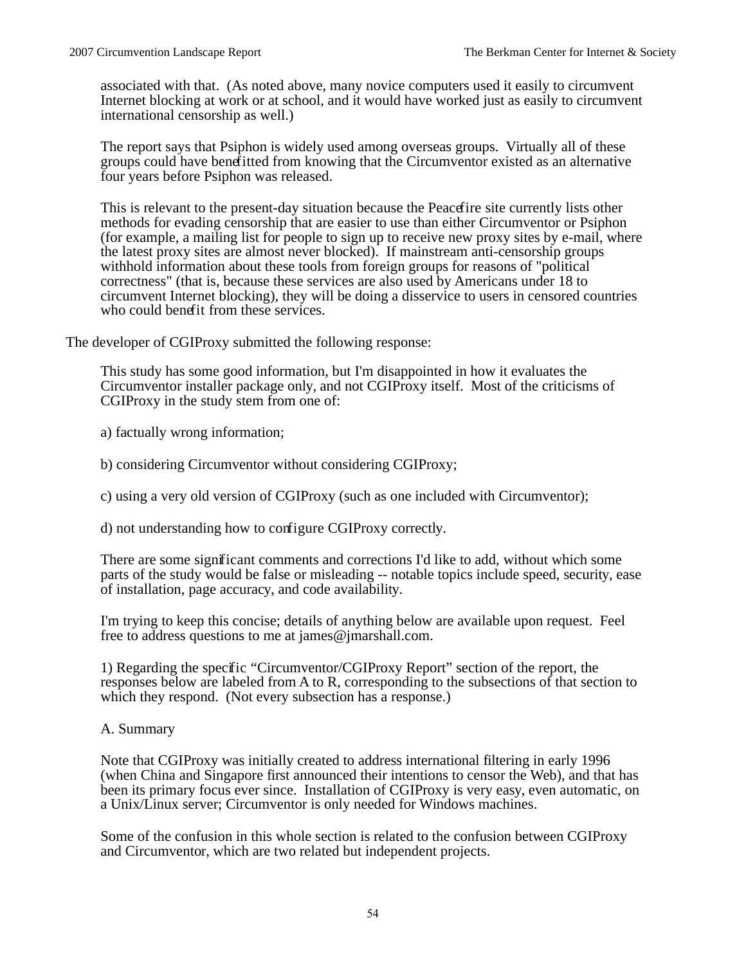associated with that. (As noted above, many novice computers used it easily to circumvent Internet blocking at work or at school, and it would have worked just as easily to circumvent international censorship as well.)

The report says that Psiphon is widely used among overseas groups. Virtually all of these groups could have benefitted from knowing that the Circumventor existed as an alternative four years before Psiphon was released.

This is relevant to the present-day situation because the Peacefire site currently lists other methods for evading censorship that are easier to use than either Circumventor or Psiphon (for example, a mailing list for people to sign up to receive new proxy sites by e-mail, where the latest proxy sites are almost never blocked). If mainstream anti-censorship groups withhold information about these tools from foreign groups for reasons of "political correctness" (that is, because these services are also used by Americans under 18 to circumvent Internet blocking), they will be doing a disservice to users in censored countries who could benefit from these services.

The developer of CGIProxy submitted the following response:

This study has some good information, but I'm disappointed in how it evaluates the Circumventor installer package only, and not CGIProxy itself. Most of the criticisms of CGIProxy in the study stem from one of:

a) factually wrong information;

b) considering Circumventor without considering CGIProxy;

c) using a very old version of CGIProxy (such as one included with Circumventor);

d) not understanding how to configure CGIProxy correctly.

There are some significant comments and corrections I'd like to add, without which some parts of the study would be false or misleading -- notable topics include speed, security, ease of installation, page accuracy, and code availability.

I'm trying to keep this concise; details of anything below are available upon request. Feel free to address questions to me at james@jmarshall.com.

1) Regarding the specific "Circumventor/CGIProxy Report" section of the report, the responses below are labeled from A to R, corresponding to the subsections of that section to which they respond. (Not every subsection has a response.)

#### A. Summary

Note that CGIProxy was initially created to address international filtering in early 1996 (when China and Singapore first announced their intentions to censor the Web), and that has been its primary focus ever since. Installation of CGIProxy is very easy, even automatic, on a Unix/Linux server; Circumventor is only needed for Windows machines.

Some of the confusion in this whole section is related to the confusion between CGIProxy and Circumventor, which are two related but independent projects.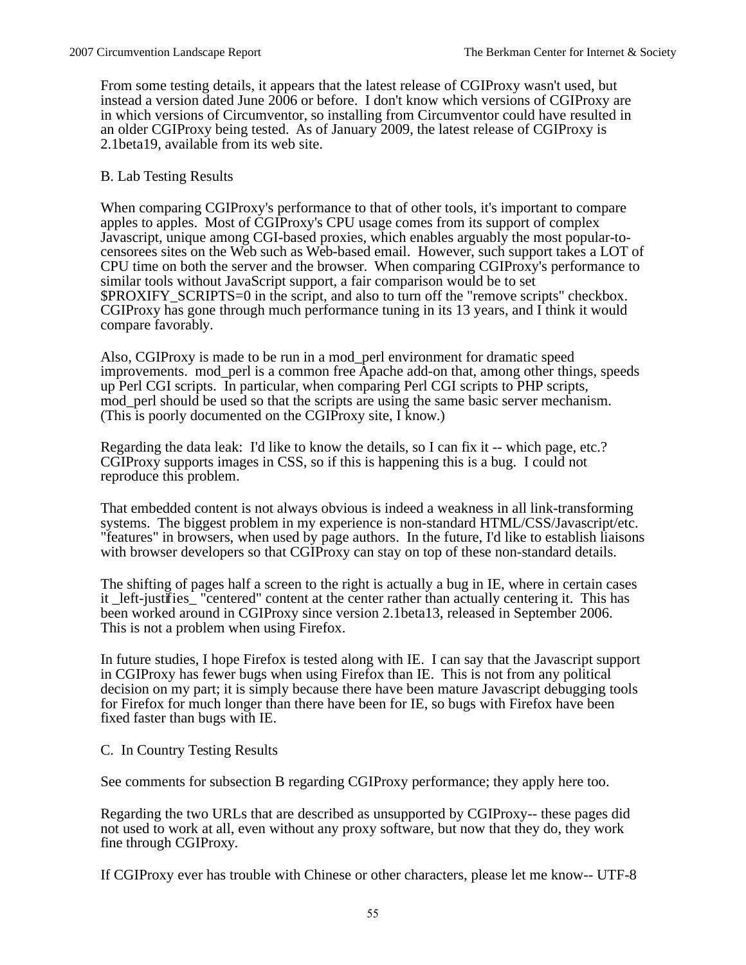From some testing details, it appears that the latest release of CGIProxy wasn't used, but instead a version dated June 2006 or before. I don't know which versions of CGIProxy are in which versions of Circumventor, so installing from Circumventor could have resulted in an older CGIProxy being tested. As of January 2009, the latest release of CGIProxy is 2.1beta19, available from its web site.

#### B. Lab Testing Results

When comparing CGIProxy's performance to that of other tools, it's important to compare apples to apples. Most of CGIProxy's CPU usage comes from its support of complex Javascript, unique among CGI-based proxies, which enables arguably the most popular-tocensorees sites on the Web such as Web-based email. However, such support takes a LOT of CPU time on both the server and the browser. When comparing CGIProxy's performance to similar tools without JavaScript support, a fair comparison would be to set \$PROXIFY\_SCRIPTS=0 in the script, and also to turn off the "remove scripts" checkbox. CGIProxy has gone through much performance tuning in its 13 years, and I think it would compare favorably.

Also, CGIProxy is made to be run in a mod\_perl environment for dramatic speed improvements. mod\_perl is a common free Apache add-on that, among other things, speeds up Perl CGI scripts. In particular, when comparing Perl CGI scripts to PHP scripts, mod\_perl should be used so that the scripts are using the same basic server mechanism. (This is poorly documented on the CGIProxy site, I know.)

Regarding the data leak: I'd like to know the details, so I can fix it -- which page, etc.? CGIProxy supports images in CSS, so if this is happening this is a bug. I could not reproduce this problem.

That embedded content is not always obvious is indeed a weakness in all link-transforming systems. The biggest problem in my experience is non-standard HTML/CSS/Javascript/etc. "features" in browsers, when used by page authors. In the future, I'd like to establish liaisons with browser developers so that CGIProxy can stay on top of these non-standard details.

The shifting of pages half a screen to the right is actually a bug in IE, where in certain cases it \_left-justifies\_ "centered" content at the center rather than actually centering it. This has been worked around in CGIProxy since version 2.1beta13, released in September 2006. This is not a problem when using Firefox.

In future studies, I hope Firefox is tested along with IE. I can say that the Javascript support in CGIProxy has fewer bugs when using Firefox than IE. This is not from any political decision on my part; it is simply because there have been mature Javascript debugging tools for Firefox for much longer than there have been for IE, so bugs with Firefox have been fixed faster than bugs with IE.

C. In Country Testing Results

See comments for subsection B regarding CGIProxy performance; they apply here too.

Regarding the two URLs that are described as unsupported by CGIProxy-- these pages did not used to work at all, even without any proxy software, but now that they do, they work fine through CGIProxy.

If CGIProxy ever has trouble with Chinese or other characters, please let me know-- UTF-8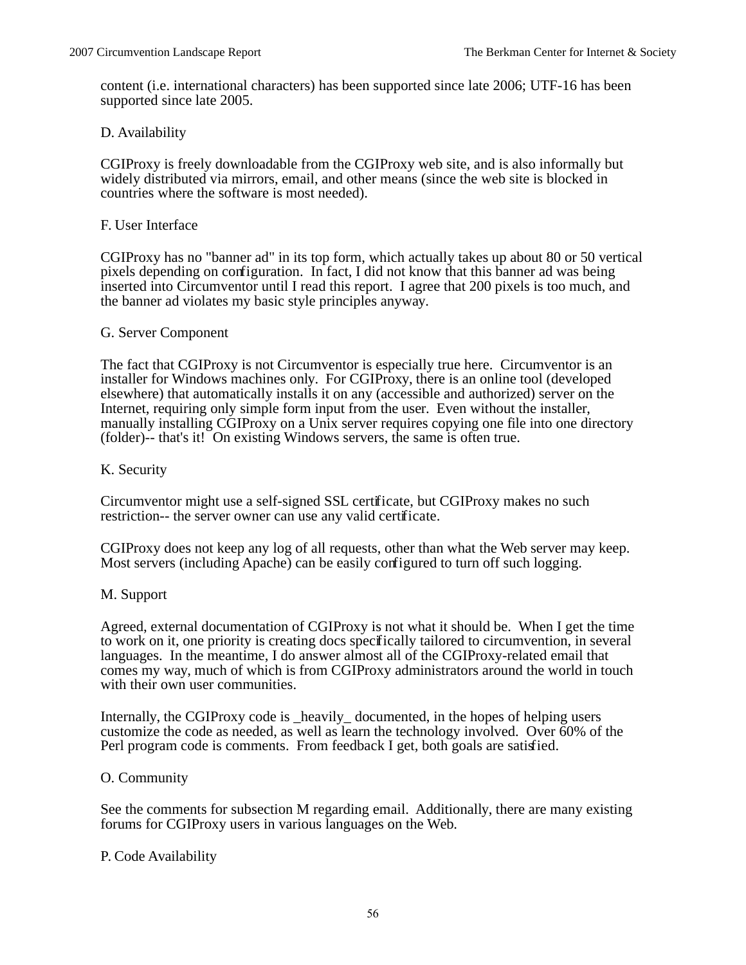content (i.e. international characters) has been supported since late 2006; UTF-16 has been supported since late 2005.

### D. Availability

CGIProxy is freely downloadable from the CGIProxy web site, and is also informally but widely distributed via mirrors, email, and other means (since the web site is blocked in countries where the software is most needed).

#### F. User Interface

CGIProxy has no "banner ad" in its top form, which actually takes up about 80 or 50 vertical pixels depending on configuration. In fact, I did not know that this banner ad was being inserted into Circumventor until I read this report. I agree that 200 pixels is too much, and the banner ad violates my basic style principles anyway.

#### G. Server Component

The fact that CGIProxy is not Circumventor is especially true here. Circumventor is an installer for Windows machines only. For CGIProxy, there is an online tool (developed elsewhere) that automatically installs it on any (accessible and authorized) server on the Internet, requiring only simple form input from the user. Even without the installer, manually installing CGIProxy on a Unix server requires copying one file into one directory (folder)-- that's it! On existing Windows servers, the same is often true.

### K. Security

Circumventor might use a self-signed SSL certificate, but CGIProxy makes no such restriction-- the server owner can use any valid certificate.

CGIProxy does not keep any log of all requests, other than what the Web server may keep. Most servers (including Apache) can be easily configured to turn off such logging.

#### M. Support

Agreed, external documentation of CGIProxy is not what it should be. When I get the time to work on it, one priority is creating docs specifically tailored to circumvention, in several languages. In the meantime, I do answer almost all of the CGIProxy-related email that comes my way, much of which is from CGIProxy administrators around the world in touch with their own user communities.

Internally, the CGIProxy code is \_heavily\_ documented, in the hopes of helping users customize the code as needed, as well as learn the technology involved. Over 60% of the Perl program code is comments. From feedback I get, both goals are satisfied.

#### O. Community

See the comments for subsection M regarding email. Additionally, there are many existing forums for CGIProxy users in various languages on the Web.

#### P. Code Availability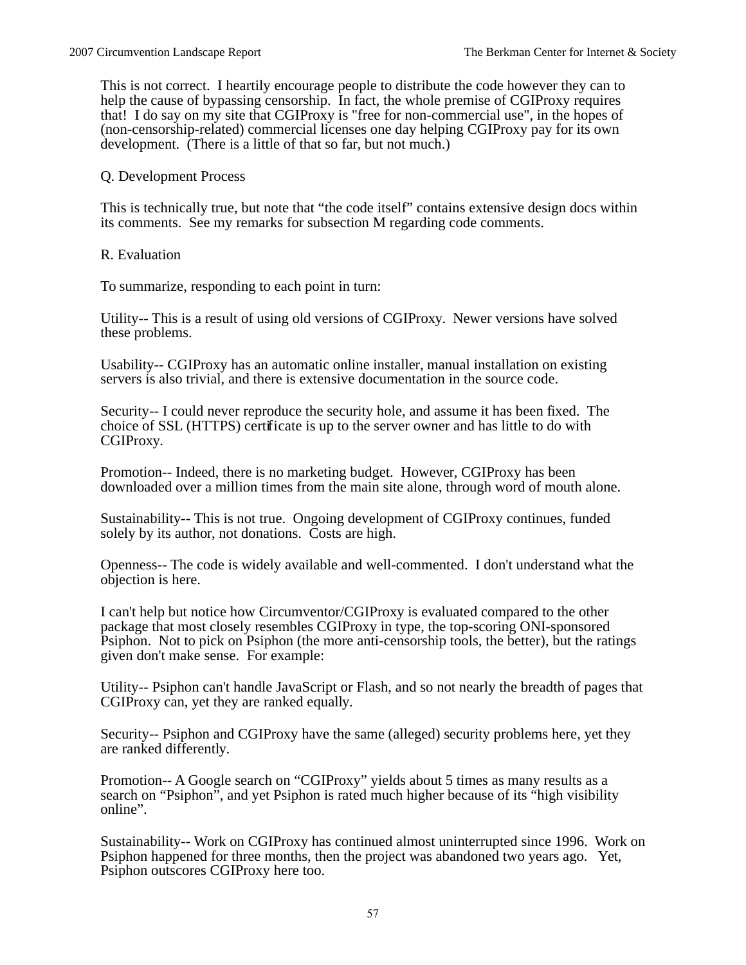This is not correct. I heartily encourage people to distribute the code however they can to help the cause of bypassing censorship. In fact, the whole premise of CGIProxy requires that! I do say on my site that CGIProxy is "free for non-commercial use", in the hopes of (non-censorship-related) commercial licenses one day helping CGIProxy pay for its own development. (There is a little of that so far, but not much.)

#### Q. Development Process

This is technically true, but note that "the code itself" contains extensive design docs within its comments. See my remarks for subsection M regarding code comments.

R. Evaluation

To summarize, responding to each point in turn:

Utility-- This is a result of using old versions of CGIProxy. Newer versions have solved these problems.

Usability-- CGIProxy has an automatic online installer, manual installation on existing servers is also trivial, and there is extensive documentation in the source code.

Security-- I could never reproduce the security hole, and assume it has been fixed. The choice of SSL (HTTPS) certificate is up to the server owner and has little to do with CGIProxy.

Promotion-- Indeed, there is no marketing budget. However, CGIProxy has been downloaded over a million times from the main site alone, through word of mouth alone.

Sustainability-- This is not true. Ongoing development of CGIProxy continues, funded solely by its author, not donations. Costs are high.

Openness-- The code is widely available and well-commented. I don't understand what the objection is here.

I can't help but notice how Circumventor/CGIProxy is evaluated compared to the other package that most closely resembles CGIProxy in type, the top-scoring ONI-sponsored Psiphon. Not to pick on Psiphon (the more anti-censorship tools, the better), but the ratings given don't make sense. For example:

Utility-- Psiphon can't handle JavaScript or Flash, and so not nearly the breadth of pages that CGIProxy can, yet they are ranked equally.

Security-- Psiphon and CGIProxy have the same (alleged) security problems here, yet they are ranked differently.

Promotion-- A Google search on "CGIProxy" yields about 5 times as many results as a search on "Psiphon", and yet Psiphon is rated much higher because of its "high visibility" online".

Sustainability-- Work on CGIProxy has continued almost uninterrupted since 1996. Work on Psiphon happened for three months, then the project was abandoned two years ago. Yet, Psiphon outscores CGIProxy here too.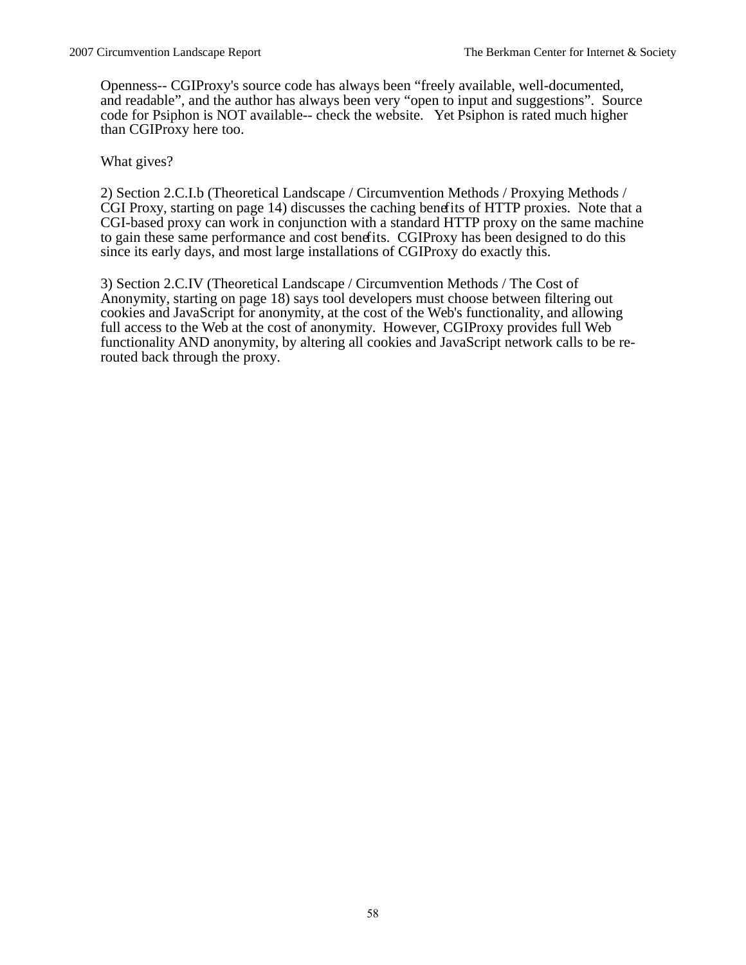Openness-- CGIProxy's source code has always been "freely available, well-documented, and readable", and the author has always been very "open to input and suggestions". Source code for Psiphon is NOT available-- check the website. Yet Psiphon is rated much higher than CGIProxy here too.

What gives?

2) Section 2.C.I.b (Theoretical Landscape / Circumvention Methods / Proxying Methods / CGI Proxy, starting on page 14) discusses the caching benefits of HTTP proxies. Note that a CGI-based proxy can work in conjunction with a standard HTTP proxy on the same machine to gain these same performance and cost benefits. CGIProxy has been designed to do this since its early days, and most large installations of CGIProxy do exactly this.

3) Section 2.C.IV (Theoretical Landscape / Circumvention Methods / The Cost of Anonymity, starting on page 18) says tool developers must choose between filtering out cookies and JavaScript for anonymity, at the cost of the Web's functionality, and allowing full access to the Web at the cost of anonymity. However, CGIProxy provides full Web functionality AND anonymity, by altering all cookies and JavaScript network calls to be rerouted back through the proxy.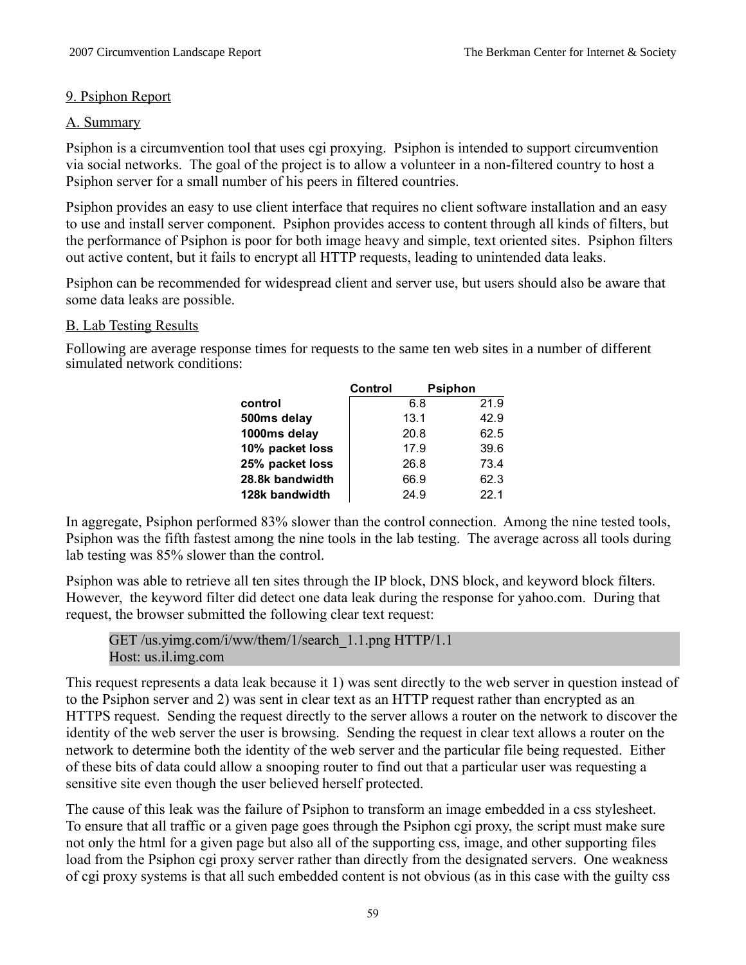# 9. Psiphon Report

# A. Summary

Psiphon is a circumvention tool that uses cgi proxying. Psiphon is intended to support circumvention via social networks. The goal of the project is to allow a volunteer in a non-filtered country to host a Psiphon server for a small number of his peers in filtered countries.

Psiphon provides an easy to use client interface that requires no client software installation and an easy to use and install server component. Psiphon provides access to content through all kinds of filters, but the performance of Psiphon is poor for both image heavy and simple, text oriented sites. Psiphon filters out active content, but it fails to encrypt all HTTP requests, leading to unintended data leaks.

Psiphon can be recommended for widespread client and server use, but users should also be aware that some data leaks are possible.

# B. Lab Testing Results

Following are average response times for requests to the same ten web sites in a number of different simulated network conditions:

|                 | Control |      | <b>Psiphon</b> |      |
|-----------------|---------|------|----------------|------|
| control         |         | 6.8  |                | 21.9 |
| 500ms delay     |         | 13.1 |                | 42.9 |
| 1000ms delay    |         | 20.8 |                | 62.5 |
| 10% packet loss |         | 17.9 |                | 39.6 |
| 25% packet loss |         | 26.8 |                | 73.4 |
| 28.8k bandwidth |         | 66.9 |                | 62.3 |
| 128k bandwidth  |         | 24.9 |                | 22.1 |

In aggregate, Psiphon performed 83% slower than the control connection. Among the nine tested tools, Psiphon was the fifth fastest among the nine tools in the lab testing. The average across all tools during lab testing was 85% slower than the control.

Psiphon was able to retrieve all ten sites through the IP block, DNS block, and keyword block filters. However, the keyword filter did detect one data leak during the response for yahoo.com. During that request, the browser submitted the following clear text request:

```
GET /us.yimg.com/i/ww/them/1/search_1.1.png HTTP/1.1
Host: us.il.img.com
```
This request represents a data leak because it 1) was sent directly to the web server in question instead of to the Psiphon server and 2) was sent in clear text as an HTTP request rather than encrypted as an HTTPS request. Sending the request directly to the server allows a router on the network to discover the identity of the web server the user is browsing. Sending the request in clear text allows a router on the network to determine both the identity of the web server and the particular file being requested. Either of these bits of data could allow a snooping router to find out that a particular user was requesting a sensitive site even though the user believed herself protected.

The cause of this leak was the failure of Psiphon to transform an image embedded in a css stylesheet. To ensure that all traffic or a given page goes through the Psiphon cgi proxy, the script must make sure not only the html for a given page but also all of the supporting css, image, and other supporting files load from the Psiphon cgi proxy server rather than directly from the designated servers. One weakness of cgi proxy systems is that all such embedded content is not obvious (as in this case with the guilty css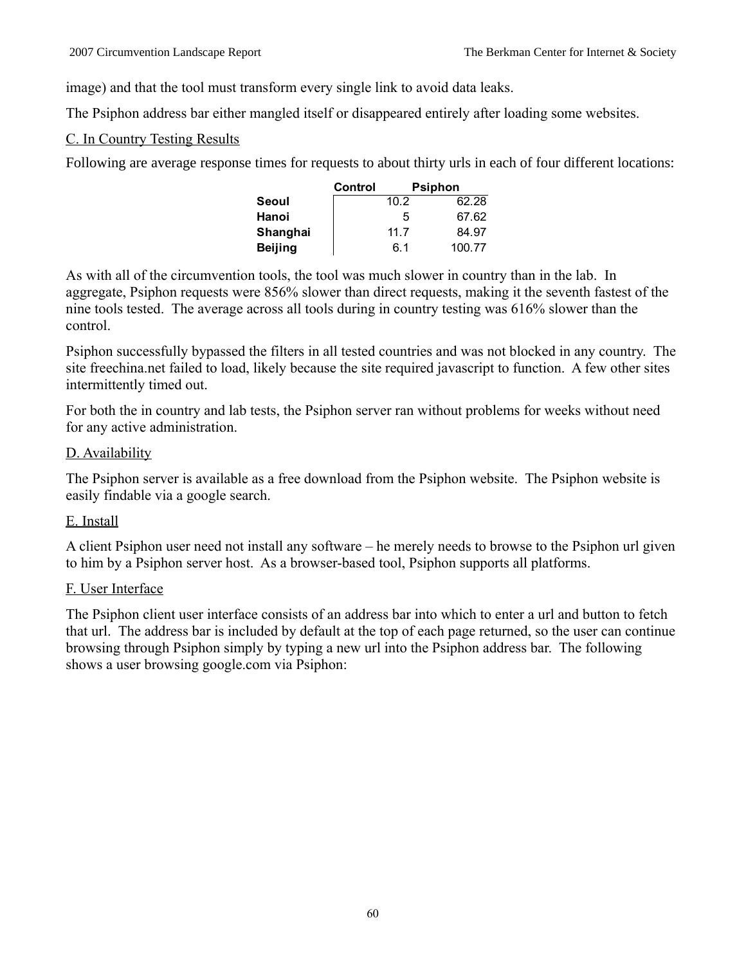image) and that the tool must transform every single link to avoid data leaks.

The Psiphon address bar either mangled itself or disappeared entirely after loading some websites.

# C. In Country Testing Results

Following are average response times for requests to about thirty urls in each of four different locations:

|                | Control |      | <b>Psiphon</b> |
|----------------|---------|------|----------------|
| Seoul          |         | 10.2 | 62.28          |
| Hanoi          |         | 5    | 67.62          |
| Shanghai       |         | 11.7 | 84.97          |
| <b>Beijing</b> |         | 6.1  | 100.77         |

As with all of the circumvention tools, the tool was much slower in country than in the lab. In aggregate, Psiphon requests were 856% slower than direct requests, making it the seventh fastest of the nine tools tested. The average across all tools during in country testing was 616% slower than the control.

Psiphon successfully bypassed the filters in all tested countries and was not blocked in any country. The site freechina.net failed to load, likely because the site required javascript to function. A few other sites intermittently timed out.

For both the in country and lab tests, the Psiphon server ran without problems for weeks without need for any active administration.

# D. Availability

The Psiphon server is available as a free download from the Psiphon website. The Psiphon website is easily findable via a google search.

# E. Install

A client Psiphon user need not install any software – he merely needs to browse to the Psiphon url given to him by a Psiphon server host. As a browser-based tool, Psiphon supports all platforms.

# F. User Interface

The Psiphon client user interface consists of an address bar into which to enter a url and button to fetch that url. The address bar is included by default at the top of each page returned, so the user can continue browsing through Psiphon simply by typing a new url into the Psiphon address bar. The following shows a user browsing google.com via Psiphon: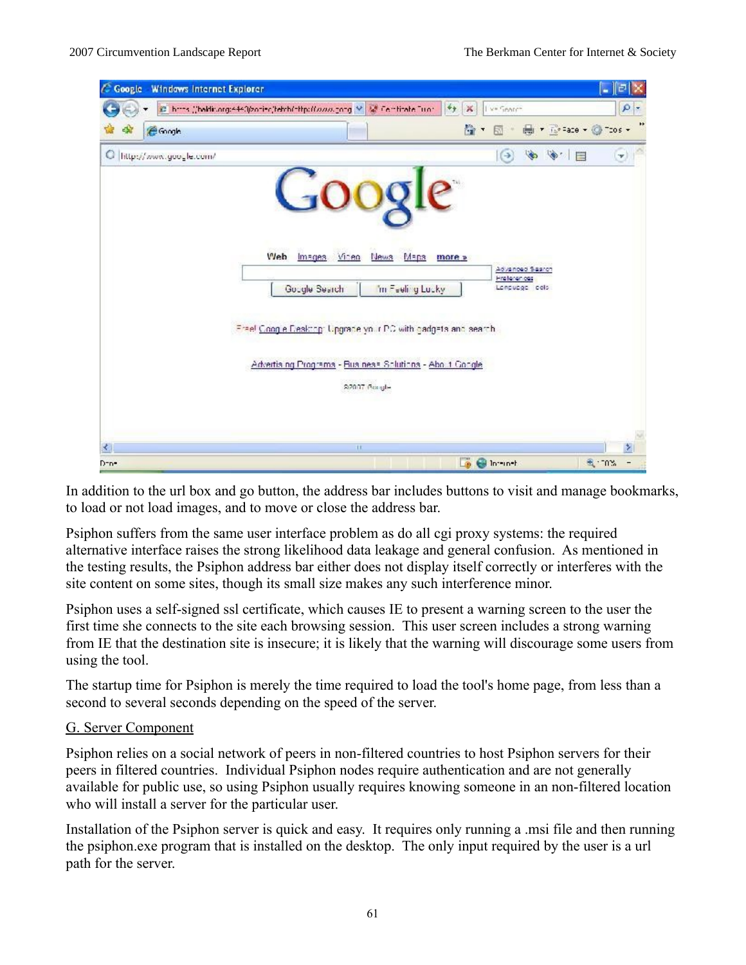| <b>Windows Internet Explorer</b>                                                                                                                                                                                                                                                                      | ⊪∍<br>ь                |
|-------------------------------------------------------------------------------------------------------------------------------------------------------------------------------------------------------------------------------------------------------------------------------------------------------|------------------------|
| @_https://heldic.org/440/2odiec/tehth/offp/ff.com/2odg.M_M_Centitate.Duor.<br>$+$<br>×<br>I ve Search                                                                                                                                                                                                 | $\rho$ -               |
| 僋<br>冏<br>$\blacktriangledown$                                                                                                                                                                                                                                                                        | ÷                      |
| $\bullet$<br>$\Theta$<br><b>September</b>                                                                                                                                                                                                                                                             | $\mathbf{v})$          |
| Web Images Video<br><b>News</b><br>Maps<br>more »<br>Advanced Search<br><b>Hraterience</b><br>Google Search<br>im Feeling Lucky<br>Lonpuogo cels<br>Free! Coople Deaktop: Upgrade your PC with gadgets and search.<br>Advertising Programs - Business Solutions - About Congle<br>S2007 Google<br>TE. | ۶                      |
| <b>De Bilbringh</b>                                                                                                                                                                                                                                                                                   | <b>Burney</b>          |
|                                                                                                                                                                                                                                                                                                       | □ ▼ is =aze - ◎ Tzos - |

In addition to the url box and go button, the address bar includes buttons to visit and manage bookmarks, to load or not load images, and to move or close the address bar.

Psiphon suffers from the same user interface problem as do all cgi proxy systems: the required alternative interface raises the strong likelihood data leakage and general confusion. As mentioned in the testing results, the Psiphon address bar either does not display itself correctly or interferes with the site content on some sites, though its small size makes any such interference minor.

Psiphon uses a self-signed ssl certificate, which causes IE to present a warning screen to the user the first time she connects to the site each browsing session. This user screen includes a strong warning from IE that the destination site is insecure; it is likely that the warning will discourage some users from using the tool.

The startup time for Psiphon is merely the time required to load the tool's home page, from less than a second to several seconds depending on the speed of the server.

# G. Server Component

Psiphon relies on a social network of peers in non-filtered countries to host Psiphon servers for their peers in filtered countries. Individual Psiphon nodes require authentication and are not generally available for public use, so using Psiphon usually requires knowing someone in an non-filtered location who will install a server for the particular user.

Installation of the Psiphon server is quick and easy. It requires only running a .msi file and then running the psiphon.exe program that is installed on the desktop. The only input required by the user is a url path for the server.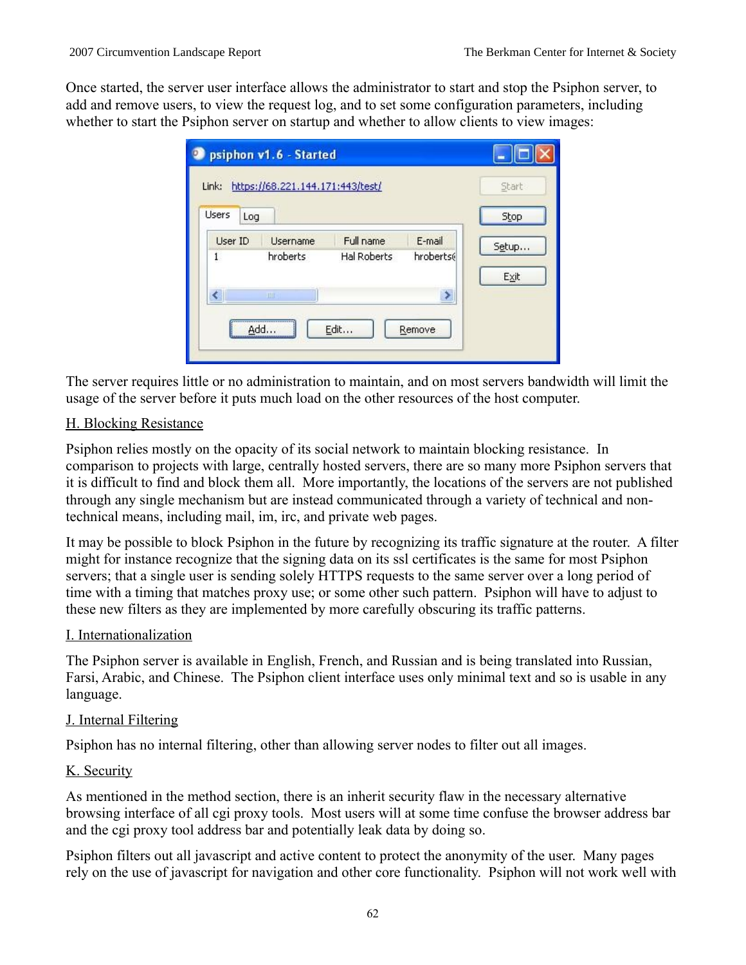Once started, the server user interface allows the administrator to start and stop the Psiphon server, to add and remove users, to view the request log, and to set some configuration parameters, including whether to start the Psiphon server on startup and whether to allow clients to view images:

| psiphon v1.6 - Started |                                  |                    |           |       |
|------------------------|----------------------------------|--------------------|-----------|-------|
| Link:                  | https://68.221.144.171:443/test/ |                    |           | Start |
| <b>Users</b><br>Log    |                                  |                    |           | Stop  |
| User ID                | <b>Username</b>                  | Full name          | E-mail    | Setup |
| $\mathbf{1}$           | hroberts                         | <b>Hal Roberts</b> | hroberts( | Exit  |
|                        | HIII.                            |                    | ≯         |       |
| hhA                    |                                  | Edit               | Remove    |       |
|                        |                                  |                    |           |       |

The server requires little or no administration to maintain, and on most servers bandwidth will limit the usage of the server before it puts much load on the other resources of the host computer.

# H. Blocking Resistance

Psiphon relies mostly on the opacity of its social network to maintain blocking resistance. In comparison to projects with large, centrally hosted servers, there are so many more Psiphon servers that it is difficult to find and block them all. More importantly, the locations of the servers are not published through any single mechanism but are instead communicated through a variety of technical and nontechnical means, including mail, im, irc, and private web pages.

It may be possible to block Psiphon in the future by recognizing its traffic signature at the router. A filter might for instance recognize that the signing data on its ssl certificates is the same for most Psiphon servers; that a single user is sending solely HTTPS requests to the same server over a long period of time with a timing that matches proxy use; or some other such pattern. Psiphon will have to adjust to these new filters as they are implemented by more carefully obscuring its traffic patterns.

# I. Internationalization

The Psiphon server is available in English, French, and Russian and is being translated into Russian, Farsi, Arabic, and Chinese. The Psiphon client interface uses only minimal text and so is usable in any language.

# J. Internal Filtering

Psiphon has no internal filtering, other than allowing server nodes to filter out all images.

# K. Security

As mentioned in the method section, there is an inherit security flaw in the necessary alternative browsing interface of all cgi proxy tools. Most users will at some time confuse the browser address bar and the cgi proxy tool address bar and potentially leak data by doing so.

Psiphon filters out all javascript and active content to protect the anonymity of the user. Many pages rely on the use of javascript for navigation and other core functionality. Psiphon will not work well with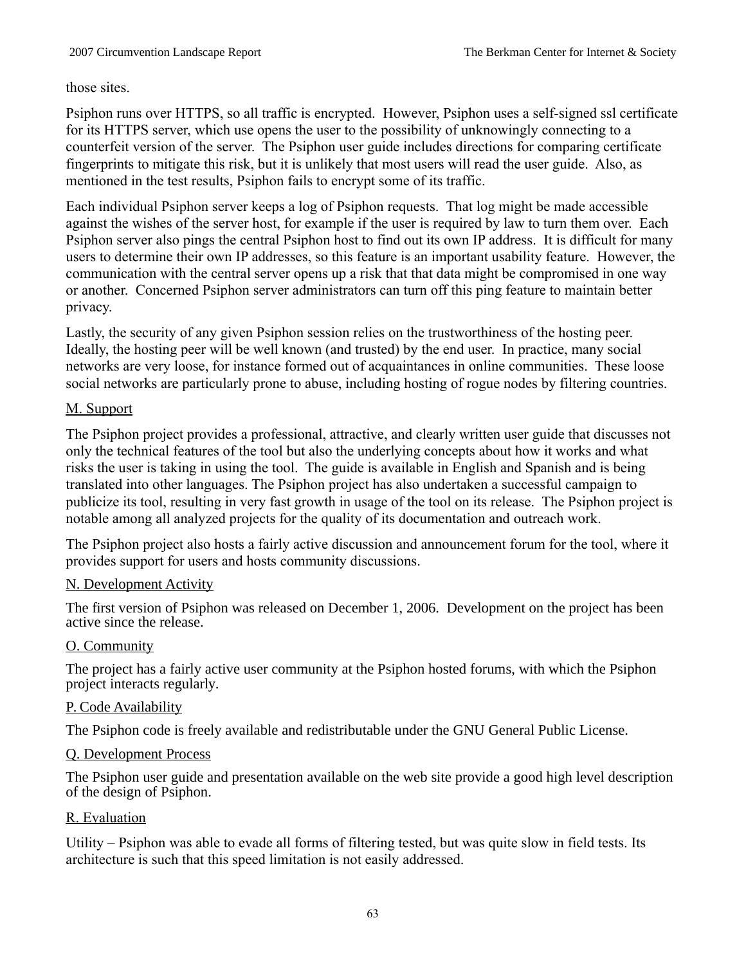those sites.

Psiphon runs over HTTPS, so all traffic is encrypted. However, Psiphon uses a self-signed ssl certificate for its HTTPS server, which use opens the user to the possibility of unknowingly connecting to a counterfeit version of the server. The Psiphon user guide includes directions for comparing certificate fingerprints to mitigate this risk, but it is unlikely that most users will read the user guide. Also, as mentioned in the test results, Psiphon fails to encrypt some of its traffic.

Each individual Psiphon server keeps a log of Psiphon requests. That log might be made accessible against the wishes of the server host, for example if the user is required by law to turn them over. Each Psiphon server also pings the central Psiphon host to find out its own IP address. It is difficult for many users to determine their own IP addresses, so this feature is an important usability feature. However, the communication with the central server opens up a risk that that data might be compromised in one way or another. Concerned Psiphon server administrators can turn off this ping feature to maintain better privacy.

Lastly, the security of any given Psiphon session relies on the trustworthiness of the hosting peer. Ideally, the hosting peer will be well known (and trusted) by the end user. In practice, many social networks are very loose, for instance formed out of acquaintances in online communities. These loose social networks are particularly prone to abuse, including hosting of rogue nodes by filtering countries.

# M. Support

The Psiphon project provides a professional, attractive, and clearly written user guide that discusses not only the technical features of the tool but also the underlying concepts about how it works and what risks the user is taking in using the tool. The guide is available in English and Spanish and is being translated into other languages. The Psiphon project has also undertaken a successful campaign to publicize its tool, resulting in very fast growth in usage of the tool on its release. The Psiphon project is notable among all analyzed projects for the quality of its documentation and outreach work.

The Psiphon project also hosts a fairly active discussion and announcement forum for the tool, where it provides support for users and hosts community discussions.

# N. Development Activity

The first version of Psiphon was released on December 1, 2006. Development on the project has been active since the release.

# O. Community

The project has a fairly active user community at the Psiphon hosted forums, with which the Psiphon project interacts regularly.

# P. Code Availability

The Psiphon code is freely available and redistributable under the GNU General Public License.

# Q. Development Process

The Psiphon user guide and presentation available on the web site provide a good high level description of the design of Psiphon.

# R. Evaluation

Utility – Psiphon was able to evade all forms of filtering tested, but was quite slow in field tests. Its architecture is such that this speed limitation is not easily addressed.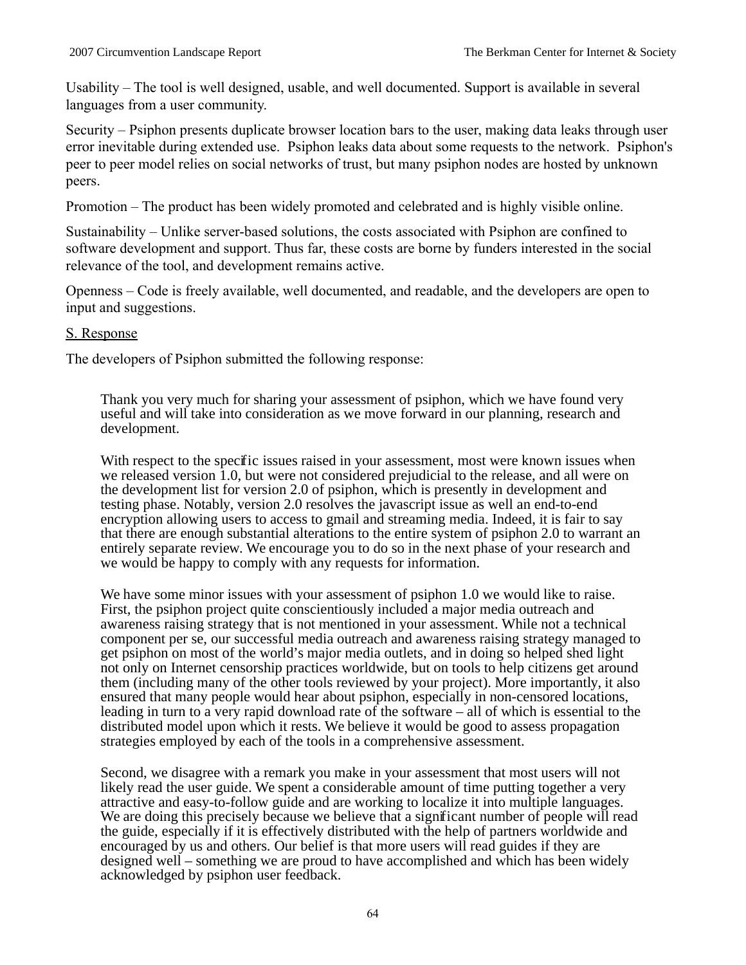Usability – The tool is well designed, usable, and well documented. Support is available in several languages from a user community.

Security – Psiphon presents duplicate browser location bars to the user, making data leaks through user error inevitable during extended use. Psiphon leaks data about some requests to the network. Psiphon's peer to peer model relies on social networks of trust, but many psiphon nodes are hosted by unknown peers.

Promotion – The product has been widely promoted and celebrated and is highly visible online.

Sustainability – Unlike server-based solutions, the costs associated with Psiphon are confined to software development and support. Thus far, these costs are borne by funders interested in the social relevance of the tool, and development remains active.

Openness – Code is freely available, well documented, and readable, and the developers are open to input and suggestions.

# S. Response

The developers of Psiphon submitted the following response:

Thank you very much for sharing your assessment of psiphon, which we have found very useful and will take into consideration as we move forward in our planning, research and development.

With respect to the specific issues raised in your assessment, most were known issues when we released version 1.0, but were not considered prejudicial to the release, and all were on the development list for version 2.0 of psiphon, which is presently in development and testing phase. Notably, version 2.0 resolves the javascript issue as well an end-to-end encryption allowing users to access to gmail and streaming media. Indeed, it is fair to say that there are enough substantial alterations to the entire system of psiphon 2.0 to warrant an entirely separate review. We encourage you to do so in the next phase of your research and we would be happy to comply with any requests for information.

We have some minor issues with your assessment of psiphon 1.0 we would like to raise. First, the psiphon project quite conscientiously included a major media outreach and awareness raising strategy that is not mentioned in your assessment. While not a technical component per se, our successful media outreach and awareness raising strategy managed to get psiphon on most of the world's major media outlets, and in doing so helped shed light not only on Internet censorship practices worldwide, but on tools to help citizens get around them (including many of the other tools reviewed by your project). More importantly, it also ensured that many people would hear about psiphon, especially in non-censored locations, leading in turn to a very rapid download rate of the software – all of which is essential to the distributed model upon which it rests. We believe it would be good to assess propagation strategies employed by each of the tools in a comprehensive assessment.

Second, we disagree with a remark you make in your assessment that most users will not likely read the user guide. We spent a considerable amount of time putting together a very attractive and easy-to-follow guide and are working to localize it into multiple languages. We are doing this precisely because we believe that a significant number of people will read the guide, especially if it is effectively distributed with the help of partners worldwide and encouraged by us and others. Our belief is that more users will read guides if they are designed well – something we are proud to have accomplished and which has been widely acknowledged by psiphon user feedback.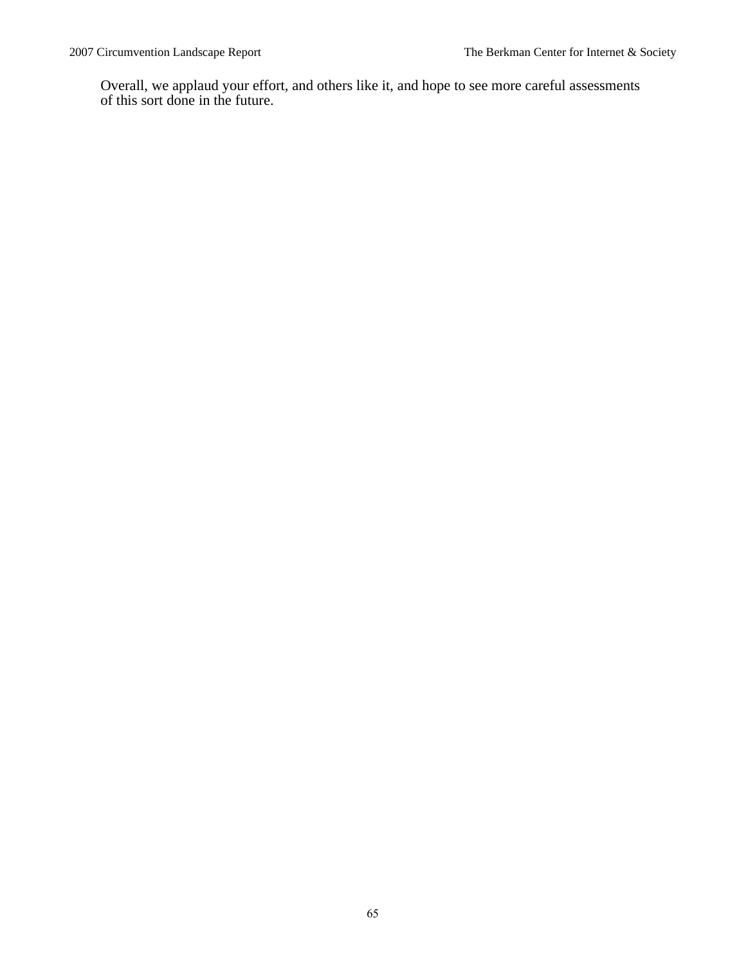Overall, we applaud your effort, and others like it, and hope to see more careful assessments of this sort done in the future.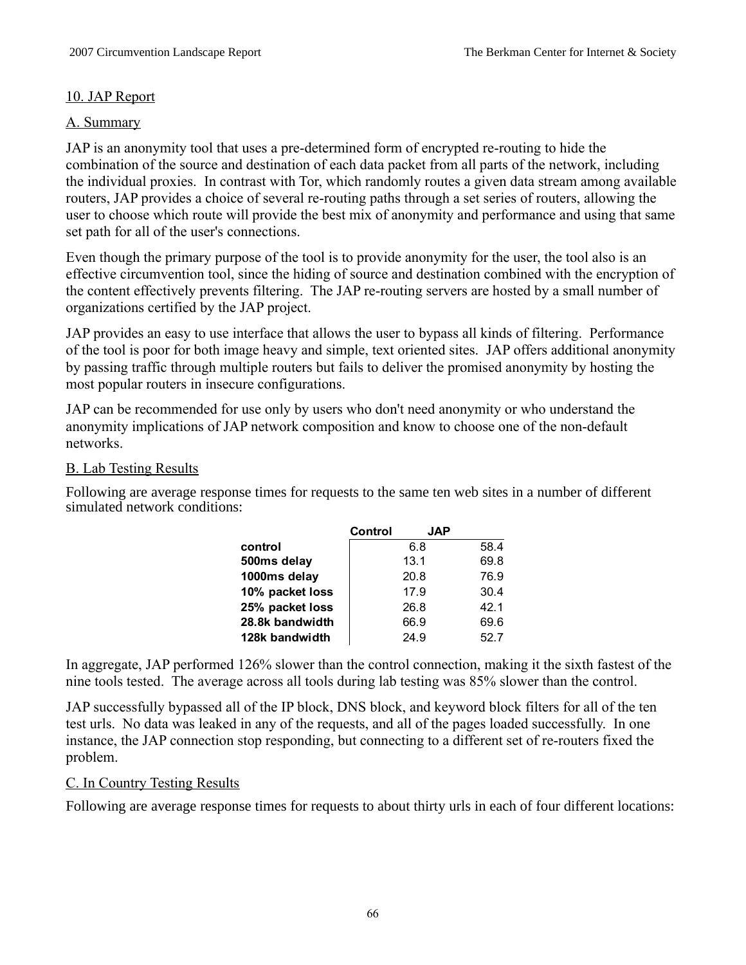# 10. JAP Report

# A. Summary

JAP is an anonymity tool that uses a pre-determined form of encrypted re-routing to hide the combination of the source and destination of each data packet from all parts of the network, including the individual proxies. In contrast with Tor, which randomly routes a given data stream among available routers, JAP provides a choice of several re-routing paths through a set series of routers, allowing the user to choose which route will provide the best mix of anonymity and performance and using that same set path for all of the user's connections.

Even though the primary purpose of the tool is to provide anonymity for the user, the tool also is an effective circumvention tool, since the hiding of source and destination combined with the encryption of the content effectively prevents filtering. The JAP re-routing servers are hosted by a small number of organizations certified by the JAP project.

JAP provides an easy to use interface that allows the user to bypass all kinds of filtering. Performance of the tool is poor for both image heavy and simple, text oriented sites. JAP offers additional anonymity by passing traffic through multiple routers but fails to deliver the promised anonymity by hosting the most popular routers in insecure configurations.

JAP can be recommended for use only by users who don't need anonymity or who understand the anonymity implications of JAP network composition and know to choose one of the non-default networks.

# B. Lab Testing Results

Following are average response times for requests to the same ten web sites in a number of different simulated network conditions:

|                 | Control | <b>JAP</b> |      |
|-----------------|---------|------------|------|
| control         |         | 6.8        | 58.4 |
| 500ms delay     |         | 13.1       | 69.8 |
| 1000ms delay    |         | 20.8       | 76.9 |
| 10% packet loss |         | 17.9       | 30.4 |
| 25% packet loss |         | 26.8       | 42.1 |
| 28.8k bandwidth |         | 66.9       | 69.6 |
| 128k bandwidth  |         | 24.9       | 52.7 |

In aggregate, JAP performed 126% slower than the control connection, making it the sixth fastest of the nine tools tested. The average across all tools during lab testing was 85% slower than the control.

JAP successfully bypassed all of the IP block, DNS block, and keyword block filters for all of the ten test urls. No data was leaked in any of the requests, and all of the pages loaded successfully. In one instance, the JAP connection stop responding, but connecting to a different set of re-routers fixed the problem.

# C. In Country Testing Results

Following are average response times for requests to about thirty urls in each of four different locations: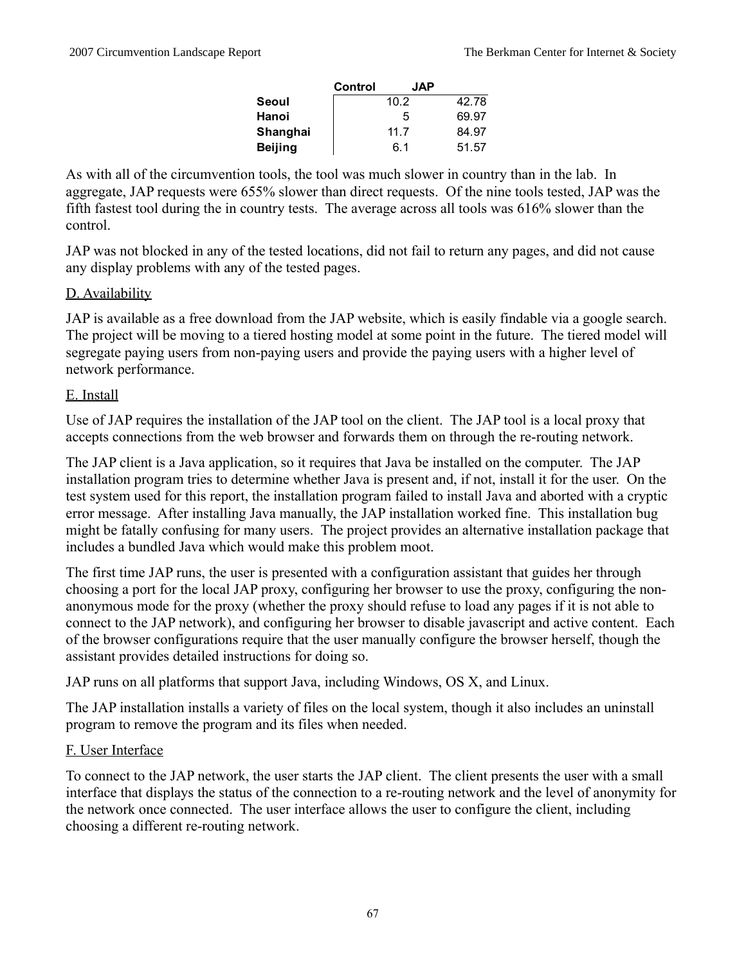|          | Control | <b>JAP</b> |       |
|----------|---------|------------|-------|
| Seoul    |         | 10.2       | 42.78 |
| Hanoi    |         | 5          | 69.97 |
| Shanghai |         | 11.7       | 84.97 |
| Beijing  |         | 6.1        | 51.57 |

As with all of the circumvention tools, the tool was much slower in country than in the lab. In aggregate, JAP requests were 655% slower than direct requests. Of the nine tools tested, JAP was the fifth fastest tool during the in country tests. The average across all tools was 616% slower than the control.

JAP was not blocked in any of the tested locations, did not fail to return any pages, and did not cause any display problems with any of the tested pages.

# D. Availability

JAP is available as a free download from the JAP website, which is easily findable via a google search. The project will be moving to a tiered hosting model at some point in the future. The tiered model will segregate paying users from non-paying users and provide the paying users with a higher level of network performance.

# E. Install

Use of JAP requires the installation of the JAP tool on the client. The JAP tool is a local proxy that accepts connections from the web browser and forwards them on through the re-routing network.

The JAP client is a Java application, so it requires that Java be installed on the computer. The JAP installation program tries to determine whether Java is present and, if not, install it for the user. On the test system used for this report, the installation program failed to install Java and aborted with a cryptic error message. After installing Java manually, the JAP installation worked fine. This installation bug might be fatally confusing for many users. The project provides an alternative installation package that includes a bundled Java which would make this problem moot.

The first time JAP runs, the user is presented with a configuration assistant that guides her through choosing a port for the local JAP proxy, configuring her browser to use the proxy, configuring the nonanonymous mode for the proxy (whether the proxy should refuse to load any pages if it is not able to connect to the JAP network), and configuring her browser to disable javascript and active content. Each of the browser configurations require that the user manually configure the browser herself, though the assistant provides detailed instructions for doing so.

JAP runs on all platforms that support Java, including Windows, OS X, and Linux.

The JAP installation installs a variety of files on the local system, though it also includes an uninstall program to remove the program and its files when needed.

# F. User Interface

To connect to the JAP network, the user starts the JAP client. The client presents the user with a small interface that displays the status of the connection to a re-routing network and the level of anonymity for the network once connected. The user interface allows the user to configure the client, including choosing a different re-routing network.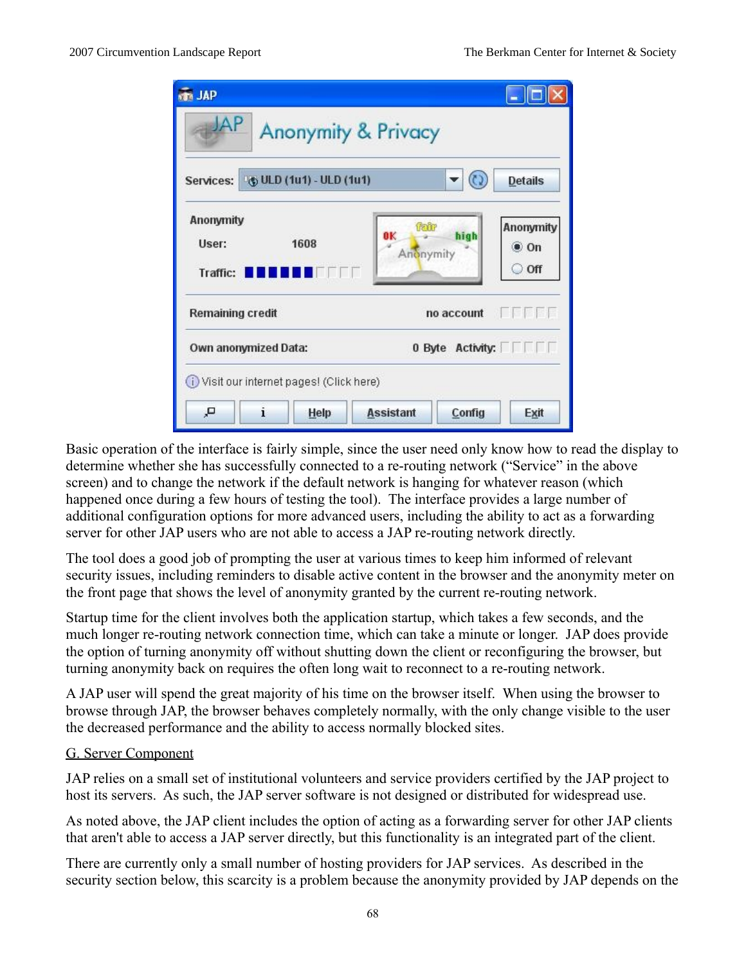| <b>REA</b> JAP                             |                         |                                |                      |                                             |  |
|--------------------------------------------|-------------------------|--------------------------------|----------------------|---------------------------------------------|--|
| ΔP                                         |                         | <b>Anonymity &amp; Privacy</b> |                      |                                             |  |
| Services:                                  | + ULD (1u1) - ULD (1u1) |                                |                      | <b>Details</b>                              |  |
| <b>Anonymity</b><br>User:<br>Traffic:      | 1608<br>FIF IT          | 0K<br>Anonymity                |                      | Anonymity<br>$\bullet$ On<br>$\partial$ Off |  |
| Remaining credit                           |                         |                                | no account<br>计同时时时间 |                                             |  |
| 0 Byte Activity:<br>Own anonymized Data:   |                         |                                |                      |                                             |  |
| (i) Visit our internet pages! (Click here) |                         |                                |                      |                                             |  |
| i<br>д,                                    | Help                    | <b>Assistant</b>               | Config               | Exit                                        |  |

Basic operation of the interface is fairly simple, since the user need only know how to read the display to determine whether she has successfully connected to a re-routing network ("Service" in the above screen) and to change the network if the default network is hanging for whatever reason (which happened once during a few hours of testing the tool). The interface provides a large number of additional configuration options for more advanced users, including the ability to act as a forwarding server for other JAP users who are not able to access a JAP re-routing network directly.

The tool does a good job of prompting the user at various times to keep him informed of relevant security issues, including reminders to disable active content in the browser and the anonymity meter on the front page that shows the level of anonymity granted by the current re-routing network.

Startup time for the client involves both the application startup, which takes a few seconds, and the much longer re-routing network connection time, which can take a minute or longer. JAP does provide the option of turning anonymity off without shutting down the client or reconfiguring the browser, but turning anonymity back on requires the often long wait to reconnect to a re-routing network.

A JAP user will spend the great majority of his time on the browser itself. When using the browser to browse through JAP, the browser behaves completely normally, with the only change visible to the user the decreased performance and the ability to access normally blocked sites.

# G. Server Component

JAP relies on a small set of institutional volunteers and service providers certified by the JAP project to host its servers. As such, the JAP server software is not designed or distributed for widespread use.

As noted above, the JAP client includes the option of acting as a forwarding server for other JAP clients that aren't able to access a JAP server directly, but this functionality is an integrated part of the client.

There are currently only a small number of hosting providers for JAP services. As described in the security section below, this scarcity is a problem because the anonymity provided by JAP depends on the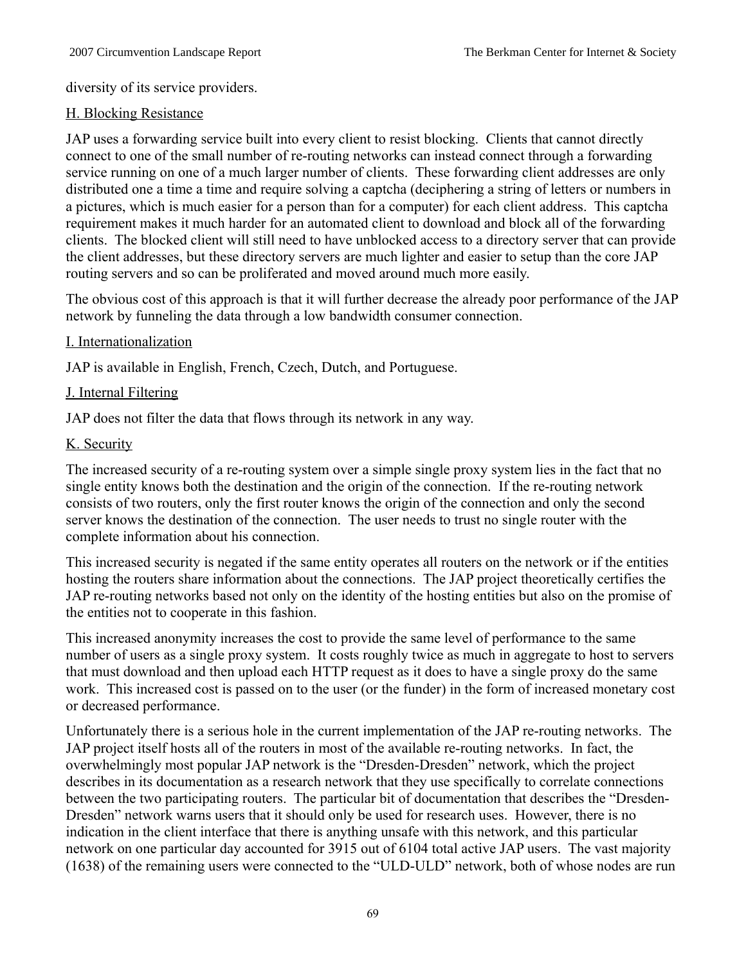diversity of its service providers.

# H. Blocking Resistance

JAP uses a forwarding service built into every client to resist blocking. Clients that cannot directly connect to one of the small number of re-routing networks can instead connect through a forwarding service running on one of a much larger number of clients. These forwarding client addresses are only distributed one a time a time and require solving a captcha (deciphering a string of letters or numbers in a pictures, which is much easier for a person than for a computer) for each client address. This captcha requirement makes it much harder for an automated client to download and block all of the forwarding clients. The blocked client will still need to have unblocked access to a directory server that can provide the client addresses, but these directory servers are much lighter and easier to setup than the core JAP routing servers and so can be proliferated and moved around much more easily.

The obvious cost of this approach is that it will further decrease the already poor performance of the JAP network by funneling the data through a low bandwidth consumer connection.

# I. Internationalization

JAP is available in English, French, Czech, Dutch, and Portuguese.

# J. Internal Filtering

JAP does not filter the data that flows through its network in any way.

# K. Security

The increased security of a re-routing system over a simple single proxy system lies in the fact that no single entity knows both the destination and the origin of the connection. If the re-routing network consists of two routers, only the first router knows the origin of the connection and only the second server knows the destination of the connection. The user needs to trust no single router with the complete information about his connection.

This increased security is negated if the same entity operates all routers on the network or if the entities hosting the routers share information about the connections. The JAP project theoretically certifies the JAP re-routing networks based not only on the identity of the hosting entities but also on the promise of the entities not to cooperate in this fashion.

This increased anonymity increases the cost to provide the same level of performance to the same number of users as a single proxy system. It costs roughly twice as much in aggregate to host to servers that must download and then upload each HTTP request as it does to have a single proxy do the same work. This increased cost is passed on to the user (or the funder) in the form of increased monetary cost or decreased performance.

Unfortunately there is a serious hole in the current implementation of the JAP re-routing networks. The JAP project itself hosts all of the routers in most of the available re-routing networks. In fact, the overwhelmingly most popular JAP network is the "Dresden-Dresden" network, which the project describes in its documentation as a research network that they use specifically to correlate connections between the two participating routers. The particular bit of documentation that describes the "Dresden-Dresden" network warns users that it should only be used for research uses. However, there is no indication in the client interface that there is anything unsafe with this network, and this particular network on one particular day accounted for 3915 out of 6104 total active JAP users. The vast majority (1638) of the remaining users were connected to the "ULD-ULD" network, both of whose nodes are run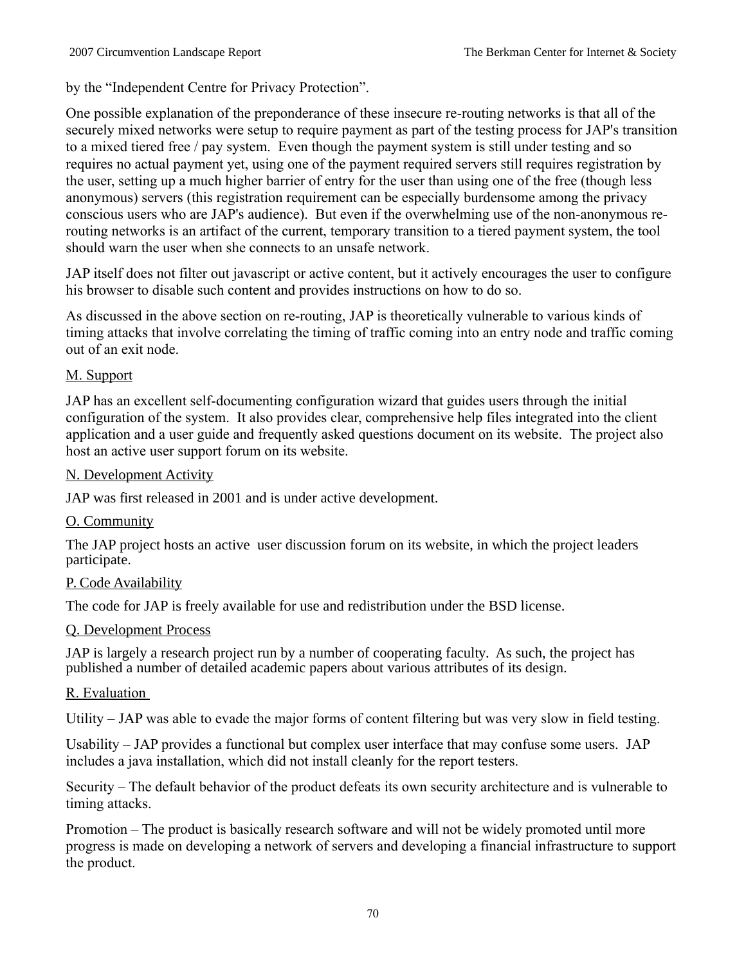by the "Independent Centre for Privacy Protection".

One possible explanation of the preponderance of these insecure re-routing networks is that all of the securely mixed networks were setup to require payment as part of the testing process for JAP's transition to a mixed tiered free / pay system. Even though the payment system is still under testing and so requires no actual payment yet, using one of the payment required servers still requires registration by the user, setting up a much higher barrier of entry for the user than using one of the free (though less anonymous) servers (this registration requirement can be especially burdensome among the privacy conscious users who are JAP's audience). But even if the overwhelming use of the non-anonymous rerouting networks is an artifact of the current, temporary transition to a tiered payment system, the tool should warn the user when she connects to an unsafe network.

JAP itself does not filter out javascript or active content, but it actively encourages the user to configure his browser to disable such content and provides instructions on how to do so.

As discussed in the above section on re-routing, JAP is theoretically vulnerable to various kinds of timing attacks that involve correlating the timing of traffic coming into an entry node and traffic coming out of an exit node.

# M. Support

JAP has an excellent self-documenting configuration wizard that guides users through the initial configuration of the system. It also provides clear, comprehensive help files integrated into the client application and a user guide and frequently asked questions document on its website. The project also host an active user support forum on its website.

# N. Development Activity

JAP was first released in 2001 and is under active development.

# O. Community

The JAP project hosts an active user discussion forum on its website, in which the project leaders participate.

# P. Code Availability

The code for JAP is freely available for use and redistribution under the BSD license.

# Q. Development Process

JAP is largely a research project run by a number of cooperating faculty. As such, the project has published a number of detailed academic papers about various attributes of its design.

# R. Evaluation

Utility – JAP was able to evade the major forms of content filtering but was very slow in field testing.

Usability – JAP provides a functional but complex user interface that may confuse some users. JAP includes a java installation, which did not install cleanly for the report testers.

Security – The default behavior of the product defeats its own security architecture and is vulnerable to timing attacks.

Promotion – The product is basically research software and will not be widely promoted until more progress is made on developing a network of servers and developing a financial infrastructure to support the product.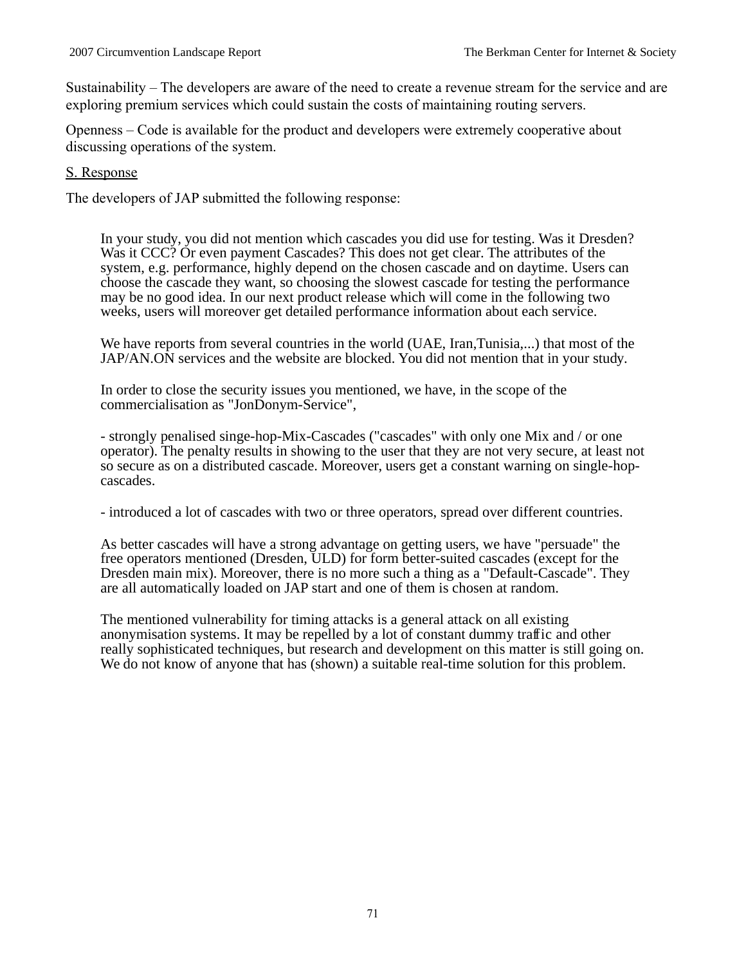Sustainability – The developers are aware of the need to create a revenue stream for the service and are exploring premium services which could sustain the costs of maintaining routing servers.

Openness – Code is available for the product and developers were extremely cooperative about discussing operations of the system.

#### S. Response

The developers of JAP submitted the following response:

In your study, you did not mention which cascades you did use for testing. Was it Dresden? Was it CCC? Or even payment Cascades? This does not get clear. The attributes of the system, e.g. performance, highly depend on the chosen cascade and on daytime. Users can choose the cascade they want, so choosing the slowest cascade for testing the performance may be no good idea. In our next product release which will come in the following two weeks, users will moreover get detailed performance information about each service.

We have reports from several countries in the world (UAE, Iran, Tunisia,...) that most of the JAP/AN.ON services and the website are blocked. You did not mention that in your study.

In order to close the security issues you mentioned, we have, in the scope of the commercialisation as "JonDonym-Service",

- strongly penalised singe-hop-Mix-Cascades ("cascades" with only one Mix and / or one operator). The penalty results in showing to the user that they are not very secure, at least not so secure as on a distributed cascade. Moreover, users get a constant warning on single-hopcascades.

- introduced a lot of cascades with two or three operators, spread over different countries.

As better cascades will have a strong advantage on getting users, we have "persuade" the free operators mentioned (Dresden, ULD) for form better-suited cascades (except for the Dresden main mix). Moreover, there is no more such a thing as a "Default-Cascade". They are all automatically loaded on JAP start and one of them is chosen at random.

The mentioned vulnerability for timing attacks is a general attack on all existing anonymisation systems. It may be repelled by a lot of constant dummy traffic and other really sophisticated techniques, but research and development on this matter is still going on. We do not know of anyone that has (shown) a suitable real-time solution for this problem.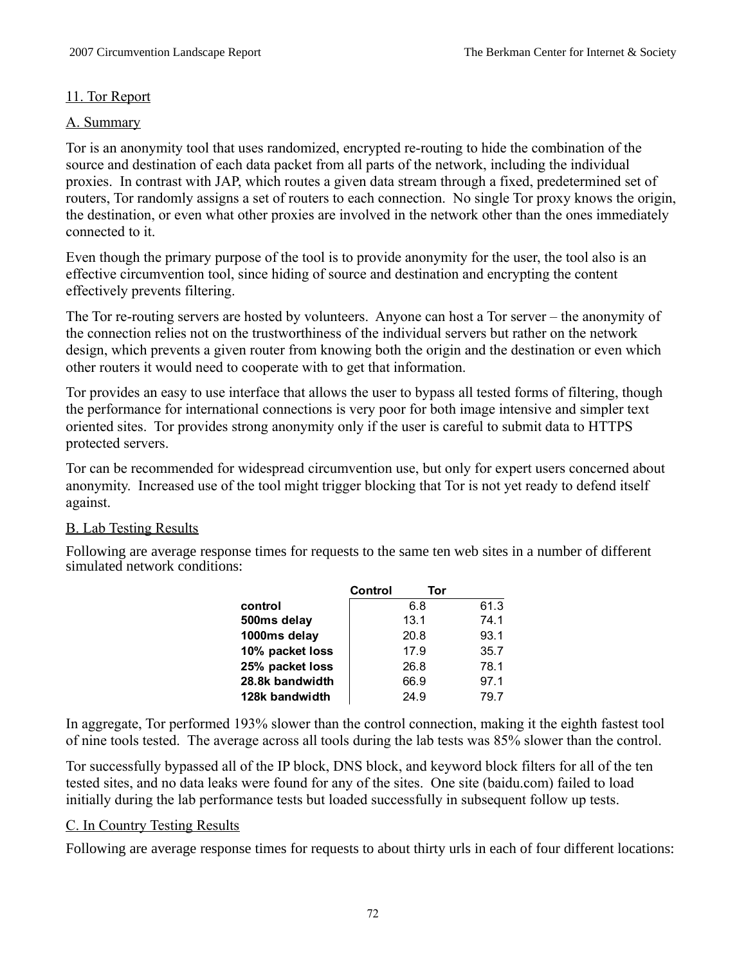# 11. Tor Report

# A. Summary

Tor is an anonymity tool that uses randomized, encrypted re-routing to hide the combination of the source and destination of each data packet from all parts of the network, including the individual proxies. In contrast with JAP, which routes a given data stream through a fixed, predetermined set of routers, Tor randomly assigns a set of routers to each connection. No single Tor proxy knows the origin, the destination, or even what other proxies are involved in the network other than the ones immediately connected to it.

Even though the primary purpose of the tool is to provide anonymity for the user, the tool also is an effective circumvention tool, since hiding of source and destination and encrypting the content effectively prevents filtering.

The Tor re-routing servers are hosted by volunteers. Anyone can host a Tor server – the anonymity of the connection relies not on the trustworthiness of the individual servers but rather on the network design, which prevents a given router from knowing both the origin and the destination or even which other routers it would need to cooperate with to get that information.

Tor provides an easy to use interface that allows the user to bypass all tested forms of filtering, though the performance for international connections is very poor for both image intensive and simpler text oriented sites. Tor provides strong anonymity only if the user is careful to submit data to HTTPS protected servers.

Tor can be recommended for widespread circumvention use, but only for expert users concerned about anonymity. Increased use of the tool might trigger blocking that Tor is not yet ready to defend itself against.

# B. Lab Testing Results

Following are average response times for requests to the same ten web sites in a number of different simulated network conditions:

|                 | Control | Tor  |      |
|-----------------|---------|------|------|
| control         |         | 6.8  | 61.3 |
| 500ms delay     |         | 13.1 | 74.1 |
| 1000ms delay    |         | 20.8 | 93.1 |
| 10% packet loss |         | 17.9 | 35.7 |
| 25% packet loss |         | 26.8 | 78.1 |
| 28.8k bandwidth |         | 66.9 | 97.1 |
| 128k bandwidth  |         | 24.9 | 79.7 |

In aggregate, Tor performed 193% slower than the control connection, making it the eighth fastest tool of nine tools tested. The average across all tools during the lab tests was 85% slower than the control.

Tor successfully bypassed all of the IP block, DNS block, and keyword block filters for all of the ten tested sites, and no data leaks were found for any of the sites. One site (baidu.com) failed to load initially during the lab performance tests but loaded successfully in subsequent follow up tests.

# C. In Country Testing Results

Following are average response times for requests to about thirty urls in each of four different locations: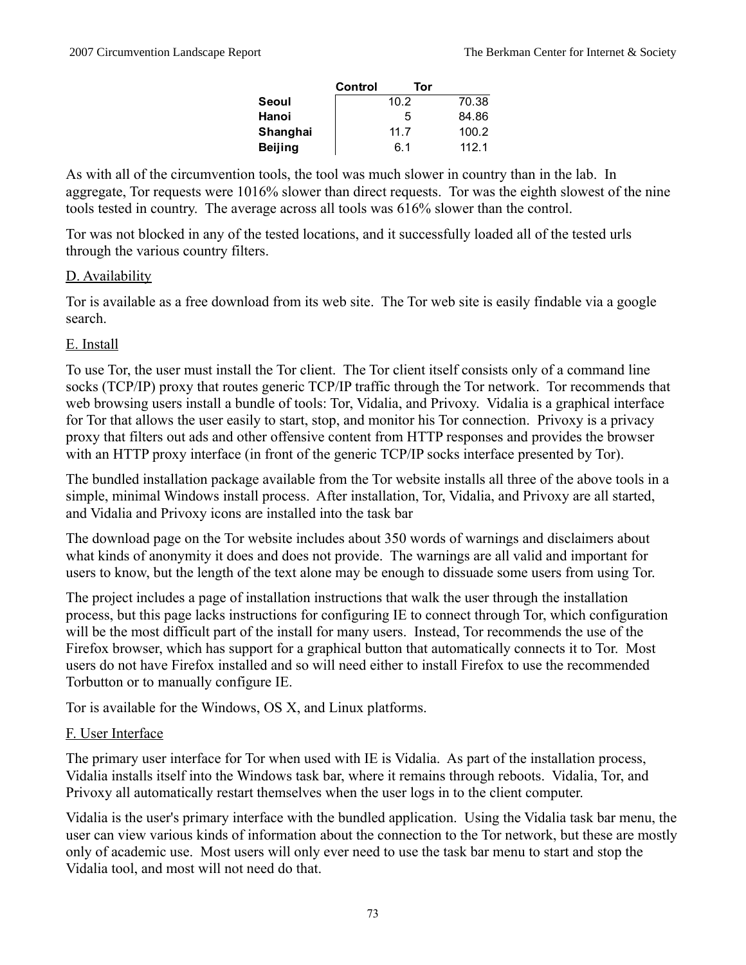|          | Control | Tor  |       |
|----------|---------|------|-------|
| Seoul    |         | 10.2 | 70.38 |
| Hanoi    |         | 5    | 84.86 |
| Shanghai |         | 11.7 | 100.2 |
| Beijing  |         | 6.1  | 112.1 |

As with all of the circumvention tools, the tool was much slower in country than in the lab. In aggregate, Tor requests were 1016% slower than direct requests. Tor was the eighth slowest of the nine tools tested in country. The average across all tools was 616% slower than the control.

Tor was not blocked in any of the tested locations, and it successfully loaded all of the tested urls through the various country filters.

## D. Availability

Tor is available as a free download from its web site. The Tor web site is easily findable via a google search.

## E. Install

To use Tor, the user must install the Tor client. The Tor client itself consists only of a command line socks (TCP/IP) proxy that routes generic TCP/IP traffic through the Tor network. Tor recommends that web browsing users install a bundle of tools: Tor, Vidalia, and Privoxy. Vidalia is a graphical interface for Tor that allows the user easily to start, stop, and monitor his Tor connection. Privoxy is a privacy proxy that filters out ads and other offensive content from HTTP responses and provides the browser with an HTTP proxy interface (in front of the generic TCP/IP socks interface presented by Tor).

The bundled installation package available from the Tor website installs all three of the above tools in a simple, minimal Windows install process. After installation, Tor, Vidalia, and Privoxy are all started, and Vidalia and Privoxy icons are installed into the task bar

The download page on the Tor website includes about 350 words of warnings and disclaimers about what kinds of anonymity it does and does not provide. The warnings are all valid and important for users to know, but the length of the text alone may be enough to dissuade some users from using Tor.

The project includes a page of installation instructions that walk the user through the installation process, but this page lacks instructions for configuring IE to connect through Tor, which configuration will be the most difficult part of the install for many users. Instead, Tor recommends the use of the Firefox browser, which has support for a graphical button that automatically connects it to Tor. Most users do not have Firefox installed and so will need either to install Firefox to use the recommended Torbutton or to manually configure IE.

Tor is available for the Windows, OS X, and Linux platforms.

# F. User Interface

The primary user interface for Tor when used with IE is Vidalia. As part of the installation process, Vidalia installs itself into the Windows task bar, where it remains through reboots. Vidalia, Tor, and Privoxy all automatically restart themselves when the user logs in to the client computer.

Vidalia is the user's primary interface with the bundled application. Using the Vidalia task bar menu, the user can view various kinds of information about the connection to the Tor network, but these are mostly only of academic use. Most users will only ever need to use the task bar menu to start and stop the Vidalia tool, and most will not need do that.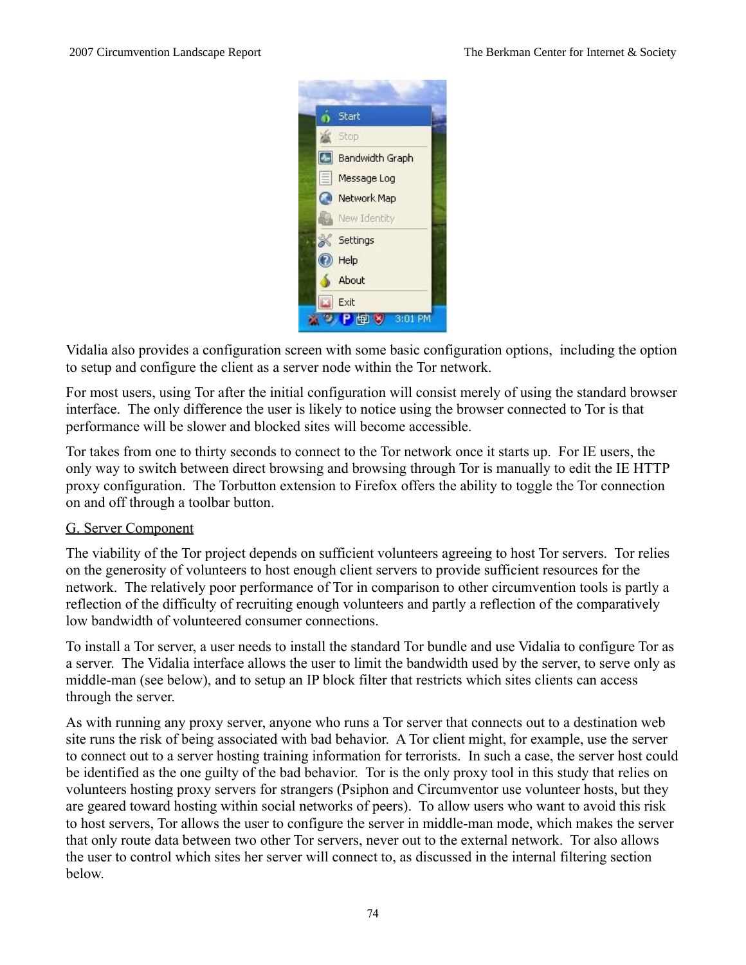

Vidalia also provides a configuration screen with some basic configuration options, including the option to setup and configure the client as a server node within the Tor network.

For most users, using Tor after the initial configuration will consist merely of using the standard browser interface. The only difference the user is likely to notice using the browser connected to Tor is that performance will be slower and blocked sites will become accessible.

Tor takes from one to thirty seconds to connect to the Tor network once it starts up. For IE users, the only way to switch between direct browsing and browsing through Tor is manually to edit the IE HTTP proxy configuration. The Torbutton extension to Firefox offers the ability to toggle the Tor connection on and off through a toolbar button.

## G. Server Component

The viability of the Tor project depends on sufficient volunteers agreeing to host Tor servers. Tor relies on the generosity of volunteers to host enough client servers to provide sufficient resources for the network. The relatively poor performance of Tor in comparison to other circumvention tools is partly a reflection of the difficulty of recruiting enough volunteers and partly a reflection of the comparatively low bandwidth of volunteered consumer connections.

To install a Tor server, a user needs to install the standard Tor bundle and use Vidalia to configure Tor as a server. The Vidalia interface allows the user to limit the bandwidth used by the server, to serve only as middle-man (see below), and to setup an IP block filter that restricts which sites clients can access through the server.

As with running any proxy server, anyone who runs a Tor server that connects out to a destination web site runs the risk of being associated with bad behavior. A Tor client might, for example, use the server to connect out to a server hosting training information for terrorists. In such a case, the server host could be identified as the one guilty of the bad behavior. Tor is the only proxy tool in this study that relies on volunteers hosting proxy servers for strangers (Psiphon and Circumventor use volunteer hosts, but they are geared toward hosting within social networks of peers). To allow users who want to avoid this risk to host servers, Tor allows the user to configure the server in middle-man mode, which makes the server that only route data between two other Tor servers, never out to the external network. Tor also allows the user to control which sites her server will connect to, as discussed in the internal filtering section below.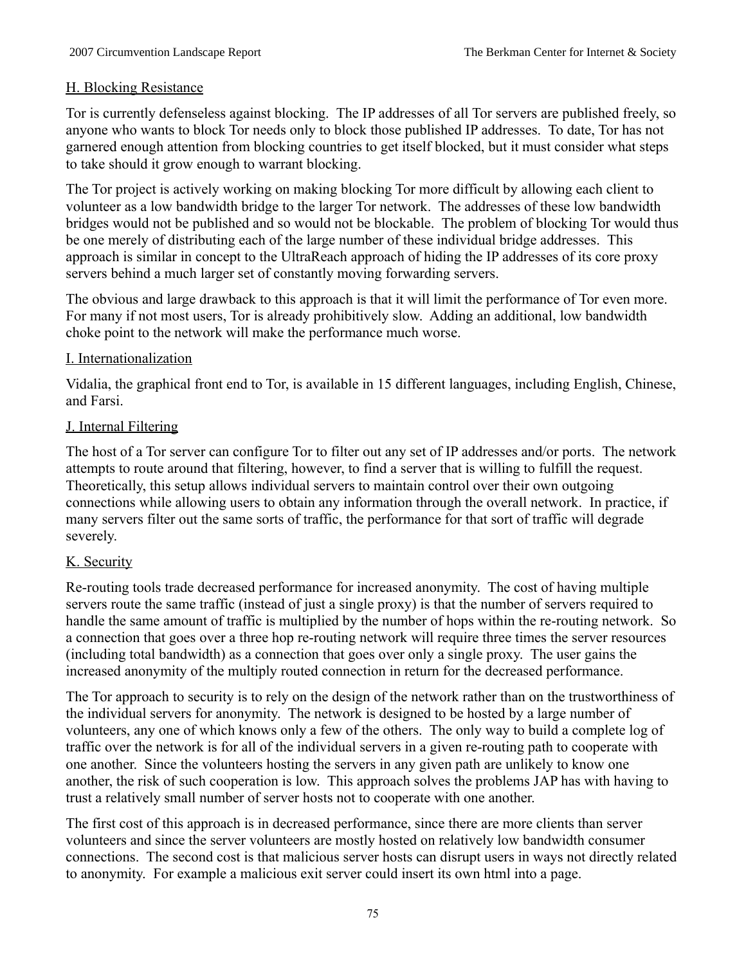## H. Blocking Resistance

Tor is currently defenseless against blocking. The IP addresses of all Tor servers are published freely, so anyone who wants to block Tor needs only to block those published IP addresses. To date, Tor has not garnered enough attention from blocking countries to get itself blocked, but it must consider what steps to take should it grow enough to warrant blocking.

The Tor project is actively working on making blocking Tor more difficult by allowing each client to volunteer as a low bandwidth bridge to the larger Tor network. The addresses of these low bandwidth bridges would not be published and so would not be blockable. The problem of blocking Tor would thus be one merely of distributing each of the large number of these individual bridge addresses. This approach is similar in concept to the UltraReach approach of hiding the IP addresses of its core proxy servers behind a much larger set of constantly moving forwarding servers.

The obvious and large drawback to this approach is that it will limit the performance of Tor even more. For many if not most users, Tor is already prohibitively slow. Adding an additional, low bandwidth choke point to the network will make the performance much worse.

## I. Internationalization

Vidalia, the graphical front end to Tor, is available in 15 different languages, including English, Chinese, and Farsi.

## J. Internal Filtering

The host of a Tor server can configure Tor to filter out any set of IP addresses and/or ports. The network attempts to route around that filtering, however, to find a server that is willing to fulfill the request. Theoretically, this setup allows individual servers to maintain control over their own outgoing connections while allowing users to obtain any information through the overall network. In practice, if many servers filter out the same sorts of traffic, the performance for that sort of traffic will degrade severely.

### K. Security

Re-routing tools trade decreased performance for increased anonymity. The cost of having multiple servers route the same traffic (instead of just a single proxy) is that the number of servers required to handle the same amount of traffic is multiplied by the number of hops within the re-routing network. So a connection that goes over a three hop re-routing network will require three times the server resources (including total bandwidth) as a connection that goes over only a single proxy. The user gains the increased anonymity of the multiply routed connection in return for the decreased performance.

The Tor approach to security is to rely on the design of the network rather than on the trustworthiness of the individual servers for anonymity. The network is designed to be hosted by a large number of volunteers, any one of which knows only a few of the others. The only way to build a complete log of traffic over the network is for all of the individual servers in a given re-routing path to cooperate with one another. Since the volunteers hosting the servers in any given path are unlikely to know one another, the risk of such cooperation is low. This approach solves the problems JAP has with having to trust a relatively small number of server hosts not to cooperate with one another.

The first cost of this approach is in decreased performance, since there are more clients than server volunteers and since the server volunteers are mostly hosted on relatively low bandwidth consumer connections. The second cost is that malicious server hosts can disrupt users in ways not directly related to anonymity. For example a malicious exit server could insert its own html into a page.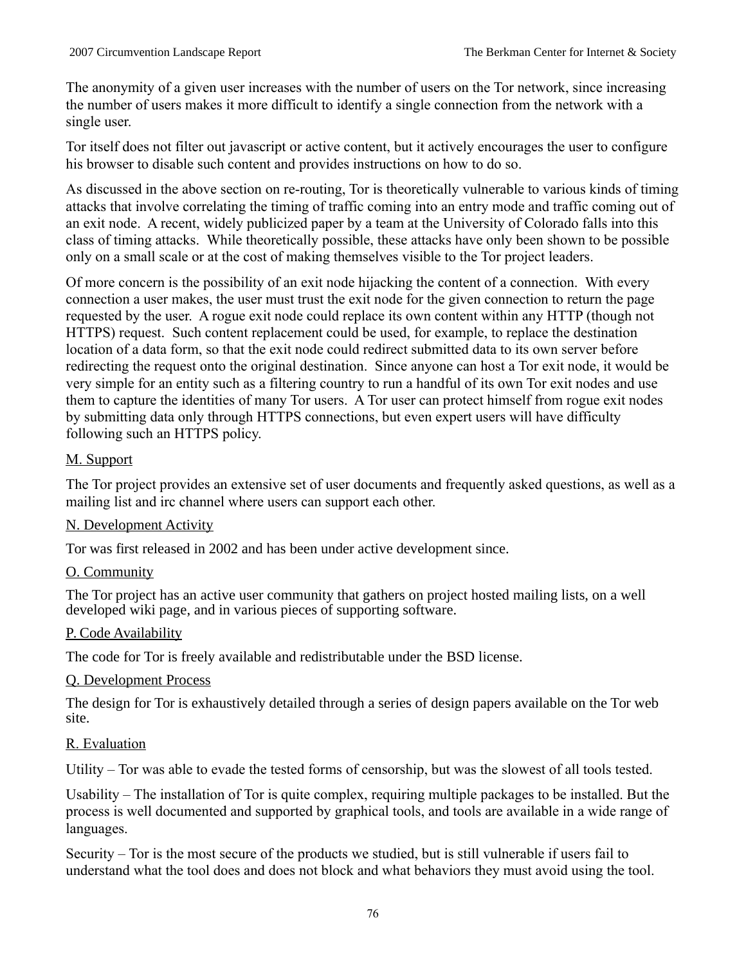The anonymity of a given user increases with the number of users on the Tor network, since increasing the number of users makes it more difficult to identify a single connection from the network with a single user.

Tor itself does not filter out javascript or active content, but it actively encourages the user to configure his browser to disable such content and provides instructions on how to do so.

As discussed in the above section on re-routing, Tor is theoretically vulnerable to various kinds of timing attacks that involve correlating the timing of traffic coming into an entry mode and traffic coming out of an exit node. A recent, widely publicized paper by a team at the University of Colorado falls into this class of timing attacks. While theoretically possible, these attacks have only been shown to be possible only on a small scale or at the cost of making themselves visible to the Tor project leaders.

Of more concern is the possibility of an exit node hijacking the content of a connection. With every connection a user makes, the user must trust the exit node for the given connection to return the page requested by the user. A rogue exit node could replace its own content within any HTTP (though not HTTPS) request. Such content replacement could be used, for example, to replace the destination location of a data form, so that the exit node could redirect submitted data to its own server before redirecting the request onto the original destination. Since anyone can host a Tor exit node, it would be very simple for an entity such as a filtering country to run a handful of its own Tor exit nodes and use them to capture the identities of many Tor users. A Tor user can protect himself from rogue exit nodes by submitting data only through HTTPS connections, but even expert users will have difficulty following such an HTTPS policy.

# M. Support

The Tor project provides an extensive set of user documents and frequently asked questions, as well as a mailing list and irc channel where users can support each other.

# N. Development Activity

Tor was first released in 2002 and has been under active development since.

### O. Community

The Tor project has an active user community that gathers on project hosted mailing lists, on a well developed wiki page, and in various pieces of supporting software.

### P. Code Availability

The code for Tor is freely available and redistributable under the BSD license.

### Q. Development Process

The design for Tor is exhaustively detailed through a series of design papers available on the Tor web site.

### R. Evaluation

Utility – Tor was able to evade the tested forms of censorship, but was the slowest of all tools tested.

Usability – The installation of Tor is quite complex, requiring multiple packages to be installed. But the process is well documented and supported by graphical tools, and tools are available in a wide range of languages.

Security – Tor is the most secure of the products we studied, but is still vulnerable if users fail to understand what the tool does and does not block and what behaviors they must avoid using the tool.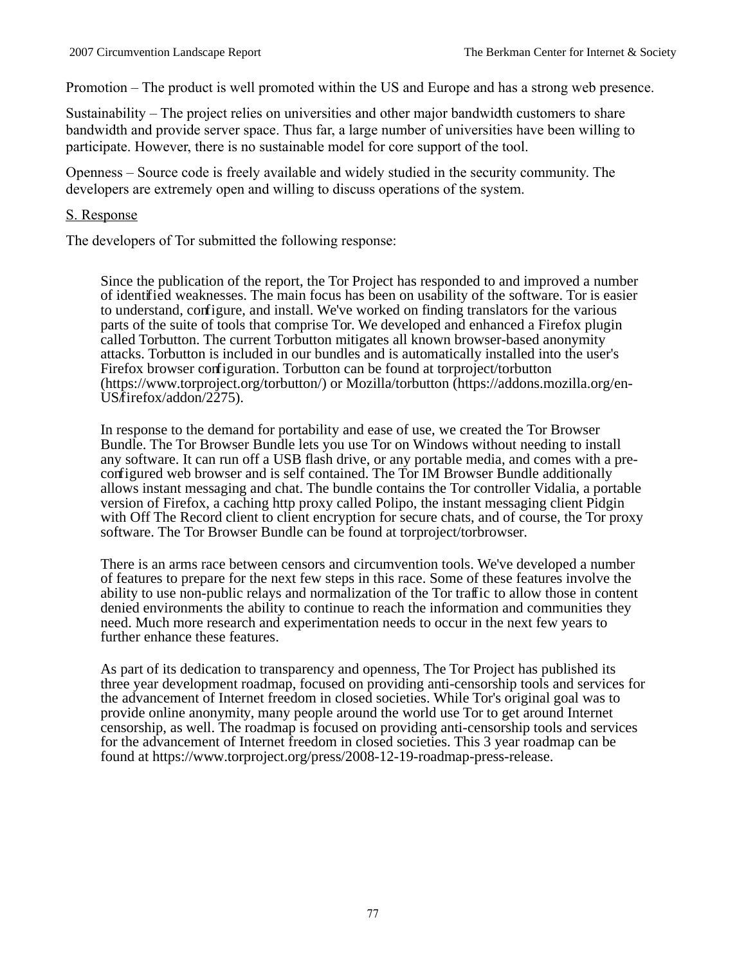Promotion – The product is well promoted within the US and Europe and has a strong web presence.

Sustainability – The project relies on universities and other major bandwidth customers to share bandwidth and provide server space. Thus far, a large number of universities have been willing to participate. However, there is no sustainable model for core support of the tool.

Openness – Source code is freely available and widely studied in the security community. The developers are extremely open and willing to discuss operations of the system.

#### S. Response

The developers of Tor submitted the following response:

Since the publication of the report, the Tor Project has responded to and improved a number of identified weaknesses. The main focus has been on usability of the software. Tor is easier to understand, configure, and install. We've worked on finding translators for the various parts of the suite of tools that comprise Tor. We developed and enhanced a Firefox plugin called Torbutton. The current Torbutton mitigates all known browser-based anonymity attacks. Torbutton is included in our bundles and is automatically installed into the user's Firefox browser configuration. Torbutton can be found at torproject/torbutton (https://www.torproject.org/torbutton/) or Mozilla/torbutton (https://addons.mozilla.org/en-US/firefox/addon/2275).

In response to the demand for portability and ease of use, we created the Tor Browser Bundle. The Tor Browser Bundle lets you use Tor on Windows without needing to install any software. It can run off a USB flash drive, or any portable media, and comes with a preconfigured web browser and is self contained. The Tor IM Browser Bundle additionally allows instant messaging and chat. The bundle contains the Tor controller Vidalia, a portable version of Firefox, a caching http proxy called Polipo, the instant messaging client Pidgin with Off The Record client to client encryption for secure chats, and of course, the Tor proxy software. The Tor Browser Bundle can be found at torproject/torbrowser.

There is an arms race between censors and circumvention tools. We've developed a number of features to prepare for the next few steps in this race. Some of these features involve the ability to use non-public relays and normalization of the Tor traffic to allow those in content denied environments the ability to continue to reach the information and communities they need. Much more research and experimentation needs to occur in the next few years to further enhance these features.

As part of its dedication to transparency and openness, The Tor Project has published its three year development roadmap, focused on providing anti-censorship tools and services for the advancement of Internet freedom in closed societies. While Tor's original goal was to provide online anonymity, many people around the world use Tor to get around Internet censorship, as well. The roadmap is focused on providing anti-censorship tools and services for the advancement of Internet freedom in closed societies. This 3 year roadmap can be found at https://www.torproject.org/press/2008-12-19-roadmap-press-release.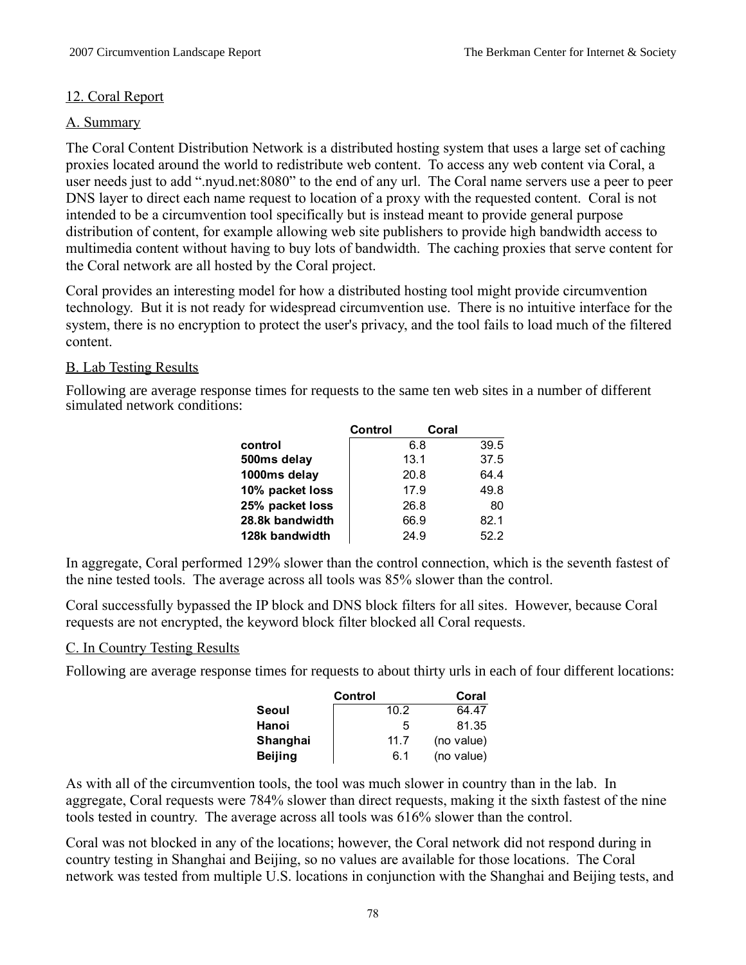## 12. Coral Report

## A. Summary

The Coral Content Distribution Network is a distributed hosting system that uses a large set of caching proxies located around the world to redistribute web content. To access any web content via Coral, a user needs just to add ".nyud.net:8080" to the end of any url. The Coral name servers use a peer to peer DNS layer to direct each name request to location of a proxy with the requested content. Coral is not intended to be a circumvention tool specifically but is instead meant to provide general purpose distribution of content, for example allowing web site publishers to provide high bandwidth access to multimedia content without having to buy lots of bandwidth. The caching proxies that serve content for the Coral network are all hosted by the Coral project.

Coral provides an interesting model for how a distributed hosting tool might provide circumvention technology. But it is not ready for widespread circumvention use. There is no intuitive interface for the system, there is no encryption to protect the user's privacy, and the tool fails to load much of the filtered content.

### B. Lab Testing Results

Following are average response times for requests to the same ten web sites in a number of different simulated network conditions:

| Control | Coral |      |
|---------|-------|------|
|         | 6.8   | 39.5 |
|         | 13.1  | 37.5 |
|         | 20.8  | 64.4 |
|         | 17.9  | 49.8 |
|         | 26.8  | 80   |
|         | 66.9  | 82.1 |
|         | 24.9  | 52.2 |
|         |       |      |

In aggregate, Coral performed 129% slower than the control connection, which is the seventh fastest of the nine tested tools. The average across all tools was 85% slower than the control.

Coral successfully bypassed the IP block and DNS block filters for all sites. However, because Coral requests are not encrypted, the keyword block filter blocked all Coral requests.

### C. In Country Testing Results

Following are average response times for requests to about thirty urls in each of four different locations:

|                | Control | Coral      |
|----------------|---------|------------|
| Seoul          | 10.2    | 64.47      |
| Hanoi          | 5       | 81.35      |
| Shanghai       | 11.7    | (no value) |
| <b>Beijing</b> | 6.1     | (no value) |

As with all of the circumvention tools, the tool was much slower in country than in the lab. In aggregate, Coral requests were 784% slower than direct requests, making it the sixth fastest of the nine tools tested in country. The average across all tools was 616% slower than the control.

Coral was not blocked in any of the locations; however, the Coral network did not respond during in country testing in Shanghai and Beijing, so no values are available for those locations. The Coral network was tested from multiple U.S. locations in conjunction with the Shanghai and Beijing tests, and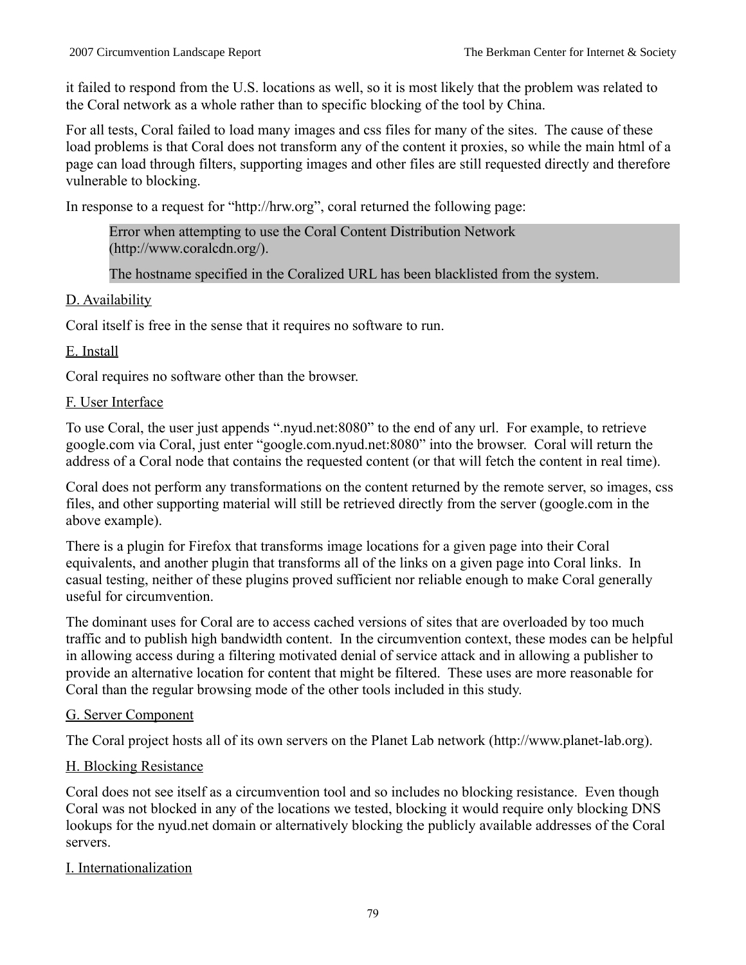it failed to respond from the U.S. locations as well, so it is most likely that the problem was related to the Coral network as a whole rather than to specific blocking of the tool by China.

For all tests, Coral failed to load many images and css files for many of the sites. The cause of these load problems is that Coral does not transform any of the content it proxies, so while the main html of a page can load through filters, supporting images and other files are still requested directly and therefore vulnerable to blocking.

In response to a request for "http://hrw.org", coral returned the following page:

Error when attempting to use the Coral Content Distribution Network (http://www.coralcdn.org/).

The hostname specified in the Coralized URL has been blacklisted from the system.

# D. Availability

Coral itself is free in the sense that it requires no software to run.

# E. Install

Coral requires no software other than the browser.

# F. User Interface

To use Coral, the user just appends ".nyud.net:8080" to the end of any url. For example, to retrieve google.com via Coral, just enter "google.com.nyud.net:8080" into the browser. Coral will return the address of a Coral node that contains the requested content (or that will fetch the content in real time).

Coral does not perform any transformations on the content returned by the remote server, so images, css files, and other supporting material will still be retrieved directly from the server (google.com in the above example).

There is a plugin for Firefox that transforms image locations for a given page into their Coral equivalents, and another plugin that transforms all of the links on a given page into Coral links. In casual testing, neither of these plugins proved sufficient nor reliable enough to make Coral generally useful for circumvention.

The dominant uses for Coral are to access cached versions of sites that are overloaded by too much traffic and to publish high bandwidth content. In the circumvention context, these modes can be helpful in allowing access during a filtering motivated denial of service attack and in allowing a publisher to provide an alternative location for content that might be filtered. These uses are more reasonable for Coral than the regular browsing mode of the other tools included in this study.

# G. Server Component

The Coral project hosts all of its own servers on the Planet Lab network (http://www.planet-lab.org).

# H. Blocking Resistance

Coral does not see itself as a circumvention tool and so includes no blocking resistance. Even though Coral was not blocked in any of the locations we tested, blocking it would require only blocking DNS lookups for the nyud.net domain or alternatively blocking the publicly available addresses of the Coral servers.

# I. Internationalization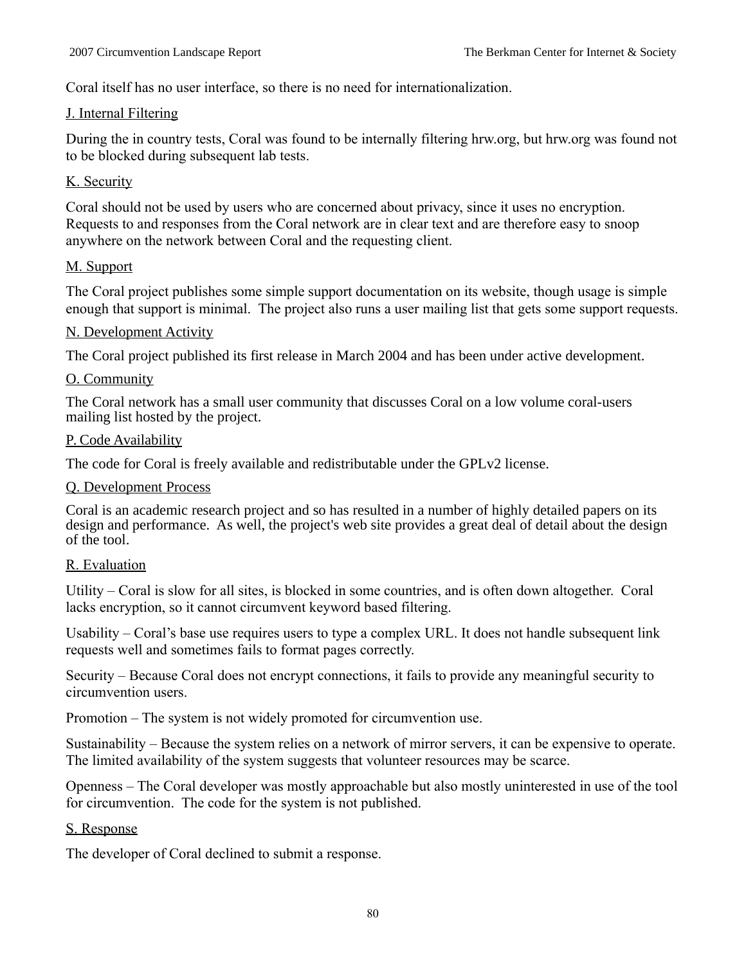Coral itself has no user interface, so there is no need for internationalization.

## J. Internal Filtering

During the in country tests, Coral was found to be internally filtering hrw.org, but hrw.org was found not to be blocked during subsequent lab tests.

## K. Security

Coral should not be used by users who are concerned about privacy, since it uses no encryption. Requests to and responses from the Coral network are in clear text and are therefore easy to snoop anywhere on the network between Coral and the requesting client.

## M. Support

The Coral project publishes some simple support documentation on its website, though usage is simple enough that support is minimal. The project also runs a user mailing list that gets some support requests.

### N. Development Activity

The Coral project published its first release in March 2004 and has been under active development.

### O. Community

The Coral network has a small user community that discusses Coral on a low volume coral-users mailing list hosted by the project.

#### P. Code Availability

The code for Coral is freely available and redistributable under the GPLv2 license.

### Q. Development Process

Coral is an academic research project and so has resulted in a number of highly detailed papers on its design and performance. As well, the project's web site provides a great deal of detail about the design of the tool.

### R. Evaluation

Utility – Coral is slow for all sites, is blocked in some countries, and is often down altogether. Coral lacks encryption, so it cannot circumvent keyword based filtering.

Usability – Coral's base use requires users to type a complex URL. It does not handle subsequent link requests well and sometimes fails to format pages correctly.

Security – Because Coral does not encrypt connections, it fails to provide any meaningful security to circumvention users.

Promotion – The system is not widely promoted for circumvention use.

Sustainability – Because the system relies on a network of mirror servers, it can be expensive to operate. The limited availability of the system suggests that volunteer resources may be scarce.

Openness – The Coral developer was mostly approachable but also mostly uninterested in use of the tool for circumvention. The code for the system is not published.

### S. Response

The developer of Coral declined to submit a response.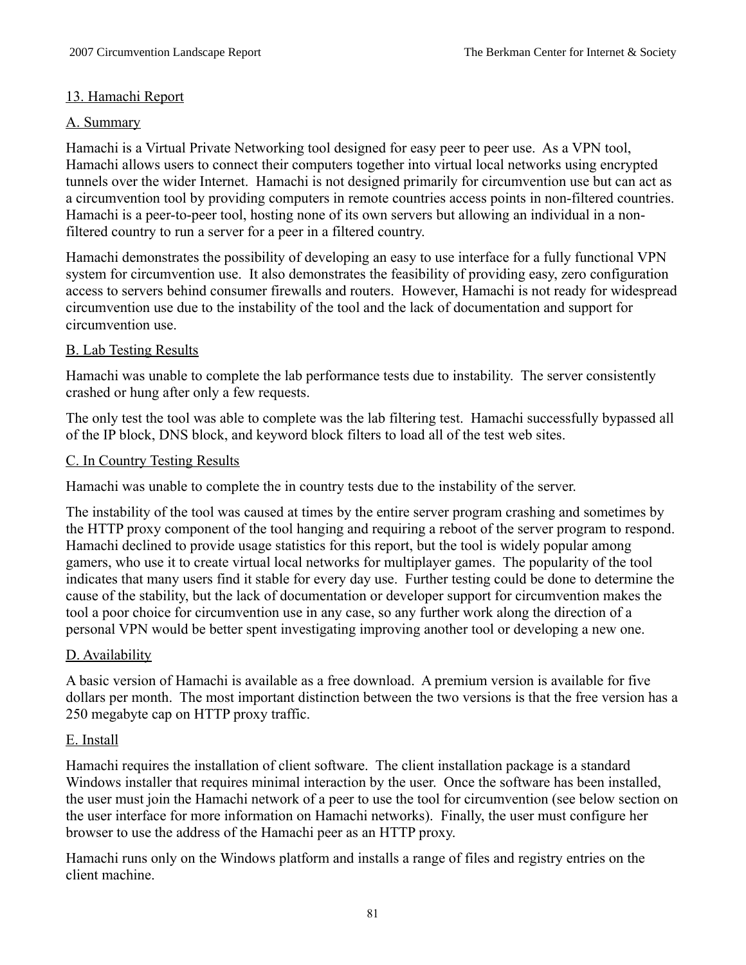## 13. Hamachi Report

## A. Summary

Hamachi is a Virtual Private Networking tool designed for easy peer to peer use. As a VPN tool, Hamachi allows users to connect their computers together into virtual local networks using encrypted tunnels over the wider Internet. Hamachi is not designed primarily for circumvention use but can act as a circumvention tool by providing computers in remote countries access points in non-filtered countries. Hamachi is a peer-to-peer tool, hosting none of its own servers but allowing an individual in a nonfiltered country to run a server for a peer in a filtered country.

Hamachi demonstrates the possibility of developing an easy to use interface for a fully functional VPN system for circumvention use. It also demonstrates the feasibility of providing easy, zero configuration access to servers behind consumer firewalls and routers. However, Hamachi is not ready for widespread circumvention use due to the instability of the tool and the lack of documentation and support for circumvention use.

## B. Lab Testing Results

Hamachi was unable to complete the lab performance tests due to instability. The server consistently crashed or hung after only a few requests.

The only test the tool was able to complete was the lab filtering test. Hamachi successfully bypassed all of the IP block, DNS block, and keyword block filters to load all of the test web sites.

### C. In Country Testing Results

Hamachi was unable to complete the in country tests due to the instability of the server.

The instability of the tool was caused at times by the entire server program crashing and sometimes by the HTTP proxy component of the tool hanging and requiring a reboot of the server program to respond. Hamachi declined to provide usage statistics for this report, but the tool is widely popular among gamers, who use it to create virtual local networks for multiplayer games. The popularity of the tool indicates that many users find it stable for every day use. Further testing could be done to determine the cause of the stability, but the lack of documentation or developer support for circumvention makes the tool a poor choice for circumvention use in any case, so any further work along the direction of a personal VPN would be better spent investigating improving another tool or developing a new one.

### D. Availability

A basic version of Hamachi is available as a free download. A premium version is available for five dollars per month. The most important distinction between the two versions is that the free version has a 250 megabyte cap on HTTP proxy traffic.

### E. Install

Hamachi requires the installation of client software. The client installation package is a standard Windows installer that requires minimal interaction by the user. Once the software has been installed, the user must join the Hamachi network of a peer to use the tool for circumvention (see below section on the user interface for more information on Hamachi networks). Finally, the user must configure her browser to use the address of the Hamachi peer as an HTTP proxy.

Hamachi runs only on the Windows platform and installs a range of files and registry entries on the client machine.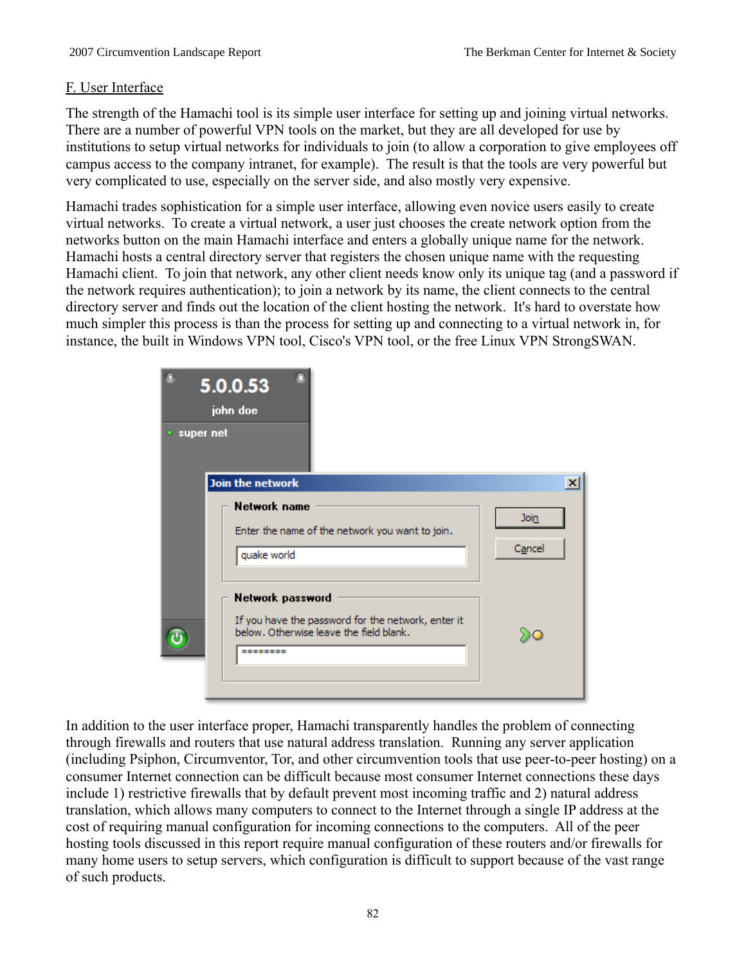### F. User Interface

The strength of the Hamachi tool is its simple user interface for setting up and joining virtual networks. There are a number of powerful VPN tools on the market, but they are all developed for use by institutions to setup virtual networks for individuals to join (to allow a corporation to give employees off campus access to the company intranet, for example). The result is that the tools are very powerful but very complicated to use, especially on the server side, and also mostly very expensive.

Hamachi trades sophistication for a simple user interface, allowing even novice users easily to create virtual networks. To create a virtual network, a user just chooses the create network option from the networks button on the main Hamachi interface and enters a globally unique name for the network. Hamachi hosts a central directory server that registers the chosen unique name with the requesting Hamachi client. To join that network, any other client needs know only its unique tag (and a password if the network requires authentication); to join a network by its name, the client connects to the central directory server and finds out the location of the client hosting the network. It's hard to overstate how much simpler this process is than the process for setting up and connecting to a virtual network in, for instance, the built in Windows VPN tool, Cisco's VPN tool, or the free Linux VPN StrongSWAN.



In addition to the user interface proper, Hamachi transparently handles the problem of connecting through firewalls and routers that use natural address translation. Running any server application (including Psiphon, Circumventor, Tor, and other circumvention tools that use peer-to-peer hosting) on a consumer Internet connection can be difficult because most consumer Internet connections these days include 1) restrictive firewalls that by default prevent most incoming traffic and 2) natural address translation, which allows many computers to connect to the Internet through a single IP address at the cost of requiring manual configuration for incoming connections to the computers. All of the peer hosting tools discussed in this report require manual configuration of these routers and/or firewalls for many home users to setup servers, which configuration is difficult to support because of the vast range of such products.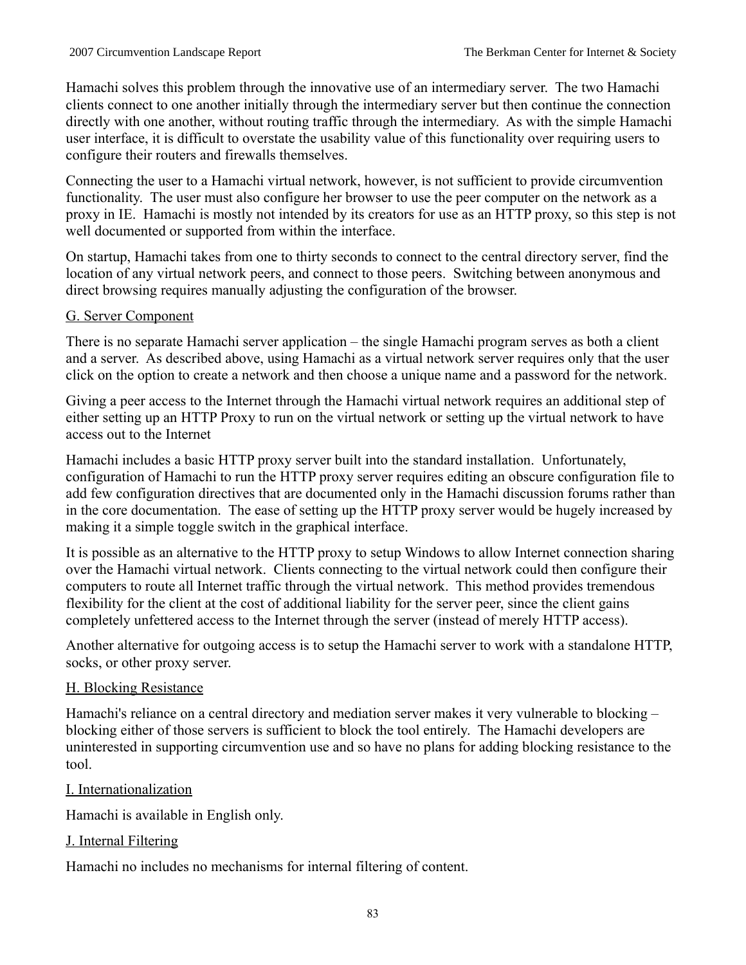Hamachi solves this problem through the innovative use of an intermediary server. The two Hamachi clients connect to one another initially through the intermediary server but then continue the connection directly with one another, without routing traffic through the intermediary. As with the simple Hamachi user interface, it is difficult to overstate the usability value of this functionality over requiring users to configure their routers and firewalls themselves.

Connecting the user to a Hamachi virtual network, however, is not sufficient to provide circumvention functionality. The user must also configure her browser to use the peer computer on the network as a proxy in IE. Hamachi is mostly not intended by its creators for use as an HTTP proxy, so this step is not well documented or supported from within the interface.

On startup, Hamachi takes from one to thirty seconds to connect to the central directory server, find the location of any virtual network peers, and connect to those peers. Switching between anonymous and direct browsing requires manually adjusting the configuration of the browser.

# G. Server Component

There is no separate Hamachi server application – the single Hamachi program serves as both a client and a server. As described above, using Hamachi as a virtual network server requires only that the user click on the option to create a network and then choose a unique name and a password for the network.

Giving a peer access to the Internet through the Hamachi virtual network requires an additional step of either setting up an HTTP Proxy to run on the virtual network or setting up the virtual network to have access out to the Internet

Hamachi includes a basic HTTP proxy server built into the standard installation. Unfortunately, configuration of Hamachi to run the HTTP proxy server requires editing an obscure configuration file to add few configuration directives that are documented only in the Hamachi discussion forums rather than in the core documentation. The ease of setting up the HTTP proxy server would be hugely increased by making it a simple toggle switch in the graphical interface.

It is possible as an alternative to the HTTP proxy to setup Windows to allow Internet connection sharing over the Hamachi virtual network. Clients connecting to the virtual network could then configure their computers to route all Internet traffic through the virtual network. This method provides tremendous flexibility for the client at the cost of additional liability for the server peer, since the client gains completely unfettered access to the Internet through the server (instead of merely HTTP access).

Another alternative for outgoing access is to setup the Hamachi server to work with a standalone HTTP, socks, or other proxy server.

# H. Blocking Resistance

Hamachi's reliance on a central directory and mediation server makes it very vulnerable to blocking – blocking either of those servers is sufficient to block the tool entirely. The Hamachi developers are uninterested in supporting circumvention use and so have no plans for adding blocking resistance to the tool.

# I. Internationalization

Hamachi is available in English only.

# J. Internal Filtering

Hamachi no includes no mechanisms for internal filtering of content.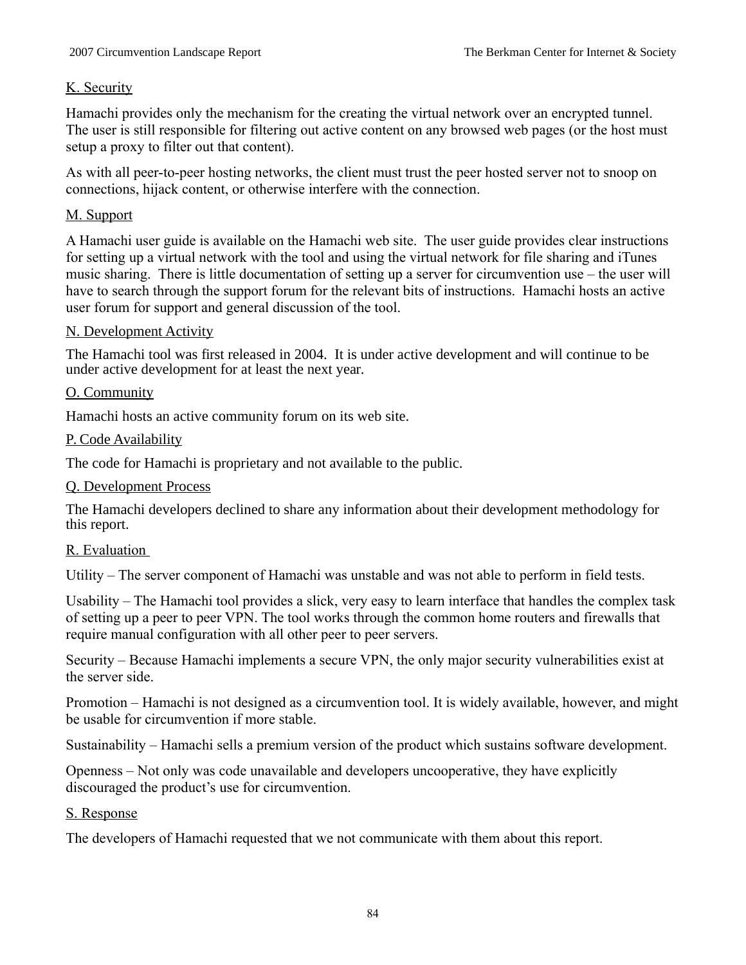## K. Security

Hamachi provides only the mechanism for the creating the virtual network over an encrypted tunnel. The user is still responsible for filtering out active content on any browsed web pages (or the host must setup a proxy to filter out that content).

As with all peer-to-peer hosting networks, the client must trust the peer hosted server not to snoop on connections, hijack content, or otherwise interfere with the connection.

## M. Support

A Hamachi user guide is available on the Hamachi web site. The user guide provides clear instructions for setting up a virtual network with the tool and using the virtual network for file sharing and iTunes music sharing. There is little documentation of setting up a server for circumvention use – the user will have to search through the support forum for the relevant bits of instructions. Hamachi hosts an active user forum for support and general discussion of the tool.

### N. Development Activity

The Hamachi tool was first released in 2004. It is under active development and will continue to be under active development for at least the next year.

### O. Community

Hamachi hosts an active community forum on its web site.

### P. Code Availability

The code for Hamachi is proprietary and not available to the public.

### Q. Development Process

The Hamachi developers declined to share any information about their development methodology for this report.

### R. Evaluation

Utility – The server component of Hamachi was unstable and was not able to perform in field tests.

Usability – The Hamachi tool provides a slick, very easy to learn interface that handles the complex task of setting up a peer to peer VPN. The tool works through the common home routers and firewalls that require manual configuration with all other peer to peer servers.

Security – Because Hamachi implements a secure VPN, the only major security vulnerabilities exist at the server side.

Promotion – Hamachi is not designed as a circumvention tool. It is widely available, however, and might be usable for circumvention if more stable.

Sustainability – Hamachi sells a premium version of the product which sustains software development.

Openness – Not only was code unavailable and developers uncooperative, they have explicitly discouraged the product's use for circumvention.

### S. Response

The developers of Hamachi requested that we not communicate with them about this report.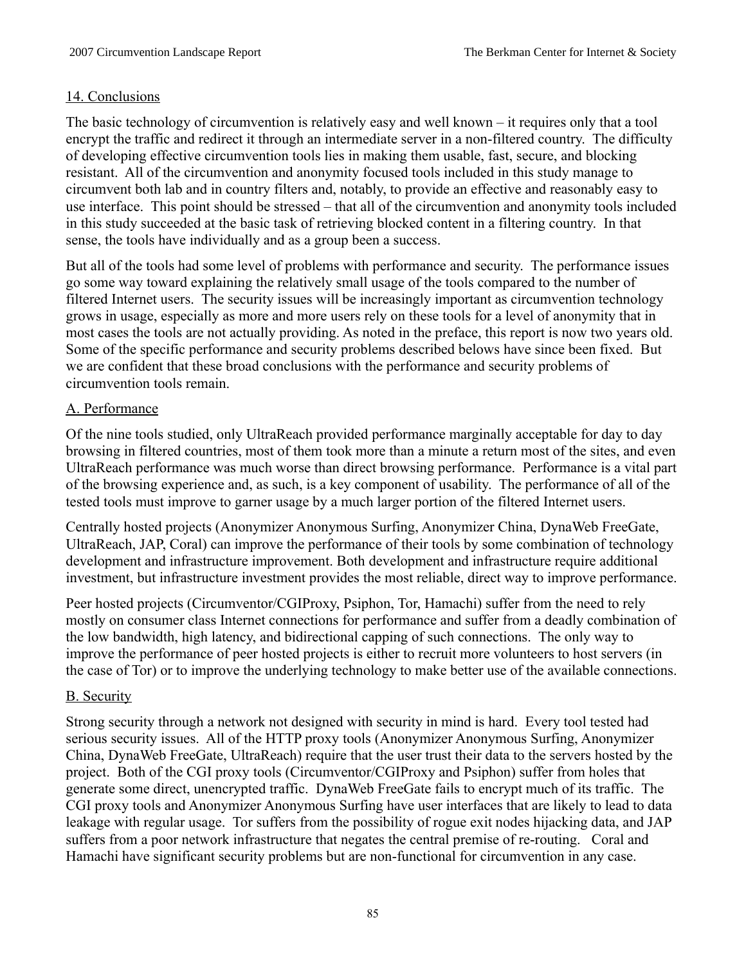## 14. Conclusions

The basic technology of circumvention is relatively easy and well known – it requires only that a tool encrypt the traffic and redirect it through an intermediate server in a non-filtered country. The difficulty of developing effective circumvention tools lies in making them usable, fast, secure, and blocking resistant. All of the circumvention and anonymity focused tools included in this study manage to circumvent both lab and in country filters and, notably, to provide an effective and reasonably easy to use interface. This point should be stressed – that all of the circumvention and anonymity tools included in this study succeeded at the basic task of retrieving blocked content in a filtering country. In that sense, the tools have individually and as a group been a success.

But all of the tools had some level of problems with performance and security. The performance issues go some way toward explaining the relatively small usage of the tools compared to the number of filtered Internet users. The security issues will be increasingly important as circumvention technology grows in usage, especially as more and more users rely on these tools for a level of anonymity that in most cases the tools are not actually providing. As noted in the preface, this report is now two years old. Some of the specific performance and security problems described belows have since been fixed. But we are confident that these broad conclusions with the performance and security problems of circumvention tools remain.

# A. Performance

Of the nine tools studied, only UltraReach provided performance marginally acceptable for day to day browsing in filtered countries, most of them took more than a minute a return most of the sites, and even UltraReach performance was much worse than direct browsing performance. Performance is a vital part of the browsing experience and, as such, is a key component of usability. The performance of all of the tested tools must improve to garner usage by a much larger portion of the filtered Internet users.

Centrally hosted projects (Anonymizer Anonymous Surfing, Anonymizer China, DynaWeb FreeGate, UltraReach, JAP, Coral) can improve the performance of their tools by some combination of technology development and infrastructure improvement. Both development and infrastructure require additional investment, but infrastructure investment provides the most reliable, direct way to improve performance.

Peer hosted projects (Circumventor/CGIProxy, Psiphon, Tor, Hamachi) suffer from the need to rely mostly on consumer class Internet connections for performance and suffer from a deadly combination of the low bandwidth, high latency, and bidirectional capping of such connections. The only way to improve the performance of peer hosted projects is either to recruit more volunteers to host servers (in the case of Tor) or to improve the underlying technology to make better use of the available connections.

### B. Security

Strong security through a network not designed with security in mind is hard. Every tool tested had serious security issues. All of the HTTP proxy tools (Anonymizer Anonymous Surfing, Anonymizer China, DynaWeb FreeGate, UltraReach) require that the user trust their data to the servers hosted by the project. Both of the CGI proxy tools (Circumventor/CGIProxy and Psiphon) suffer from holes that generate some direct, unencrypted traffic. DynaWeb FreeGate fails to encrypt much of its traffic. The CGI proxy tools and Anonymizer Anonymous Surfing have user interfaces that are likely to lead to data leakage with regular usage. Tor suffers from the possibility of rogue exit nodes hijacking data, and JAP suffers from a poor network infrastructure that negates the central premise of re-routing. Coral and Hamachi have significant security problems but are non-functional for circumvention in any case.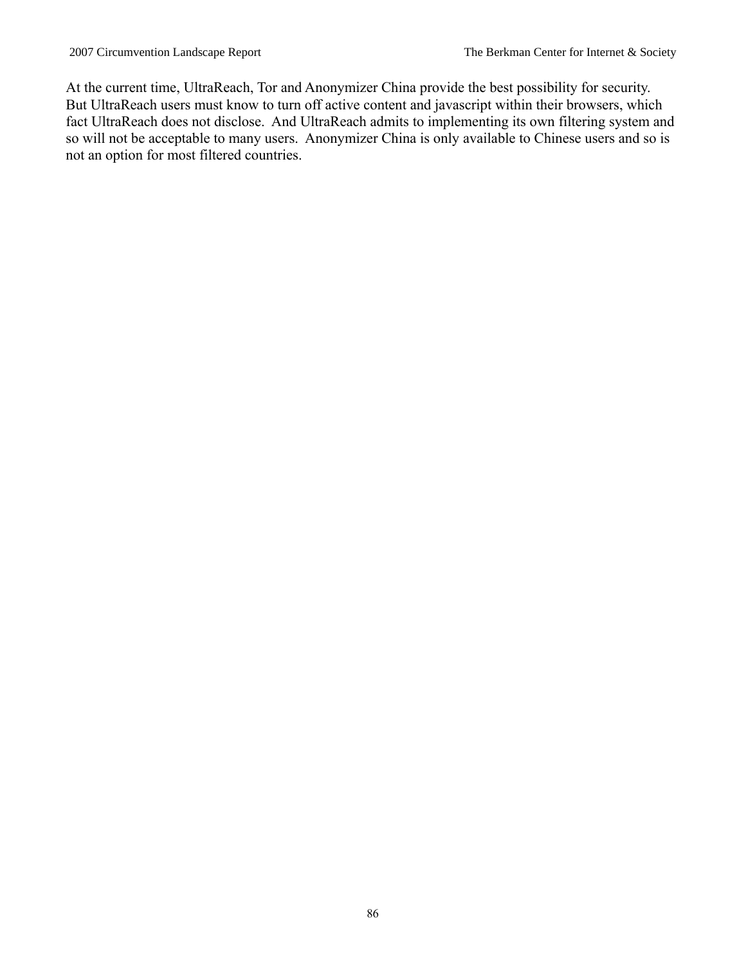At the current time, UltraReach, Tor and Anonymizer China provide the best possibility for security. But UltraReach users must know to turn off active content and javascript within their browsers, which fact UltraReach does not disclose. And UltraReach admits to implementing its own filtering system and so will not be acceptable to many users. Anonymizer China is only available to Chinese users and so is not an option for most filtered countries.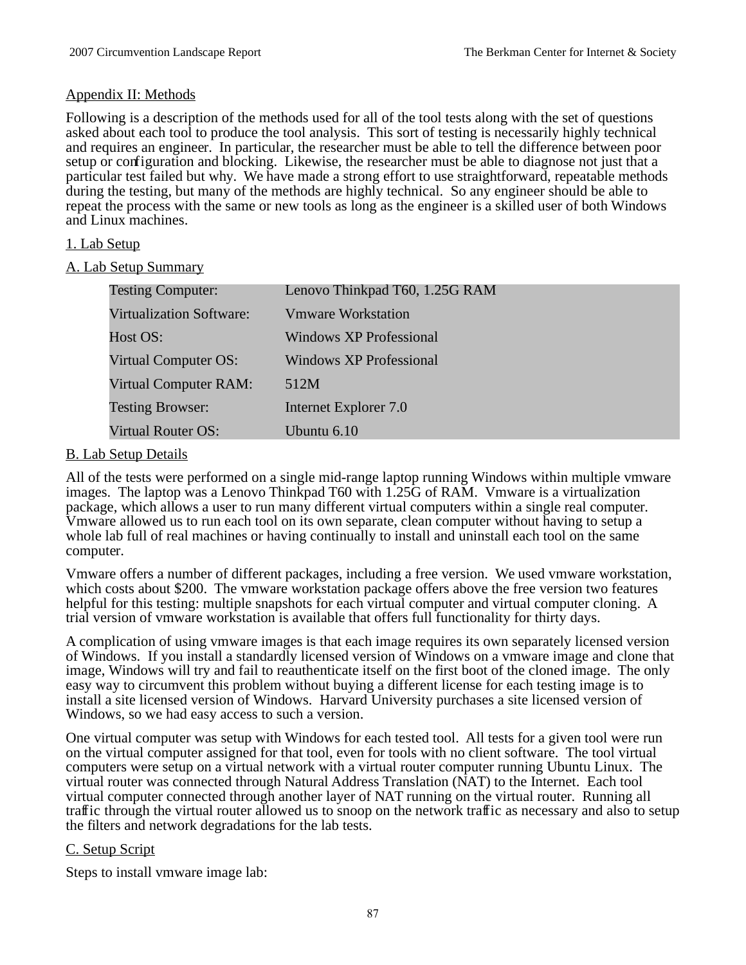#### Appendix II: Methods

Following is a description of the methods used for all of the tool tests along with the set of questions asked about each tool to produce the tool analysis. This sort of testing is necessarily highly technical and requires an engineer. In particular, the researcher must be able to tell the difference between poor setup or configuration and blocking. Likewise, the researcher must be able to diagnose not just that a particular test failed but why. We have made a strong effort to use straightforward, repeatable methods during the testing, but many of the methods are highly technical. So any engineer should be able to repeat the process with the same or new tools as long as the engineer is a skilled user of both Windows and Linux machines.

### 1. Lab Setup

#### A. Lab Setup Summary

| <b>Testing Computer:</b>        | Lenovo Thinkpad T60, 1.25G RAM |
|---------------------------------|--------------------------------|
| <b>Virtualization Software:</b> | <b>Vmware Workstation</b>      |
| Host OS:                        | Windows XP Professional        |
| Virtual Computer OS:            | <b>Windows XP Professional</b> |
| Virtual Computer RAM:           | 512M                           |
| <b>Testing Browser:</b>         | Internet Explorer 7.0          |
| <b>Virtual Router OS:</b>       | Ubuntu 6.10                    |

#### B. Lab Setup Details

All of the tests were performed on a single mid-range laptop running Windows within multiple vmware images. The laptop was a Lenovo Thinkpad T60 with 1.25G of RAM. Vmware is a virtualization package, which allows a user to run many different virtual computers within a single real computer. Vmware allowed us to run each tool on its own separate, clean computer without having to setup a whole lab full of real machines or having continually to install and uninstall each tool on the same computer.

Vmware offers a number of different packages, including a free version. We used vmware workstation, which costs about \$200. The vmware workstation package offers above the free version two features helpful for this testing: multiple snapshots for each virtual computer and virtual computer cloning. A trial version of vmware workstation is available that offers full functionality for thirty days.

A complication of using vmware images is that each image requires its own separately licensed version of Windows. If you install a standardly licensed version of Windows on a vmware image and clone that image, Windows will try and fail to reauthenticate itself on the first boot of the cloned image. The only easy way to circumvent this problem without buying a different license for each testing image is to install a site licensed version of Windows. Harvard University purchases a site licensed version of Windows, so we had easy access to such a version.

One virtual computer was setup with Windows for each tested tool. All tests for a given tool were run on the virtual computer assigned for that tool, even for tools with no client software. The tool virtual computers were setup on a virtual network with a virtual router computer running Ubuntu Linux. The virtual router was connected through Natural Address Translation (NAT) to the Internet. Each tool virtual computer connected through another layer of NAT running on the virtual router. Running all traffic through the virtual router allowed us to snoop on the network traffic as necessary and also to setup the filters and network degradations for the lab tests.

#### C. Setup Script

Steps to install vmware image lab: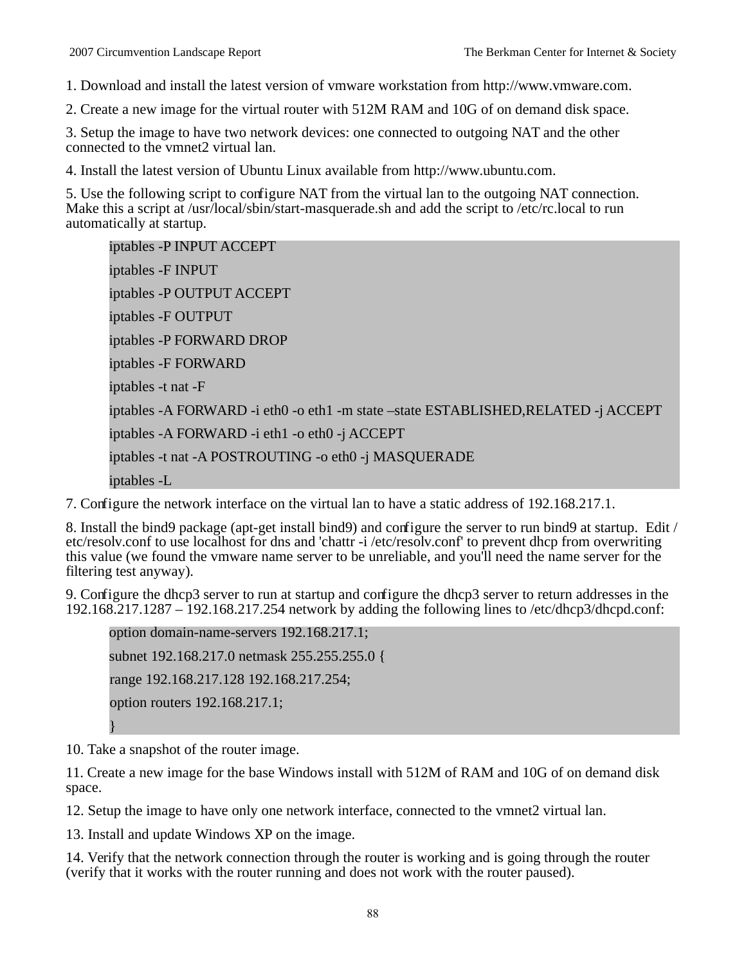1. Download and install the latest version of vmware workstation from http://www.vmware.com.

2. Create a new image for the virtual router with 512M RAM and 10G of on demand disk space.

3. Setup the image to have two network devices: one connected to outgoing NAT and the other connected to the vmnet2 virtual lan.

4. Install the latest version of Ubuntu Linux available from http://www.ubuntu.com.

5. Use the following script to configure NAT from the virtual lan to the outgoing NAT connection. Make this a script at /usr/local/sbin/start-masquerade.sh and add the script to /etc/rc.local to run automatically at startup.

```
iptables -P INPUT ACCEPT
iptables -F INPUT
iptables -P OUTPUT ACCEPT
iptables -F OUTPUT
iptables -P FORWARD DROP
iptables -F FORWARD
iptables -t nat -F
iptables -A FORWARD -i eth0 -o eth1 -m state –state ESTABLISHED,RELATED -j ACCEPT
iptables -A FORWARD -i eth1 -o eth0 -j ACCEPT
iptables -t nat -A POSTROUTING -o eth0 -j MASQUERADE
iptables -L
```
7. Configure the network interface on the virtual lan to have a static address of 192.168.217.1.

8. Install the bind9 package (apt-get install bind9) and configure the server to run bind9 at startup. Edit / etc/resolv.conf to use localhost for dns and 'chattr -i /etc/resolv.conf' to prevent dhcp from overwriting this value (we found the vmware name server to be unreliable, and you'll need the name server for the filtering test anyway).

9. Configure the dhcp3 server to run at startup and configure the dhcp3 server to return addresses in the 192.168.217.1287 – 192.168.217.254 network by adding the following lines to /etc/dhcp3/dhcpd.conf:

option domain-name-servers 192.168.217.1; subnet 192.168.217.0 netmask 255.255.255.0 { range 192.168.217.128 192.168.217.254; option routers 192.168.217.1; }

10. Take a snapshot of the router image.

11. Create a new image for the base Windows install with 512M of RAM and 10G of on demand disk space.

12. Setup the image to have only one network interface, connected to the vmnet2 virtual lan.

13. Install and update Windows XP on the image.

14. Verify that the network connection through the router is working and is going through the router (verify that it works with the router running and does not work with the router paused).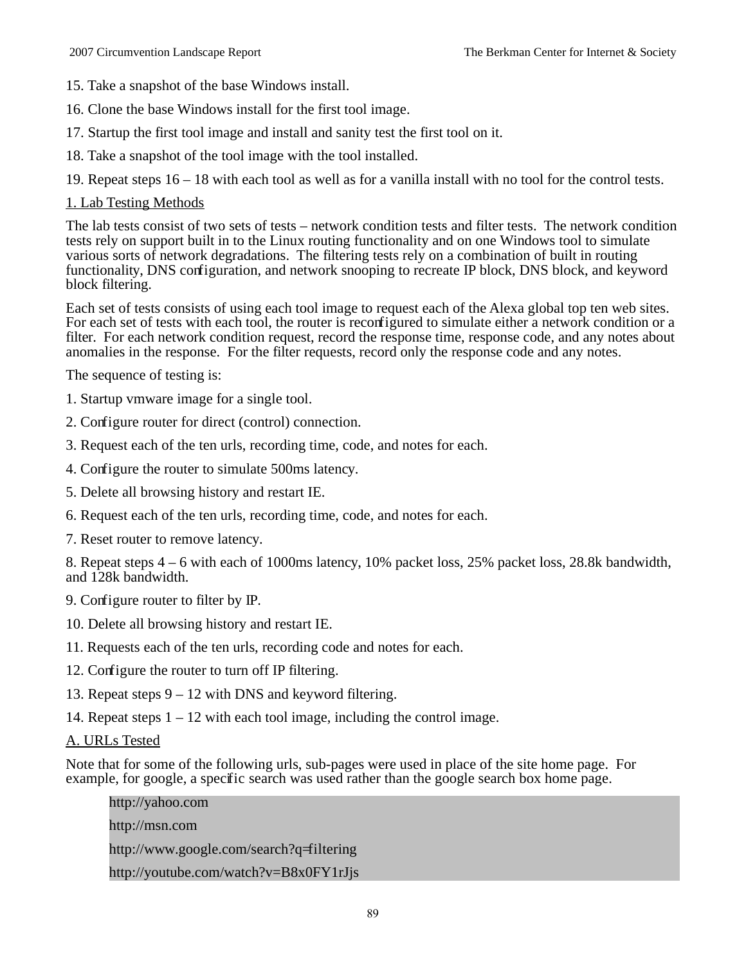- 15. Take a snapshot of the base Windows install.
- 16. Clone the base Windows install for the first tool image.
- 17. Startup the first tool image and install and sanity test the first tool on it.
- 18. Take a snapshot of the tool image with the tool installed.
- 19. Repeat steps 16 18 with each tool as well as for a vanilla install with no tool for the control tests.

#### 1. Lab Testing Methods

The lab tests consist of two sets of tests – network condition tests and filter tests. The network condition tests rely on support built in to the Linux routing functionality and on one Windows tool to simulate various sorts of network degradations. The filtering tests rely on a combination of built in routing functionality, DNS configuration, and network snooping to recreate IP block, DNS block, and keyword block filtering.

Each set of tests consists of using each tool image to request each of the Alexa global top ten web sites. For each set of tests with each tool, the router is reconfigured to simulate either a network condition or a filter. For each network condition request, record the response time, response code, and any notes about anomalies in the response. For the filter requests, record only the response code and any notes.

The sequence of testing is:

- 1. Startup vmware image for a single tool.
- 2. Configure router for direct (control) connection.
- 3. Request each of the ten urls, recording time, code, and notes for each.
- 4. Configure the router to simulate 500ms latency.
- 5. Delete all browsing history and restart IE.
- 6. Request each of the ten urls, recording time, code, and notes for each.
- 7. Reset router to remove latency.

8. Repeat steps 4 – 6 with each of 1000ms latency, 10% packet loss, 25% packet loss, 28.8k bandwidth, and 128k bandwidth.

9. Configure router to filter by IP.

- 10. Delete all browsing history and restart IE.
- 11. Requests each of the ten urls, recording code and notes for each.
- 12. Configure the router to turn off IP filtering.
- 13. Repeat steps 9 12 with DNS and keyword filtering.
- 14. Repeat steps  $1 12$  with each tool image, including the control image.

#### A. URLs Tested

Note that for some of the following urls, sub-pages were used in place of the site home page. For example, for google, a specific search was used rather than the google search box home page.

http://yahoo.com http://msn.com http://www.google.com/search?q=filtering http://youtube.com/watch?v=B8x0FY1rJjs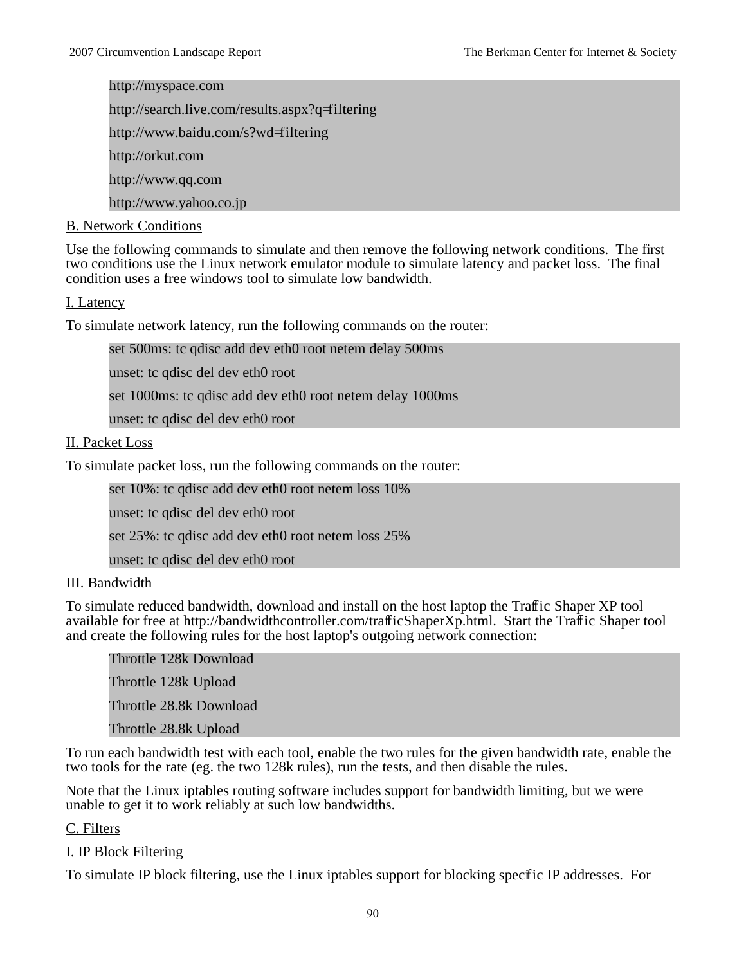http://myspace.com http://search.live.com/results.aspx?q=filtering http://www.baidu.com/s?wd=filtering http://orkut.com

http://www.qq.com

http://www.yahoo.co.jp

#### B. Network Conditions

Use the following commands to simulate and then remove the following network conditions. The first two conditions use the Linux network emulator module to simulate latency and packet loss. The final condition uses a free windows tool to simulate low bandwidth.

#### I. Latency

To simulate network latency, run the following commands on the router:

set 500ms: tc qdisc add dev eth0 root netem delay 500ms

unset: tc qdisc del dev eth0 root

set 1000ms: tc qdisc add dev eth0 root netem delay 1000ms

unset: tc qdisc del dev eth0 root

#### II. Packet Loss

To simulate packet loss, run the following commands on the router:

set 10%: tc qdisc add dev eth0 root netem loss 10%

unset: tc qdisc del dev eth0 root

set 25%: tc qdisc add dev eth0 root netem loss 25%

unset: tc qdisc del dev eth0 root

#### III. Bandwidth

To simulate reduced bandwidth, download and install on the host laptop the Traffic Shaper XP tool available for free at http://bandwidthcontroller.com/trafficShaperXp.html. Start the Traffic Shaper tool and create the following rules for the host laptop's outgoing network connection:

Throttle 128k Download Throttle 128k Upload Throttle 28.8k Download Throttle 28.8k Upload

To run each bandwidth test with each tool, enable the two rules for the given bandwidth rate, enable the two tools for the rate (eg. the two 128k rules), run the tests, and then disable the rules.

Note that the Linux iptables routing software includes support for bandwidth limiting, but we were unable to get it to work reliably at such low bandwidths.

#### C. Filters

#### I. IP Block Filtering

To simulate IP block filtering, use the Linux iptables support for blocking specific IP addresses. For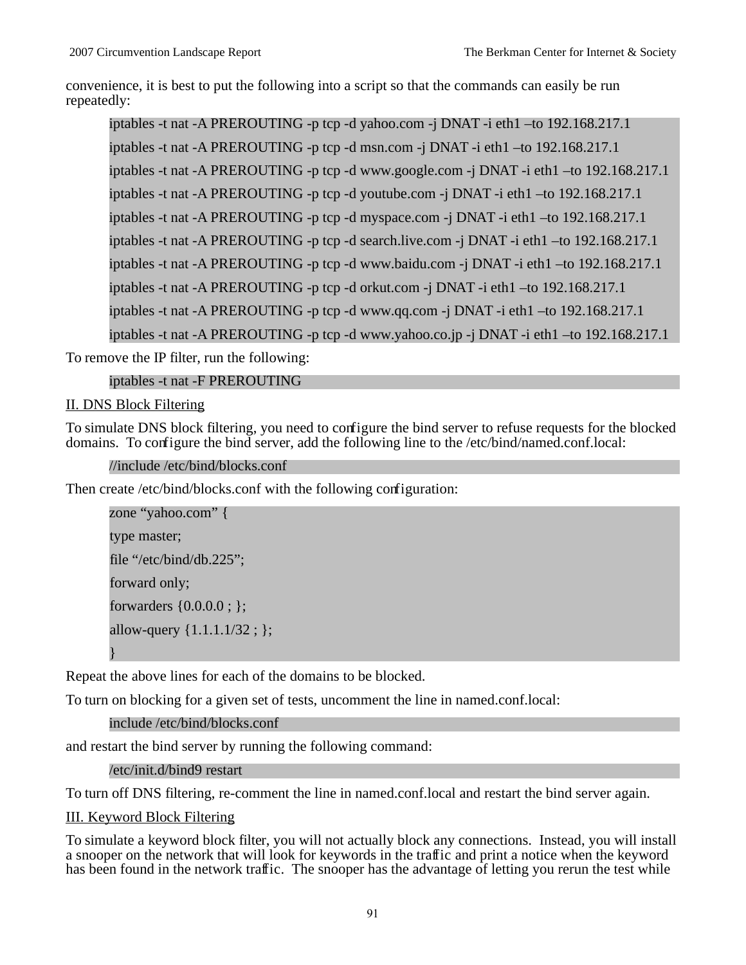convenience, it is best to put the following into a script so that the commands can easily be run repeatedly:

iptables -t nat -A PREROUTING -p tcp -d yahoo.com -j DNAT -i eth1 –to 192.168.217.1 iptables -t nat -A PREROUTING -p tcp -d msn.com -j DNAT -i eth1 –to 192.168.217.1 iptables -t nat -A PREROUTING -p tcp -d www.google.com -j DNAT -i eth1 –to 192.168.217.1 iptables -t nat -A PREROUTING -p tcp -d youtube.com -j DNAT -i eth1 –to 192.168.217.1 iptables -t nat -A PREROUTING -p tcp -d myspace.com -j DNAT -i eth1 –to 192.168.217.1 iptables -t nat -A PREROUTING -p tcp -d search.live.com -j DNAT -i eth1 –to 192.168.217.1 iptables -t nat -A PREROUTING -p tcp -d www.baidu.com -j DNAT -i eth1 –to 192.168.217.1 iptables -t nat -A PREROUTING -p tcp -d orkut.com -j DNAT -i eth1 –to 192.168.217.1 iptables -t nat -A PREROUTING -p tcp -d www.qq.com -j DNAT -i eth1 –to 192.168.217.1 iptables -t nat -A PREROUTING -p tcp -d www.yahoo.co.jp -j DNAT -i eth1 –to 192.168.217.1

To remove the IP filter, run the following:

```
iptables -t nat -F PREROUTING
```
II. DNS Block Filtering

To simulate DNS block filtering, you need to configure the bind server to refuse requests for the blocked domains. To configure the bind server, add the following line to the /etc/bind/named.conf.local:

//include /etc/bind/blocks.conf

Then create /etc/bind/blocks.conf with the following configuration:

```
zone "yahoo.com" {
type master;
file "/etc/bind/db.225";
forward only;
forwarders {0.0.0.0 ; };
allow-query {1.1.1.1/32 ; };
}
```
Repeat the above lines for each of the domains to be blocked.

To turn on blocking for a given set of tests, uncomment the line in named.conf.local:

```
include /etc/bind/blocks.conf
```
and restart the bind server by running the following command:

```
/etc/init.d/bind9 restart
```
To turn off DNS filtering, re-comment the line in named.conf.local and restart the bind server again.

III. Keyword Block Filtering

To simulate a keyword block filter, you will not actually block any connections. Instead, you will install a snooper on the network that will look for keywords in the traffic and print a notice when the keyword has been found in the network traffic. The snooper has the advantage of letting you rerun the test while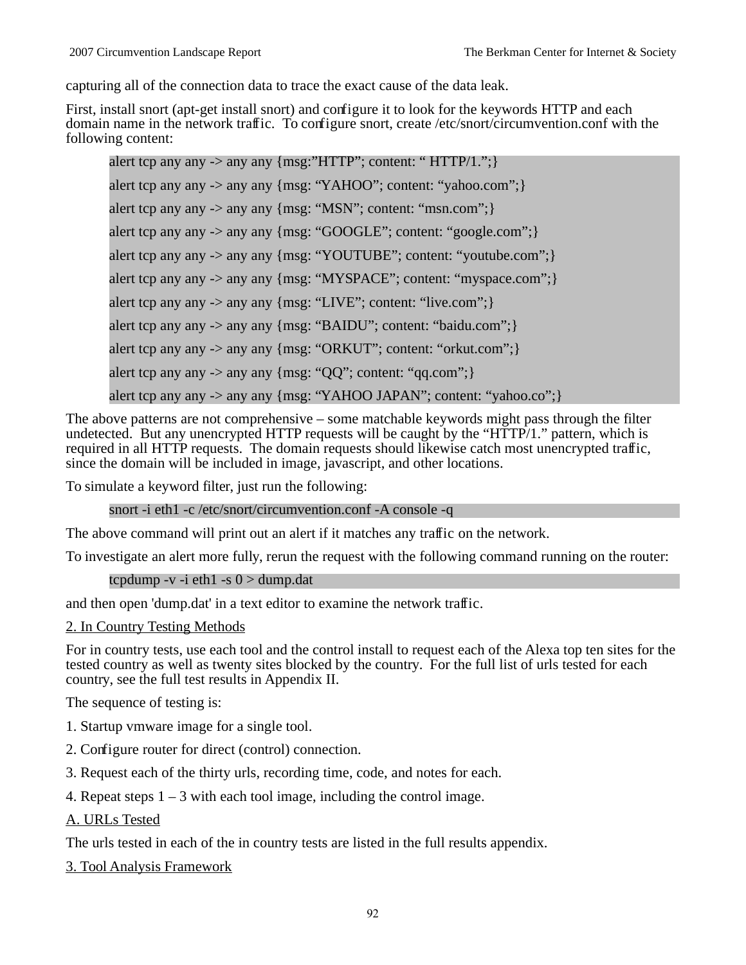capturing all of the connection data to trace the exact cause of the data leak.

First, install snort (apt-get install snort) and configure it to look for the keywords HTTP and each domain name in the network traffic. To configure snort, create /etc/snort/circumvention.conf with the following content:

alert tcp any any  $\rightarrow$  any any  ${msg: "HTTP": content: " HTTP/1."}$ alert tcp any any -> any any {msg: "YAHOO"; content: "yahoo.com";} alert tcp any any  $\rightarrow$  any any  ${msg: "MSN":}$  content: "msn.com"; alert tcp any any -> any any {msg: "GOOGLE"; content: "google.com";} alert tcp any any -> any any {msg: "YOUTUBE"; content: "youtube.com";} alert tcp any any -> any any {msg: "MYSPACE"; content: "myspace.com"; } alert tcp any any -> any any {msg: "LIVE"; content: "live.com"; } alert tcp any any -> any any {msg: "BAIDU"; content: "baidu.com"; } alert tcp any any -> any any {msg: "ORKUT"; content: "orkut.com";} alert tcp any any -> any any  ${msg: "QQ";}$  content: " $qq.com";$ alert tcp any any -> any any {msg: "YAHOO JAPAN"; content: "yahoo.co"; }

The above patterns are not comprehensive – some matchable keywords might pass through the filter undetected. But any unencrypted HTTP requests will be caught by the "HTTP/1." pattern, which is required in all HTTP requests. The domain requests should likewise catch most unencrypted traffic, since the domain will be included in image, javascript, and other locations.

To simulate a keyword filter, just run the following:

snort -i eth1 -c /etc/snort/circumvention.conf -A console -q

The above command will print out an alert if it matches any traffic on the network.

To investigate an alert more fully, rerun the request with the following command running on the router:

tcpdump -v -i eth $1$  -s  $0 >$  dump.dat

and then open 'dump.dat' in a text editor to examine the network traffic.

2. In Country Testing Methods

For in country tests, use each tool and the control install to request each of the Alexa top ten sites for the tested country as well as twenty sites blocked by the country. For the full list of urls tested for each country, see the full test results in Appendix II.

The sequence of testing is:

1. Startup vmware image for a single tool.

- 2. Configure router for direct (control) connection.
- 3. Request each of the thirty urls, recording time, code, and notes for each.
- 4. Repeat steps  $1 3$  with each tool image, including the control image.

A. URLs Tested

The urls tested in each of the in country tests are listed in the full results appendix.

3. Tool Analysis Framework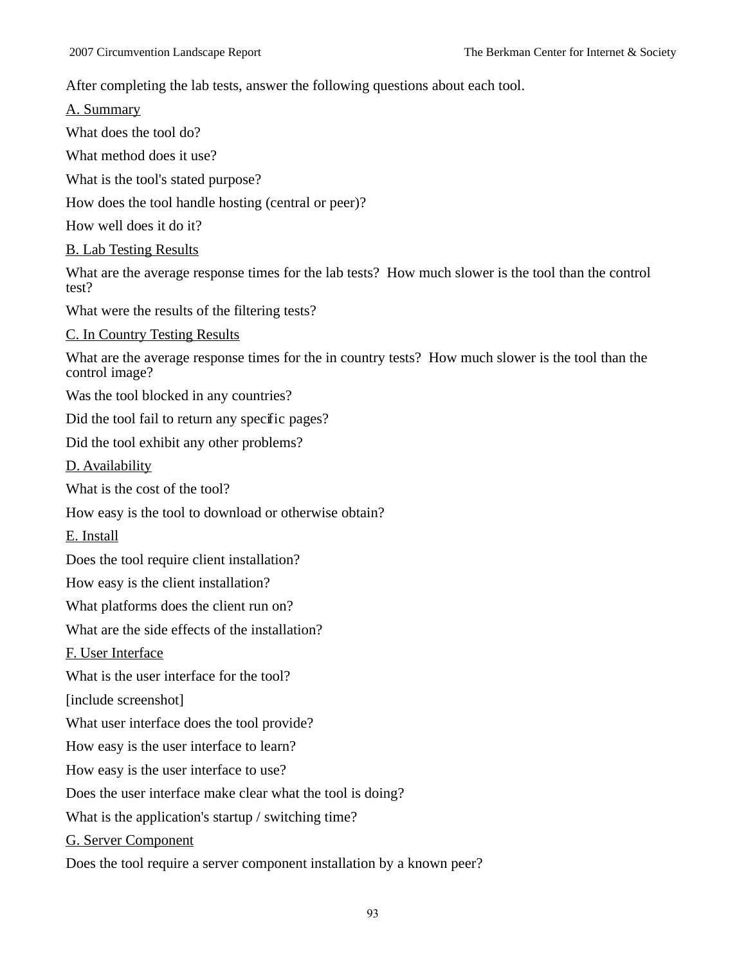After completing the lab tests, answer the following questions about each tool.

A. Summary

What does the tool do?

What method does it use?

What is the tool's stated purpose?

How does the tool handle hosting (central or peer)?

How well does it do it?

B. Lab Testing Results

What are the average response times for the lab tests? How much slower is the tool than the control test?

What were the results of the filtering tests?

C. In Country Testing Results

What are the average response times for the in country tests? How much slower is the tool than the control image?

Was the tool blocked in any countries?

Did the tool fail to return any specific pages?

Did the tool exhibit any other problems?

D. Availability

What is the cost of the tool?

How easy is the tool to download or otherwise obtain?

E. Install

Does the tool require client installation?

How easy is the client installation?

What platforms does the client run on?

What are the side effects of the installation?

F. User Interface

What is the user interface for the tool?

[include screenshot]

What user interface does the tool provide?

How easy is the user interface to learn?

How easy is the user interface to use?

Does the user interface make clear what the tool is doing?

What is the application's startup / switching time?

G. Server Component

Does the tool require a server component installation by a known peer?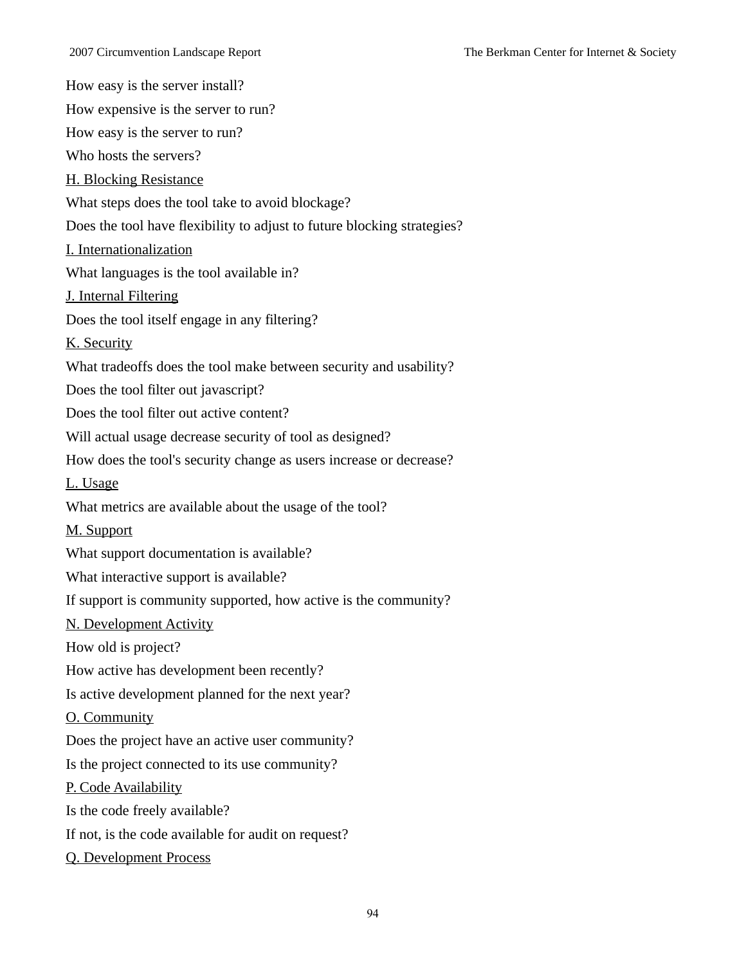How easy is the server install?

How expensive is the server to run?

How easy is the server to run?

Who hosts the servers?

H. Blocking Resistance

What steps does the tool take to avoid blockage?

Does the tool have flexibility to adjust to future blocking strategies?

I. Internationalization

What languages is the tool available in?

J. Internal Filtering

Does the tool itself engage in any filtering?

K. Security

What tradeoffs does the tool make between security and usability?

Does the tool filter out javascript?

Does the tool filter out active content?

Will actual usage decrease security of tool as designed?

How does the tool's security change as users increase or decrease?

L. Usage

What metrics are available about the usage of the tool?

M. Support

What support documentation is available?

What interactive support is available?

If support is community supported, how active is the community?

N. Development Activity

How old is project?

How active has development been recently?

Is active development planned for the next year?

O. Community

Does the project have an active user community?

Is the project connected to its use community?

P. Code Availability

Is the code freely available?

If not, is the code available for audit on request?

Q. Development Process